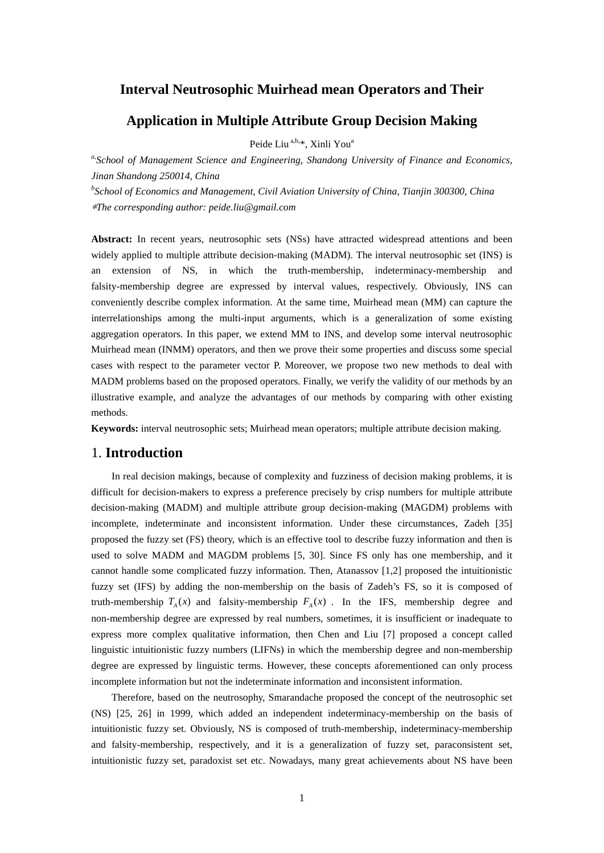## **Interval Neutrosophic Muirhead mean Operators and Their**

# **Application in Multiple Attribute Group Decision Making**

Peide Liu<sup>a,b,\*</sup>, Xinli You<sup>a</sup>

*a,School of Management Science and Engineering, Shandong University of Finance and Economics, Jinan Shandong 250014, China*

*b School of Economics and Management, Civil Aviation University of China, Tianjin 300300, China* \**The corresponding author: peide.liu@gmail.com*

Abstract: In recent years, neutrosophic sets (NSs) have attracted widespread attentions and been widely applied to multiple attribute decision-making (MADM). The interval neutrosophic set (INS) is an extension of NS, in which the truth-membership, indeterminacy-membership and falsity-membership degree are expressed by interval values, respectively. Obviously, INS can conveniently describe complex information. At the same time, Muirhead mean (MM) can capture the interrelationships among the multi-input arguments, which is a generalization of some existing aggregation operators. In this paper, we extend MM to INS, and develop some interval neutrosophic Muirhead mean (INMM) operators, and then we prove their some properties and discuss some special cases with respect to the parameter vector P. Moreover, we propose two new methods to deal with MADM problems based on the proposed operators. Finally, we verify the validity of our methods by an illustrative example, and analyze the advantages of our methods by comparing with other existing methods.

**Keywords:** interval neutrosophic sets; Muirhead mean operators; multiple attribute decision making.

## 1. **Introduction**

In real decision makings, because of complexity and fuzziness of decision making problems, it is difficult for decision-makers to express a preference precisely by crisp numbers for multiple attribute decision-making (MADM) and multiple attribute group decision-making (MAGDM) problems with incomplete, indeterminate and inconsistent information. Under these circumstances, Zadeh [35] proposed the fuzzy set (FS) theory, which is an effective tool to describe fuzzy information and then is used to solve MADM and MAGDM problems [5, 30]. Since FS only has one membership, and it cannot handle some complicated fuzzy information. Then, Atanassov [1,2] proposed the intuitionistic fuzzy set (IFS) by adding the non-membership on the basis of Zadeh's FS, so it is composed of truth-membership  $T_A(x)$  and falsity-membership  $F_A(x)$ . In the IFS, membership degree and non-membership degree are expressed by real numbers, sometimes, it is insufficient or inadequate to express more complex qualitative information, then Chen and Liu [7] proposed a concept called linguistic intuitionistic fuzzy numbers (LIFNs) in which the membership degree and non-membership degree are expressed by linguistic terms. However, these concepts aforementioned can only process incomplete information but not the indeterminate information and inconsistent information.

Therefore, based on the neutrosophy, Smarandache proposed the concept of the neutrosophic set (NS) [25, 26] in 1999, which added an independent indeterminacy-membership on the basis of intuitionistic fuzzy set. Obviously, NS is composed of truth-membership, indeterminacy-membership and falsity-membership, respectively, and it is a generalization of fuzzy set, paraconsistent set, intuitionistic fuzzy set, paradoxist set etc. Nowadays, many great achievements about NS have been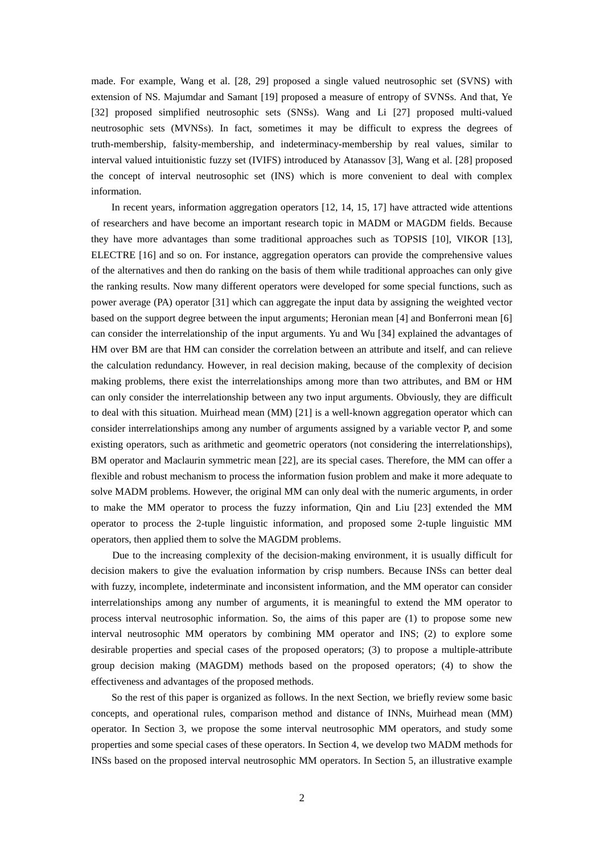made. For example, Wang et al. [28, 29] proposed a single valued neutrosophic set (SVNS) with extension of NS. Majumdar and Samant [19] proposed a measure of entropy of SVNSs. And that, Ye [32] proposed simplified neutrosophic sets (SNSs). Wang and Li [27] proposed multi-valued neutrosophic sets (MVNSs). In fact, sometimes it may be difficult to express the degrees of truth-membership, falsity-membership, and indeterminacy-membership by real values, similar to interval valued intuitionistic fuzzy set (IVIFS) introduced by Atanassov [3], Wang et al. [28] proposed the concept of interval neutrosophic set (INS) which is more convenient to deal with complex information.

In recent years, information aggregation operators [12, 14, 15, 17] have attracted wide attentions of researchers and have become an important research topic in MADM or MAGDM fields. Because they have more advantages than some traditional approaches such as TOPSIS [10], VIKOR [13], ELECTRE [16] and so on. For instance, aggregation operators can provide the comprehensive values of the alternatives and then do ranking on the basis of them while traditional approaches can only give the ranking results. Now many different operators were developed for some special functions, such as power average (PA) operator [31] which can aggregate the input data by assigning the weighted vector based on the support degree between the input arguments; Heronian mean [4] and Bonferroni mean [6] can consider the interrelationship of the input arguments. Yu and Wu [34] explained the advantages of HM over BM are that HM can consider the correlation between an attribute and itself, and can relieve the calculation redundancy. However, in real decision making, because of the complexity of decision making problems, there exist the interrelationships among more than two attributes, and BM or HM can only consider the interrelationship between any two input arguments. Obviously, they are difficult to deal with this situation. Muirhead mean (MM) [21] is a well-known aggregation operator which can consider interrelationships among any number of arguments assigned by a variable vector P, and some existing operators, such as arithmetic and geometric operators (not considering the interrelationships), BM operator and Maclaurin symmetric mean [22], are its special cases. Therefore, the MM can offer a flexible and robust mechanism to process the information fusion problem and make it more adequate to solve MADM problems. However, the original MM can only deal with the numeric arguments, in order to make the MM operator to process the fuzzy information, Qin and Liu [23] extended the MM operator to process the 2-tuple linguistic information, and proposed some 2-tuple linguistic MM operators, then applied them to solve the MAGDM problems.

Due to the increasing complexity of the decision-making environment, it is usually difficult for decision makers to give the evaluation information by crisp numbers. Because INSs can better deal with fuzzy, incomplete, indeterminate and inconsistent information, and the MM operator can consider interrelationships among any number of arguments, it is meaningful to extend the MM operator to process interval neutrosophic information. So, the aims of this paper are (1) to propose some new interval neutrosophic MM operators by combining MM operator and INS; (2) to explore some desirable properties and special cases of the proposed operators; (3) to propose a multiple-attribute group decision making (MAGDM) methods based on the proposed operators; (4) to show the effectiveness and advantages of the proposed methods.

So the rest of this paper is organized as follows. In the next Section, we briefly review some basic concepts, and operational rules, comparison method and distance of INNs, Muirhead mean (MM) operator. In Section 3, we propose the some interval neutrosophic MM operators, and study some properties and some special cases of these operators. In Section 4, we develop two MADM methods for INSs based on the proposed interval neutrosophic MM operators. In Section 5, an illustrative example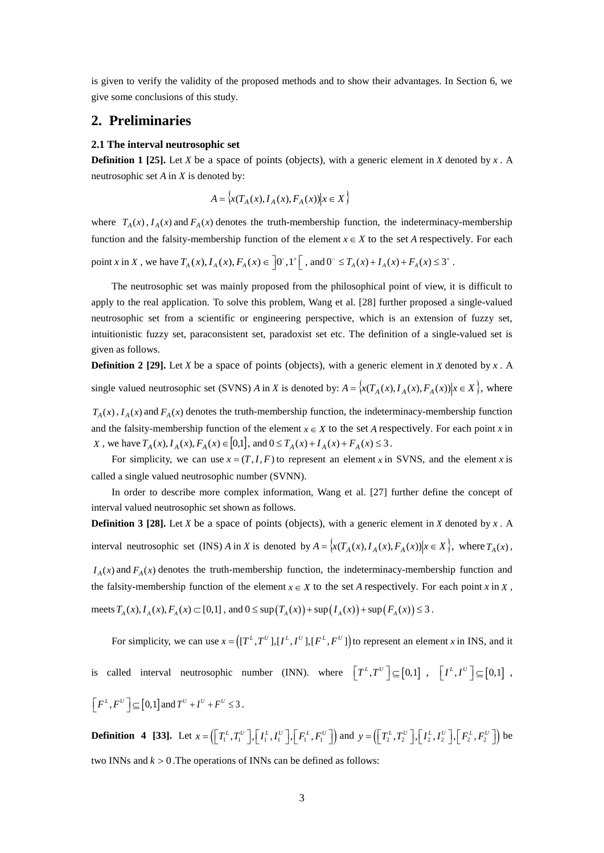is given to verify the validity of the proposed methods and to show their advantages. In Section 6, we give some conclusions of this study.

### **2. Preliminaries**

#### **2.1 The interval neutrosophic set**

**Definition 1 [25].** Let *X* be a space of points (objects), with a generic element in *X* denoted by *x*. A neutrosophic set *A* in *X* is denoted by:

$$
A = \left\{ x(T_A(x), I_A(x), F_A(x)) \middle| x \in X \right\}
$$

where  $T_A(x)$ ,  $I_A(x)$  and  $F_A(x)$  denotes the truth-membership function, the indeterminacy-membership function and the falsity-membership function of the element  $x \in X$  to the set *A* respectively. For each

point *x* in *X*, we have  $T_A(x)$ ,  $I_A(x)$ ,  $F_A(x) \in [0, 1]^+$ , and  $0^- \le T_A(x) + I_A(x) + F_A(x) \le 3^+$ .

The neutrosophic set was mainly proposed from the philosophical point of view, it is difficult to apply to the real application. To solve this problem, Wang et al. [28] further proposed a single-valued neutrosophic set from a scientific or engineering perspective, which is an extension of fuzzy set, intuitionistic fuzzy set, paraconsistent set, paradoxist set etc. The definition of a single-valued set is given as follows.

**Definition 2 [29].** Let *X* be a space of points (objects), with a generic element in *X* denoted by *x*. A single valued neutrosophic set (SVNS) *A* in *X* is denoted by:  $A = \{x(T_A(x), I_A(x), F_A(x)) | x \in X\}$ , where

 $T_A(x)$ ,  $I_A(x)$  and  $F_A(x)$  denotes the truth-membership function, the indeterminacy-membership function and the falsity-membership function of the element  $x \in X$  to the set *A* respectively. For each point *x* in *X*, we have  $T_A(x)$ ,  $I_A(x)$ ,  $F_A(x)$  ∈ [0,1], and  $0 ≤ T_A(x) + I_A(x) + F_A(x) ≤ 3$ .

For simplicity, we can use  $x = (T, I, F)$  to represent an element *x* in SVNS, and the element *x* is called a single valued neutrosophic number (SVNN).

In order to describe more complex information, Wang et al. [27] further define the concept of interval valued neutrosophic set shown as follows.

**Definition 3 [28].** Let *X* be a space of points (objects), with a generic element in *X* denoted by *x*. A interval neutrosophic set (INS) *A* in *X* is denoted by  $A = \{x(T_A(x), I_A(x), F_A(x)) | x \in X\}$ , where  $T_A(x)$ ,  $I_A(x)$  and  $F_A(x)$  denotes the truth-membership function, the indeterminacy-membership function and the falsity-membership function of the element  $x \in X$  to the set *A* respectively. For each point *x* in *X*, meets  $T_A(x)$ ,  $I_A(x)$ ,  $F_A(x)$  ⊂ [0,1], and 0 ≤ sup  $(T_A(x))$  + sup  $(T_A(x))$  + sup  $(F_A(x))$  ≤ 3.

For simplicity, we can use  $x = ((T^L, T^U], [I^L, I^U], [F^L, F^U])$  to represent an element *x* in INS, and it is called interval neutrosophic number (INN). where  $\left[T^L, T^U\right] \subseteq [0,1]$ ,  $\left[T^L, I^U\right] \subseteq [0,1]$ ,  $\left\lceil F^L, F^U \right\rceil \subseteq [0,1]$  and  $T^U + I^U + F^U \leq 3$ .

**Definition** 4 [33]. Let  $x = \left( \left[ T_1^L, T_1^U \right], \left[ I_1^L, I_1^U \right], \left[ F_1^L, F_1^U \right] \right)$  and  $y = \left( \left[ T_2^L, T_2^U \right], \left[ I_2^L, I_2^U \right], \left[ F_2^L, F_2^U \right] \right)$  be two INNs and  $k > 0$ . The operations of INNs can be defined as follows: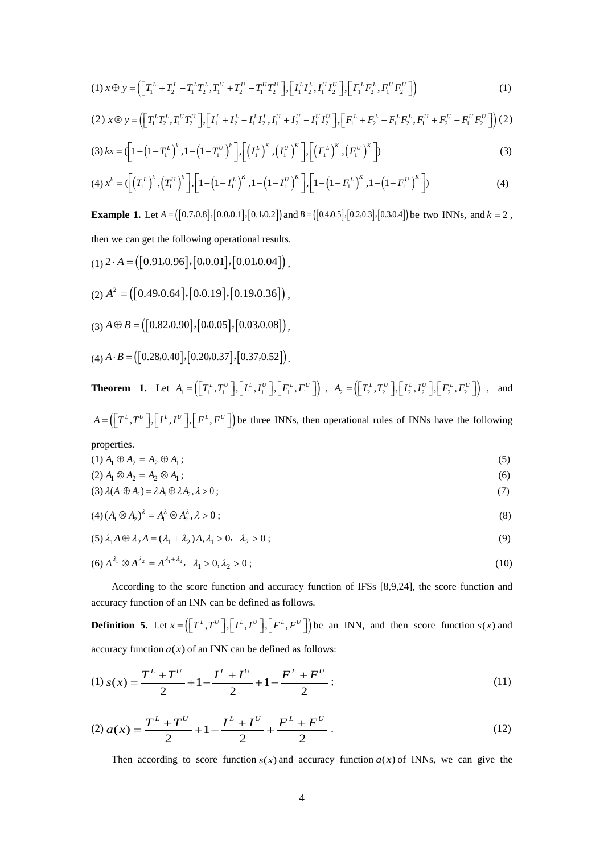$$
(1) \; x \oplus y = \left( \left[ T_1^L + T_2^L - T_1^L T_2^L, T_1^U + T_2^U - T_1^U T_2^U \right], \left[ I_1^L I_2^L, I_1^U I_2^U \right], \left[ F_1^L F_2^L, F_1^U F_2^U \right] \right) \tag{1}
$$

$$
(2) \; x \otimes y = \left( \left[ T_1^L T_2^L, T_1^U T_2^U \right], \left[ I_1^L + I_2^L - I_1^L I_2^L, I_1^U + I_2^U - I_1^U I_2^U \right], \left[ F_1^L + F_2^L - F_1^L F_2^L, F_1^U + F_2^U - F_1^U F_2^U \right] \right) (2)
$$

(3) 
$$
kx = \left(1 - \left(1 - T_1^L\right)^k, 1 - \left(1 - T_1^U\right)^k\right], \left[\left(I_1^L\right)^K, \left(I_1^U\right)^K\right], \left[\left(F_1^L\right)^K, \left(F_1^U\right)^K\right]
$$
 (3)

(4) 
$$
x^k = \left( \left( T_1^L \right)^k, \left( T_1^U \right)^k \right], \left[ 1 - \left( 1 - I_1^L \right)^k, 1 - \left( 1 - I_1^U \right)^k \right], \left[ 1 - \left( 1 - F_1^L \right)^k, 1 - \left( 1 - F_1^U \right)^k \right]
$$
 (4)

**Example 1.** Let  $A = ([0.7, 0.8], [0.0, 0.1], [0.1, 0.2])$  and  $B = ([0.4, 0.5], [0.2, 0.3], [0.3, 0.4])$  be two INNs, and  $k = 2$ , then we can get the following operational results.

- $(1)$  2 · A =  $([0.91, 0.96], [0.0.01], [0.01, 0.04])$ ,
- $(2) A<sup>2</sup> = ([0.49, 0.64], [0.0.19], [0.19, 0.36])$ ,
- $(3) A \oplus B = ([0.82, 0.90], [0.0.05], [0.03, 0.08]),$
- $(4) A \cdot B = ([0.28, 0.40], [0.20, 0.37], [0.37, 0.52]).$

**Theorem 1.** Let 
$$
A_1 = (\begin{bmatrix} T_1^L, T_1^U \end{bmatrix}, \begin{bmatrix} I_1^L, I_1^U \end{bmatrix}, \begin{bmatrix} F_1^L, F_1^U \end{bmatrix})
$$
,  $A_2 = (\begin{bmatrix} T_2^L, T_2^U \end{bmatrix}, \begin{bmatrix} I_2^L, I_2^U \end{bmatrix}, \begin{bmatrix} F_2^L, F_2^U \end{bmatrix})$ , and

 $A = (\int T^L, T^U, \int, \int I^L, I^U, \int, \int F^L, F^U)$  be three INNs, then operational rules of INNs have the following

properties.  
(1) 
$$
A_1 \oplus A_2 = A_2 \oplus A_1
$$
 ; (5)

$$
(2) A1 \otimes A2 = A2 \otimes A1 ; \t\t(6)
$$

$$
(3) \lambda(A_1 \oplus A_2) = \lambda A_1 \oplus \lambda A_2, \lambda > 0;
$$
\n<sup>(7)</sup>

$$
(4) (A1 \otimes A2)2 = A12 \otimes A22, \lambda > 0 ; \qquad (8)
$$

$$
(5) \lambda_1 A \oplus \lambda_2 A = (\lambda_1 + \lambda_2)A, \lambda_1 > 0, \lambda_2 > 0;
$$
\n
$$
(9)
$$

(6) 
$$
A^{\lambda_1} \otimes A^{\lambda_2} = A^{\lambda_1 + \lambda_2}, \quad \lambda_1 > 0, \lambda_2 > 0;
$$
 (10)

According to the score function and accuracy function of IFSs [8,9,24], the score function and accuracy function of an INN can be defined as follows.

**Definition 5.** Let  $x = (\left[ T^L, T^U \right], \left[ I^L, I^U \right], \left[ F^L, F^U \right] )$  be an INN, and then score function  $s(x)$  and accuracy function  $a(x)$  of an INN can be defined as follows:

(1) 
$$
s(x) = \frac{T^{L} + T^{U}}{2} + 1 - \frac{I^{L} + I^{U}}{2} + 1 - \frac{F^{L} + F^{U}}{2};
$$
 (11)

(12) 
$$
a(x) = \frac{T^{L} + T^{U}}{2} + 1 - \frac{I^{L} + I^{U}}{2} + \frac{F^{L} + F^{U}}{2}.
$$

Then according to score function  $s(x)$  and accuracy function  $a(x)$  of INNs, we can give the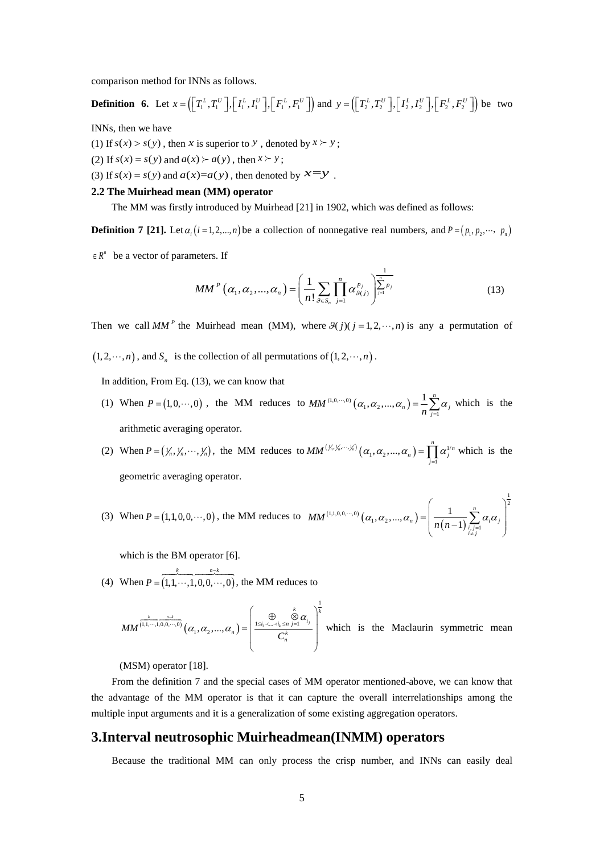comparison method for INNs as follows.

**Definition 6.** Let  $x = \left( \left[ T_1^L, T_1^U \right], \left[ I_1^L, I_1^U \right], \left[ F_1^L, F_1^U \right] \right)$  and  $y = \left( \left[ T_2^L, T_2^U \right], \left[ I_2^L, I_2^U \right], \left[ F_2^L, F_2^U \right] \right)$  be two

INNs, then we have

(1) If  $s(x) > s(y)$ , then *x* is superior to *y*, denoted by  $x \succ y$ ;

(2) If  $s(x) = s(y)$  and  $a(x) > a(y)$ , then  $x > y$ ;

(3) If  $s(x) = s(y)$  and  $a(x)=a(y)$ , then denoted by  $x=y$ .

#### **2.2 The Muirhead mean (MM) operator**

The MM was firstly introduced by Muirhead [21] in 1902, which was defined as follows:

**Definition 7** [21]. Let  $\alpha_i$  ( $i = 1, 2, ..., n$ ) be a collection of nonnegative real numbers, and  $P = (p_1, p_2, ..., p_n)$ 

 $R^n$  be a vector of parameters. If

$$
MM^{P}\left(\alpha_{1},\alpha_{2},...,\alpha_{n}\right) = \left(\frac{1}{n!}\sum_{\beta \in S_{n}}\prod_{j=1}^{n}\alpha_{\beta(j)}^{p_{j}}\right)^{\frac{1}{\sum_{j=1}^{n}p_{j}}}
$$
(13)

1

Then we call *MM*<sup>*P*</sup> the Muirhead mean (MM), where  $\mathcal{G}(j)(j=1,2,\dots,n)$  is any a permutation of

 $(1, 2, \dots, n)$ , and  $S_n$  is the collection of all permutations of  $(1, 2, \dots, n)$ .

In addition, From Eq. (13), we can know that

(1) When  $P = (1, 0, \dots, 0)$ , the MM reduces to  $MM^{(1,0,\dots,0)} (\alpha_1, \alpha_2, ..., \alpha_n) = \frac{1}{n} \sum_{j=1}^n$  $(\alpha_2,...,\alpha_n) = \frac{1}{2} \sum_{n=1}^{n}$  $MM^{(1,0,\dots,0)}(\alpha_1,\alpha_2,\dots,\alpha_n) = \frac{1}{n} \sum_{j=1}^n \alpha_j$  which is the arithmetic averaging operator.

(2) When  $P = (\gamma_n, \gamma_n, \dots, \gamma_n)$ , the MM reduces to  $MM^{(\gamma_n, \gamma_n, \dots, \gamma_n)}(\alpha_1, \alpha_2, \dots, \alpha_n) = \prod_{j=1}^n \alpha_j^{\nu_j}$  $\mathcal{L}_{n}^{(n)}\left(\mathcal{L}_{n}, \alpha_{1}, \alpha_{2}, ..., \alpha_{n}\right)=\prod_{j=1}^{n} \alpha_{j}^{1/n}$  $MM^{(\frac{1}{n}, \frac{1}{n}, \cdots, \frac{1}{n})} (\alpha_1, \alpha_2, ..., \alpha_n) = \prod_{j=1}^n \alpha_j^{1/n}$  which is the geometric averaging operator.

(3) When 
$$
P = (1,1,0,0,\dots,0)
$$
, the MM reduces to  $MM^{(1,1,0,0,\dots,0)}(\alpha_1, \alpha_2, ..., \alpha_n) = \left(\frac{1}{n(n-1)}\sum_{\substack{i,j=1 \ i \neq j}}^n \alpha_i \alpha_j\right)^2$ 

which is the BM operator [6].

(4) When  $P = (1, 1, \dots, 1, 0, 0, \dots, 0)$  $k \t n-k$ *P* − =  $\begin{array}{ccc} k & n-k \end{array}$  $..., 1, 0, 0, \dots, 0$ , the MM reduces to

$$
MM^{(\underbrace{\sum_{k=1,2,3,0,0,\cdots,0}^{k}}_{n=1,0,0,\cdots,0})}\left(\alpha_{1},\alpha_{2},\ldots,\alpha_{n}\right)=\left(\frac{\bigoplus_{1\leq i_{1}<\cdots which is the Maclaurin symmetric mean
$$

(MSM) operator [18].

From the definition 7 and the special cases of MM operator mentioned-above, we can know that the advantage of the MM operator is that it can capture the overall interrelationships among the multiple input arguments and it is a generalization of some existing aggregation operators.

## **3.Interval neutrosophic Muirheadmean(INMM) operators**

Because the traditional MM can only process the crisp number, and INNs can easily deal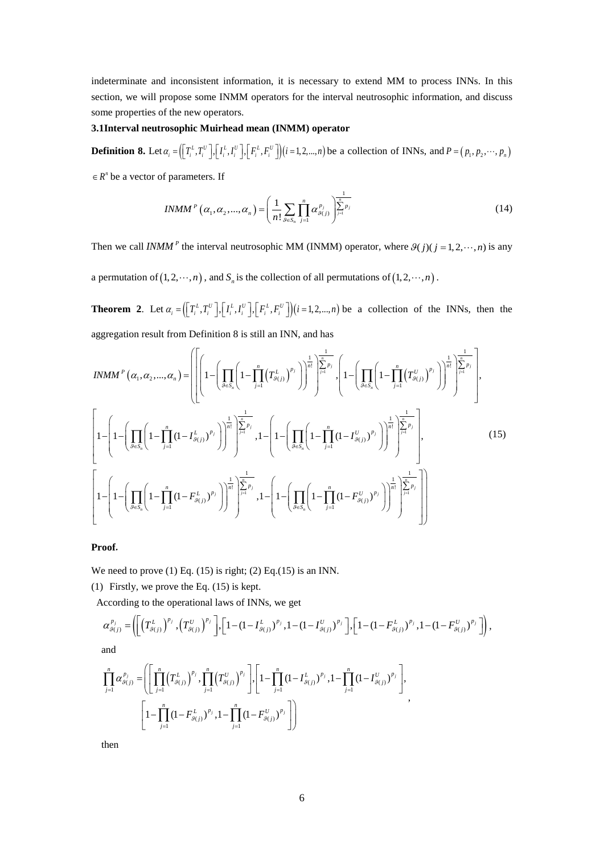indeterminate and inconsistent information, it is necessary to extend MM to process INNs. In this section, we will propose some INMM operators for the interval neutrosophic information, and discuss some properties of the new operators.

### **3.1Interval neutrosophic Muirhead mean (INMM) operator**

**Definition 8.** Let  $\alpha_i = (\prod_i^L T_i^U)$ ,  $[I_i^L, I_i^U]$ ,  $[F_i^L, F_i^U]$ ) $(i = 1, 2, ..., n)$  be a collection of INNs, and  $P = (p_1, p_2, ..., p_n)$ 

 $R^n$  be a vector of parameters. If

$$
INMM^{P}\left(\alpha_{1},\alpha_{2},...,\alpha_{n}\right) = \left(\frac{1}{n!}\sum_{\mathcal{G}\in S_{n}}\prod_{j=1}^{n}\alpha_{\mathcal{G}(j)}^{P_{j}}\right)^{\frac{1}{\sum_{j=1}^{n}P_{j}}}
$$
(14)

Then we call *INMM*<sup>*P*</sup> the interval neutrosophic MM (INMM) operator, where  $\theta(j)(j = 1, 2, \dots, n)$  is any

a permutation of  $(1, 2, \dots, n)$ , and  $S_n$  is the collection of all permutations of  $(1, 2, \dots, n)$ .

**Theorem 2.** Let  $\alpha_i = \left( \left[ T_i^L, T_i^U \right], \left[ I_i^L, I_i^U \right], \left[ F_i^L, F_i^U \right] \right) \left( i = 1, 2, ..., n \right)$  be a collection of the INNs, then the aggregation result from Definition 8 is still an INN, and has

$$
INMM^{P}(\alpha_{1}, \alpha_{2}, ..., \alpha_{n}) = \left[ \left[ \left( 1 - \left( \prod_{\beta \in S_{n}} \left( 1 - \prod_{j=1}^{n} \left( T^{L}_{\beta(j)} \right)^{p_{j}} \right) \right)^{\frac{1}{n!}} \right)^{\frac{1}{\sum_{j=1}^{n} p_{j}}}, \left( 1 - \left( \prod_{\beta \in S_{n}} \left( 1 - \prod_{j=1}^{n} \left( T^{U}_{\beta(j)} \right)^{p_{j}} \right) \right)^{\frac{1}{n!}} \right)^{\frac{1}{\sum_{j=1}^{n} p_{j}}}, \left( 1 - \left( \prod_{\beta \in S_{n}} \left( 1 - \prod_{j=1}^{n} \left( T^{U}_{\beta(j)} \right)^{p_{j}} \right) \right)^{\frac{1}{n!}} \right)^{\frac{1}{\sum_{j=1}^{n} p_{j}}}, \left( 1 - \left( \prod_{\beta \in S_{n}} \left( 1 - \prod_{j=1}^{n} \left( 1 - \prod_{j=1}^{n} \left( 1 - \prod_{j=1}^{n} \left( 1 - \prod_{j=1}^{n} \left( 1 - \prod_{j=1}^{n} \left( 1 - \prod_{j=1}^{n} \left( 1 - \prod_{j=1}^{n} \left( 1 - \prod_{j=1}^{n} \left( 1 - \prod_{j=1}^{n} \left( 1 - \prod_{j=1}^{n} \left( 1 - \prod_{j=1}^{n} \left( 1 - \prod_{j=1}^{n} \left( 1 - \prod_{j=1}^{n} \left( 1 - \prod_{j=1}^{n} \left( 1 - \prod_{j=1}^{n} \left( 1 - \prod_{j=1}^{n} \left( 1 - \prod_{j=1}^{n} \left( 1 - \prod_{j=1}^{n} \left( 1 - \prod_{j=1}^{n} \left( 1 - \prod_{j=1}^{n} \left( 1 - \prod_{j=1}^{n} \left( 1 - \prod_{j=1}^{n} \left( 1 - \prod_{j=1}^{n} \left( 1 - \prod_{j=1}^{n} \left( 1 - \prod_{j=1}^{n} \left( 1 - \prod_{j=1}^{n} \left( 1 - \prod_{j=1}^{n} \left
$$

**Proof.**

We need to prove  $(1)$  Eq.  $(15)$  is right;  $(2)$  Eq. $(15)$  is an INN.

(1) Firstly, we prove the Eq. (15) is kept.

According to the operational laws of INNs, we get

$$
\alpha_{g_{(j)}}^{p_j} = \left( \left[ \left( T^L_{g_{(j)}} \right)^{p_j}, \left( T^U_{g_{(j)}} \right)^{p_j} \right], \left[ 1 - \left( 1 - I^L_{g_{(j)}} \right)^{p_j}, 1 - \left( 1 - I^U_{g_{(j)}} \right)^{p_j} \right], \left[ 1 - \left( 1 - F^L_{g_{(j)}} \right)^{p_j}, 1 - \left( 1 - F^U_{g_{(j)}} \right)^{p_j} \right] \right),
$$

and

$$
\prod_{j=1}^{n} \alpha_{g(j)}^{p_j} = \left( \left[ \prod_{j=1}^{n} \left( T_{g(j)}^{L} \right)^{p_j}, \prod_{j=1}^{n} \left( T_{g(j)}^{U} \right)^{p_j} \right], \left[ 1 - \prod_{j=1}^{n} \left( 1 - I_{g(j)}^{L} \right)^{p_j}, 1 - \prod_{j=1}^{n} \left( 1 - I_{g(j)}^{U} \right)^{p_j} \right], \newline \left[ 1 - \prod_{j=1}^{n} \left( 1 - F_{g(j)}^{L} \right)^{p_j}, 1 - \prod_{j=1}^{n} \left( 1 - F_{g(j)}^{U} \right)^{p_j} \right] \right),
$$

then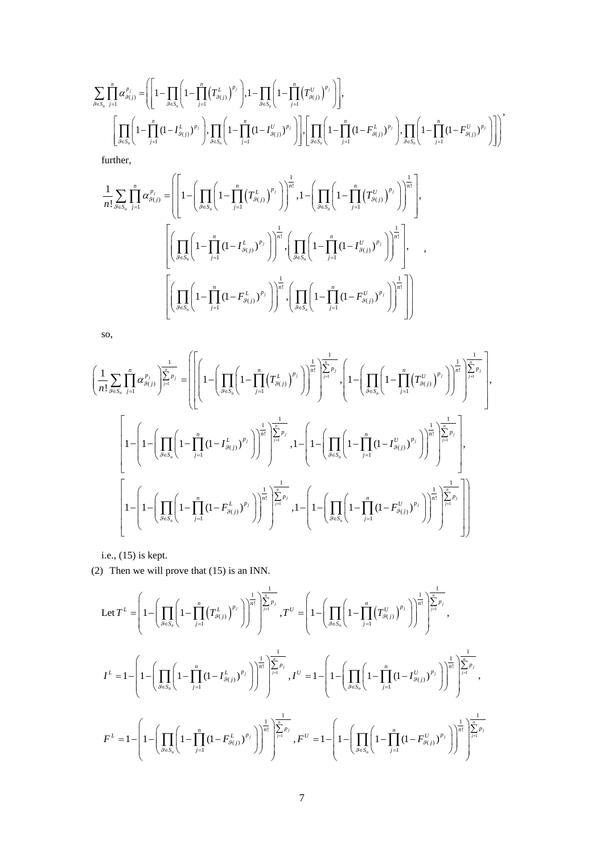$$
\sum_{\beta \in S_n} \prod_{j=1}^n \alpha_{\beta(j)}^{p_j} = \left( \left[ 1 - \prod_{j=1}^n \left( 1 - \prod_{j=1}^n (T_{\beta(j)}^{L})^{p_j} \right), 1 - \prod_{\beta \in S_n} \left( 1 - \prod_{j=1}^n (T_{\beta(j)}^{U})^{p_j} \right) \right],
$$
\n
$$
\left[ \prod_{\beta \in S_n} \left( 1 - \prod_{j=1}^n (1 - I_{\beta(j)}^{L})^{p_j} \right), \prod_{\beta \in S_n} \left( 1 - \prod_{j=1}^n (1 - I_{\beta(j)}^{U})^{p_j} \right) \right], \left[ \prod_{\beta \in S_n} \left( 1 - \prod_{j=1}^n (1 - F_{\beta(j)}^{L})^{p_j} \right), \prod_{\beta \in S_n} \left( 1 - \prod_{j=1}^n (1 - F_{\beta(j)}^{U})^{p_j} \right) \right]
$$
\nfurther,  
\n
$$
\frac{1}{n!} \sum_{\beta \in S_n} \prod_{j=1}^n \alpha_{\beta(j)}^{p_j} = \left( \left[ 1 - \left( \prod_{\beta \in S_n} \left( 1 - \prod_{j=1}^n (T_{\beta(j)}^{L})^{p_j} \right) \right)^{\frac{1}{n!}}, 1 - \left( \prod_{\beta \in S_n} \left( 1 - \prod_{j=1}^n (T_{\beta(j)}^{U})^{p_j} \right) \right)^{\frac{1}{n!}},
$$
\n
$$
\left[ \left( \prod_{\beta \in S_n} \left( 1 - \prod_{j=1}^n (1 - I_{\beta(j)}^{L})^{p_j} \right) \right)^{\frac{1}{n!}}, \left( \prod_{\beta \in S_n} \left( 1 - \prod_{j=1}^n (1 - I_{\beta(j)}^{U})^{p_j} \right) \right)^{\frac{1}{n!}}, \dots, \right]
$$
\n
$$
\left[ \left( \prod_{\beta \in S_n} \left( 1 - \prod_{j=1}^n (1 - F_{\beta(j)}^{L})^{p_j} \right) \right)^{\frac{1}{n!}}, \left( \prod_{\beta \in S_n} \left( 1 - \prod_{j=1}^n (1 - F_{\beta(j)}^{U})^{p_j} \right) \right)^{\frac{1
$$

,

so,

$$
\left(\frac{1}{n!}\sum_{g\in S_n}\prod_{j=1}^n\alpha^{p_j}_{g(j)}\right)^{\frac{1}{\sum_{j=1}^n p_j}}=\left[\left[\left(1-\left(\prod_{g\in S_n}\left(1-\prod_{j=1}^n\left(T_{g(j)}^{L}\right)^{p_j}\right)\right)^{\frac{1}{n!}}\right)^{\frac{1}{\sum_{j=1}^n p_j}}\right]\left(1-\left(\prod_{g\in S_n}\left(1-\prod_{j=1}^n\left(T_{g(j)}^{U}\right)^{p_j}\right)\right)^{\frac{1}{n!}}\right)^{\frac{1}{\sum_{j=1}^n p_j}}\right)\right]^{\frac{1}{n!}}\left(\frac{1}{n!}\sum_{j=1}^n\left(1-\prod_{j=1}^n\left(T_{g(j)}^{U}\right)^{p_j}\right)\right)^{\frac{1}{n!}}\right)^{\frac{1}{\sum_{j=1}^n p_j}}.
$$
\n
$$
\left[1-\left(1-\left(\prod_{g\in S_n}\left(1-\prod_{j=1}^n\left(1-\prod_{j=1}^n\left(1-F_{g(j)}^{L}\right)^{p_j}\right)\right)^{\frac{1}{n!}}\right)^{\frac{1}{\sum_{j=1}^n p_j}},1-\left(1-\left(\prod_{g\in S_n}\left(1-\prod_{j=1}^n\left(1-F_{g(j)}^{U}\right)^{p_j}\right)\right)^{\frac{1}{n!}}\right)^{\frac{1}{\sum_{j=1}^n p_j}},1-\left(1-\left(\prod_{g\in S_n}\left(1-\prod_{j=1}^n\left(1-F_{g(j)}^{U}\right)^{p_j}\right)\right)^{\frac{1}{n!}}\right)^{\frac{1}{\sum_{j=1}^n p_j}}\right]
$$

i.e., (15) is kept.

(2) Then we will prove that (15) is an INN.

$$
\begin{split} \text{Let } T^{L} &= \left(1-\left(\prod_{\theta \in S_{n}}\left(1-\prod_{j=1}^{n}\left(T_{\theta(j)}^{L}\right)^{p_{j}}\right)\right)^{\frac{1}{n!}}\right)^{\frac{1}{\sum_{j=1}^{n}p_{j}}}, T^{U} &= \left(1-\left(\prod_{\theta \in S_{n}}\left(1-\prod_{j=1}^{n}\left(T_{\theta(j)}^{U}\right)^{p_{j}}\right)\right)^{\frac{1}{n!}}\right)^{\frac{1}{\sum_{j=1}^{n}p_{j}}},\\ I^{L} &=1-\left(1-\left(\prod_{\theta \in S_{n}}\left(1-\prod_{j=1}^{n}\left(1-I_{\theta(j)}^{L}\right)^{p_{j}}\right)\right)^{\frac{1}{n!}}\right)^{\frac{1}{\sum_{j=1}^{n}p_{j}}}, I^{U} &=1-\left(1-\left(\prod_{\theta \in S_{n}}\left(1-\prod_{j=1}^{n}\left(1-I_{\theta(j)}^{U}\right)^{p_{j}}\right)\right)^{\frac{1}{n!}}\right)^{\frac{1}{\sum_{j=1}^{n}p_{j}}},\\ F^{L} &=1-\left(1-\left(\prod_{\theta \in S_{n}}\left(1-\prod_{j=1}^{n}\left(1-F_{\theta(j)}^{L}\right)^{p_{j}}\right)\right)^{\frac{1}{n!}}\right)^{\frac{1}{\sum_{j=1}^{n}p_{j}}}, F^{U} &=1-\left(1-\left(\prod_{\theta \in S_{n}}\left(1-\prod_{j=1}^{n}\left(1-F_{\theta(j)}^{U}\right)^{p_{j}}\right)\right)^{\frac{1}{n!}}\right)^{\frac{1}{\sum_{j=1}^{n}p_{j}}},\\ F^{U} &=1-\left(1-\left(\prod_{\theta \in S_{n}}\left(1-\prod_{j=1}^{n}\left(1-F_{\theta(j)}^{U}\right)^{p_{j}}\right)\right)^{\frac{1}{n!}}\right)^{\frac{1}{\sum_{j=1}^{n}p_{j}}}, F^{U} &=1-\left(1-\left(\prod_{\theta \in S_{n}}\left(1-\prod_{j=1}^{n}\left(1-F_{\theta(j)}^{U}\right)^{p_{j}}\right)\right)^{\frac{1}{n!}}\right)^{\frac{1}{\sum_{j=1}^{
$$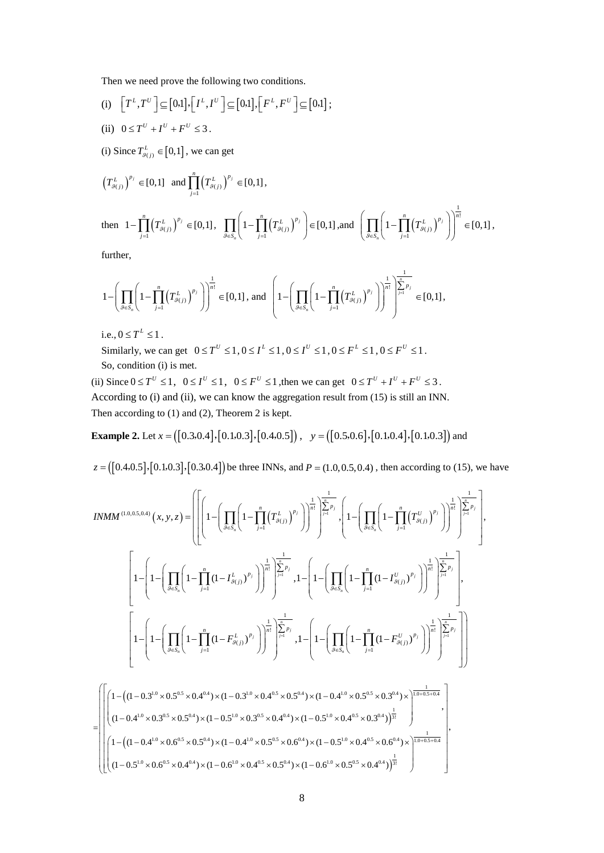Then we need prove the following two conditions.

(i) 
$$
\left[T^L, T^U\right] \subseteq [0,1], \left[I^L, I^U\right] \subseteq [0,1], \left[F^L, F^U\right] \subseteq [0,1]
$$
;

- (ii)  $0 \le T^U + I^U + F^U \le 3$ .
- (i) Since  $T_{g(j)}^L \in [0,1]$ , we can get

$$
\left(T^L_{\mathcal{G}(j)}\right)^{p_j} \in [0,1] \text{ and } \prod_{j=1}^n \left(T^L_{\mathcal{G}(j)}\right)^{p_j} \in [0,1],
$$

then 
$$
1 - \prod_{j=1}^{n} (T_{g(j)}^L)^{p_j} \in [0,1]
$$
,  $\prod_{g \in S_n} \left(1 - \prod_{j=1}^{n} (T_{g(j)}^L)^{p_j}\right) \in [0,1]$ , and  $\left(\prod_{g \in S_n} \left(1 - \prod_{j=1}^{n} (T_{g(j)}^L)^{p_j}\right)\right)^{\frac{1}{n!}} \in [0,1]$ ,

further,

$$
1 - \left(\prod_{\mathcal{S} \in S_n} \left(1 - \prod_{j=1}^n \left(T_{\mathcal{S}(j)}^L\right)^{p_j}\right)\right)^{\frac{1}{n!}} \in [0,1], \text{ and } \left(1 - \left(\prod_{\mathcal{S} \in S_n} \left(1 - \prod_{j=1}^n \left(T_{\mathcal{S}(j)}^L\right)^{p_j}\right)\right)^{\frac{1}{n!}}\right)^{\frac{1}{\left|\sum_{j=1}^n p_j\right|}} \in [0,1],
$$

i.e.,  $0 \le T^L \le 1$ .

Similarly, we can get  $0 \le T^U \le 1, 0 \le I^L \le 1, 0 \le I^U \le 1, 0 \le F^L \le 1, 0 \le F^U \le 1$ . So, condition (i) is met.

(ii) Since  $0 \le T^U \le 1$ ,  $0 \le I^U \le 1$ ,  $0 \le F^U \le 1$ , then we can get  $0 \le T^U + I^U + F^U \le 3$ . According to (i) and (ii), we can know the aggregation result from (15) is still an INN. Then according to (1) and (2), Theorem 2 is kept.

**Example 2.** Let  $x = ([0.3, 0.4], [0.1, 0.3], [0.4, 0.5])$ ,  $y = ([0.5, 0.6], [0.1, 0.4], [0.1, 0.3])$  and

 $z = ([0.4, 0.5], [0.1, 0.3], [0.3, 0.4])$  be three INNs, and  $P = (1.0, 0.5, 0.4)$ , then according to (15), we have

$$
INMM^{(1.0,0.5,0.4)}(x,y,z) = \left[ \left[ \left( 1 - \left( \prod_{g \in S_n} \left( 1 - \prod_{j=1}^n (T_{g(j)}^L)^{p_j} \right) \right)^{\frac{1}{n!}} \right) \sum_{j=1}^{\frac{1}{n}} \sum_{j=1}^{\frac{1}{n}} \int_{\gamma} \left( 1 - \left( \prod_{g \in S_n} \left( 1 - \prod_{j=1}^n (T_{g(j)}^U)^{p_j} \right) \right)^{\frac{1}{n!}} \right)^{\frac{1}{n!}} \right] \sum_{j=1}^{\frac{1}{n}} \int_{\gamma} \left( 1 - \left( \prod_{g \in S_n} \left( 1 - \prod_{j=1}^n (T_{g(j)}^U)^{p_j} \right) \right)^{\frac{1}{n!}} \right)^{\frac{1}{n!}} \left( \prod_{j=1}^{\frac{n}{n}} \left( 1 - \prod_{j=1}^n (1 - T_{g(j)}^U)^{p_j} \right) \right)^{\frac{1}{n!}} \right]^{\frac{1}{n!}} \left[ \prod_{j=1}^{\frac{n}{n}} \left( 1 - \prod_{j=1}^n (1 - T_{g(j)}^U)^{p_j} \right) \right]^{\frac{1}{n!}} \right]
$$
\n
$$
\left[ 1 - \left( \prod_{g \in S_n} \left( 1 - \prod_{j=1}^n (1 - F_{g(j)}^L)^{p_j} \right) \right)^{\frac{1}{n!}} \right]^{\frac{1}{n!}} \left[ \prod_{j=1}^{\frac{n}{n}} \left( 1 - \prod_{j=1}^n (1 - F_{g(j)}^U)^{p_j} \right) \right]^{\frac{1}{n!}} \right]^{\frac{1}{n!}} \left[ \prod_{j=1}^{\frac{n}{n}} \left( 1 - \prod_{j=1}^n (1 - F_{g(j)}^U)^{p_j} \right) \right]^{\frac{1}{n!}} \right]
$$

$$
=\left(\left[\left(1-\left((1-0.3^{1.0}\times0.5^{0.5}\times0.4^{0.4})\times(1-0.3^{1.0}\times0.4^{0.5}\times0.5^{0.4})\times(1-0.4^{1.0}\times0.5^{0.5}\times0.3^{0.4})\times\right)\frac{1}{1.0+0.5+0.4}}{1-\left((1-0.4^{1.0}\times0.3^{0.5}\times0.5^{0.4})\times(1-0.5^{1.0}\times0.3^{0.5}\times0.4^{0.4})\times(1-0.5^{1.0}\times0.4^{0.5}\times0.3^{0.4})\right)^{\frac{1}{3!}}}\right)^{\frac{1}{10+0.5+0.4}},\right]
$$
\n
$$
\left(\left(1-\left((1-0.4^{1.0}\times0.6^{0.5}\times0.5^{0.4})\times(1-0.4^{1.0}\times0.5^{0.5}\times0.6^{0.4})\times(1-0.5^{1.0}\times0.4^{0.5}\times0.4^{0.4})\times\right)\frac{1}{1.0+0.5+0.4}}{1-\left((1-0.5^{1.0}\times0.6^{0.5}\times0.4^{0.4})\times(1-0.6^{1.0}\times0.4^{0.5}\times0.6^{0.4})\times(1-0.6^{1.0}\times0.5^{0.5}\times0.4^{0.4})\right)^{\frac{1}{3!}}}\right)^{\frac{1}{10+0.5+0.4}}
$$

,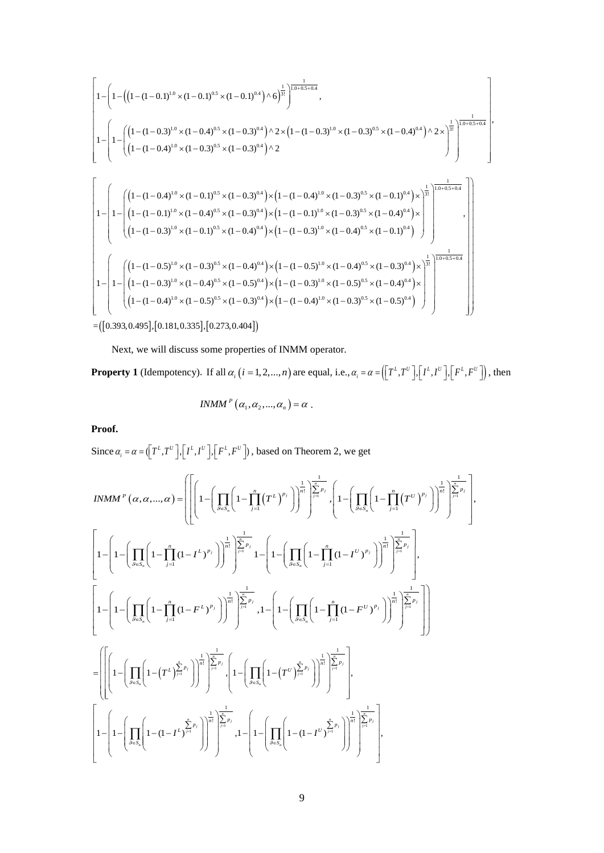$$
\begin{bmatrix}\n1-\left(1-\left(\left(1-(1-0.1)^{1.0}\times(1-0.1)^{0.5}\times(1-0.1)^{0.4}\right)\wedge 6\right)^{\frac{1}{3}}\right)^{\frac{1}{1.0+0.5+0.4}}, \\
1-\left(1-\left(\left(1-(1-0.3)^{1.0}\times(1-0.4)^{0.5}\times(1-0.3)^{0.4}\right)\wedge 2\times\left(1-(1-0.3)^{1.0}\times(1-0.3)^{0.5}\times(1-0.4)^{0.4}\right)\wedge 2\times\right)^{\frac{1}{3}}\right)^{\frac{1}{1.0+0.5+0.4}} \\
1-\left(1-\left(\left(1-(1-0.4)^{1.0}\times(1-0.1)^{0.5}\times(1-0.3)^{0.4}\right)\wedge 2\right)^{\frac{1}{3}}\right)^{\frac{1}{1.0+0.5+0.4}}\left[\left(1-(1-(1-0.4)^{1.0}\times(1-0.4)^{0.5}\times(1-0.3)^{0.4}\right)\times\left(1-(1-(1-0.4)^{1.0}\times(1-0.3)^{0.5}\times(1-0.1)^{0.4}\right)\times\right)^{\frac{1}{3}}\right]^{1.0+0.5+0.4} \\
1-\left(1-\left(\left(1-(1-0.1)^{1.0}\times(1-0.4)^{0.5}\times(1-0.3)^{0.4}\right)\times\left(1-(1-(1-0.1)^{1.0}\times(1-0.3)^{0.5}\times(1-0.4)^{0.4}\right)\times\right)^{\frac{1}{3}}\right)^{\frac{1}{10+0.5+0.4}} \\
1-\left(1-\left(\left(1-(1-0.5)^{1.0}\times(1-0.3)^{0.5}\times(1-0.4)^{0.4}\right)\times\left(1-(1-(1-0.5)^{1.0}\times(1-0.4)^{0.5}\times(1-0.3)^{0.4}\right)\times\right)^{\frac{1}{3}}\right)^{\frac{1}{10+0.5+0.4}}\left[\left(1-(1-(0.5)^{1.0}\times(1-0.3)^{0.5}\times(1-0.4)^{0.4}\right)\times\left(1-(1-(0.5)^{1.0}\times
$$

 $= ( \vert 0.393, 0.495 \vert, \vert 0.181, 0.335 \vert, \vert 0.273, 0.404 \vert )$ 

Next, we will discuss some properties of INMM operator.

**Property 1** (Idempotency). If all  $\alpha_i$   $(i = 1, 2, ..., n)$  are equal, i.e.,  $\alpha_i = \alpha = (\lfloor T^L, T^U \rfloor, \lfloor I^L, I^U \rfloor, \lfloor F^L, F^U \rfloor)$ , then

 $INMM^P(\alpha_1, \alpha_2, ..., \alpha_n) = \alpha$ . **Proof.**

Since  $\alpha_i = \alpha = (\lfloor T^L, T^U \rfloor, \lfloor T^L, I^U \rfloor, \lfloor F^L, F^U \rfloor)$ , based on Theorem 2, we get

$$
INMM^{P}(a, a, ..., a) = \left( \left[ \left( 1 - \left( \prod_{\beta \in S_{n}} \left( 1 - \prod_{j=1}^{n} (T^{L})^{p_{j}} \right) \right)^{\frac{1}{n!}} \right) \sum_{j=1}^{\frac{1}{n-p_{j}}} \left( 1 - \left( \prod_{\beta \in S_{n}} \left( 1 - \prod_{j=1}^{n} (T^{U})^{p_{j}} \right) \right)^{\frac{1}{n!}} \right) \sum_{j=1}^{\frac{1}{n-p_{j}}} \left( 1 - \left( \prod_{\beta \in S_{n}} \left( 1 - \prod_{j=1}^{n} (1 - T^{U})^{p_{j}} \right) \right)^{\frac{1}{n!}} \right) \sum_{j=1}^{\frac{1}{n-p_{j}}} \left( 1 - \left( \prod_{\beta \in S_{n}} \left( 1 - \prod_{j=1}^{n} (1 - T^{U})^{p_{j}} \right) \right)^{\frac{1}{n!}} \right) \sum_{j=1}^{\frac{1}{n-p_{j}}} \left( 1 - \left( \prod_{\beta \in S_{n}} \left( 1 - \prod_{j=1}^{n} (1 - T^{U})^{p_{j}} \right) \right)^{\frac{1}{n!}} \right) \sum_{j=1}^{\frac{1}{n-p_{j}}} \left( 1 - \left( \prod_{\beta \in S_{n}} \left( 1 - \prod_{j=1}^{n} (1 - T^{U})^{p_{j}} \right) \right)^{\frac{1}{n!}} \right) \sum_{j=1}^{\frac{1}{n-p_{j}}} \left( 1 - \left( \prod_{\beta \in S_{n}} \left( 1 - \prod_{j=1}^{n} (1 - T^{U})^{p_{j}} \right) \right)^{\frac{1}{n!}} \right) \sum_{j=1}^{\frac{1}{n-p_{j}}} \left( 1 - \left( \prod_{\beta \in S_{n}} \left( 1 - (T^{U})^{p_{j}} \right) \right)^{\frac{1}{n!}} \right) \sum_{j=1}^{\frac{1}{n-p_{j}}} \left( 1 - \left( \prod_{\beta \in S_{n}} \left( 1 - (T^{U})^{p_{j}} \right) \right)^{\frac{1}{n!}} \right) \sum_{j=1}^{\frac{1}{n-p_{j}}} \left( 1 - \left( \prod_{\beta \in S_{n}} \
$$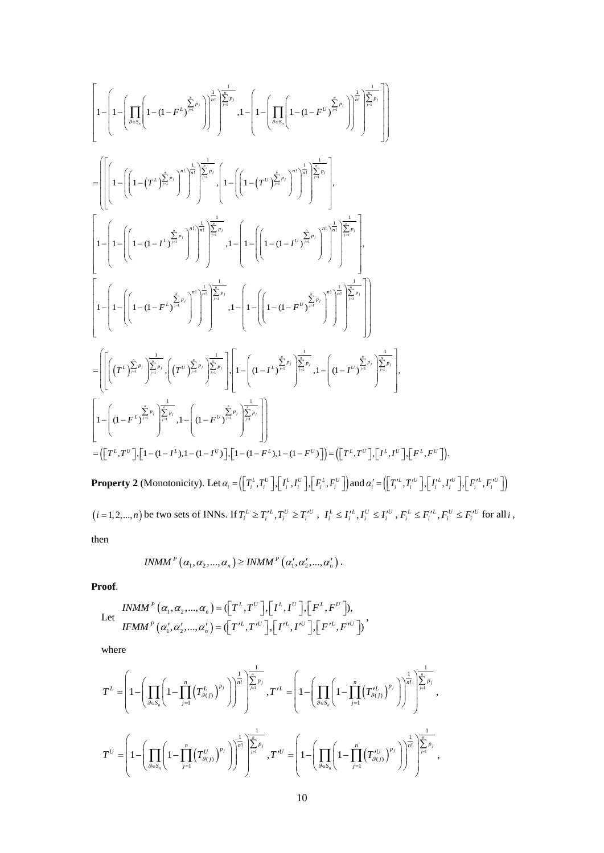$$
\begin{split}\n&\left[1-\left(1-\left(\prod_{\delta\in S_{i}}\left(1-(1-F^{L})^{\sum\limits_{j=1}^{k}p_{j}}\right)\right)^{\frac{1}{m}}\right)^{\sum\limits_{j=1}^{m}\sum\limits_{j=1}^{m}1},1-\left(1-\left(\prod_{\delta\in S_{i}}\left(1-(1-F^{U})^{\sum\limits_{j=1}^{k}p_{j}}\right)\right)^{\frac{1}{m}}\right)^{\sum\limits_{j=1}^{m}\sum\limits_{j=1}^{m}1}\right]\n\end{split}
$$
\n
$$
=\left[\left[\left(1-\left(\left(1-(T^{L})^{\sum\limits_{j=1}^{k}p_{j}}\right)^{m}\right)^{\frac{1}{m}}\right)^{\sum\limits_{j=1}^{m}\sum\limits_{j=1}^{m}1},1-\left(1-\left(\left(1-(T^{U})^{\sum\limits_{j=1}^{k}p_{j}}\right)^{m}\right)^{\frac{1}{m}}\right)^{\sum\limits_{j=1}^{m}\sum\limits_{j=1}^{m}1}\right].
$$
\n
$$
\left[1-\left(1-\left(1-(1-F^{L})^{\sum\limits_{j=1}^{k}p_{j}}\right)^{m}\right)^{\sum\limits_{j=1}^{m}\sum\limits_{j=1}^{m}1},1-\left(1-\left(\left(1-(1-F^{U})^{\sum\limits_{j=1}^{k}p_{j}}\right)^{m}\right)^{\sum\limits_{j=1}^{m}\sum\limits_{j=1}^{m}1}\right].
$$
\n
$$
\left[1-\left(1-(1-F^{L})^{\sum\limits_{j=1}^{k}p_{j}}\right)^{\sum\limits_{j=1}^{m}\sum\limits_{j=1}^{m}1},1-\left(1-\left(\left(1-(1-F^{U})^{\sum\limits_{j=1}^{k}p_{j}}\right)^{m}\right)^{\sum\limits_{j=1}^{m}\sum\limits_{j=1}^{m}1}\right.\right)\right]\n\end{split}
$$
\n
$$
=\left[\left[\left(\left(T^{L})^{\sum\limits_{j=1}^{k}p_{j}}\right)^{\sum\limits_{j=1}^{k}p_{j}}\cdot\left(\left(T^{U}\right)^{\sum\limits_{j=1}^{k}p_{j}}\right)^{\sum\limits_{j=1}^{k}p_{j}}\right)\right]\left[1-\
$$

 $(i=1,2,...,n)$  be two sets of INNs. If  $T_i^L \ge T_i'^L$ ,  $T_i^U \ge T_i'^U$ ,  $I_i^L \le I_i'^L$ ,  $I_i^U \le I_i'^U$ ,  $F_i^L \le F_i'^L$ ,  $F_i^U \le F_i'^U$  for all i, then

$$
INMM^{P}\left(\alpha_{1}, \alpha_{2}, ..., \alpha_{n}\right) \geq INMM^{P}\left(\alpha_{1}', \alpha_{2}', ..., \alpha_{n}'\right).
$$

**Proof**.

Let 
$$
INMM^P(\alpha_1, \alpha_2, ..., \alpha_n) = (\lfloor T^L, T^U \rfloor, \lfloor I^L, I^U \rfloor, \lfloor F^L, F^U \rfloor),
$$

$$
IFMM^P(\alpha'_1, \alpha'_2, ..., \alpha'_n) = (\lfloor T'^L, T'^U \rfloor, \lfloor I'^L, I'^U \rfloor, \lfloor F'^L, F'^U \rfloor)
$$

where

$$
T^{L} = \left(1 - \left(\prod_{\theta \in S_n} \left(1 - \prod_{j=1}^n \left(T_{\theta(j)}^L\right)^{p_j}\right)\right)^{\frac{1}{n!}}\right)^{\frac{1}{\sum_{j=1}^n p_j}}, T'^{L} = \left(1 - \left(\prod_{\theta \in S_n} \left(1 - \prod_{j=1}^n \left(T'^{L}_{\theta(j)}\right)^{p_j}\right)\right)^{\frac{1}{n!}}\right)^{\frac{1}{\sum_{j=1}^n p_j}},
$$
  

$$
T^{U} = \left(1 - \left(\prod_{\theta \in S_n} \left(1 - \prod_{j=1}^n \left(T''_{\theta(j)}\right)^{p_j}\right)\right)^{\frac{1}{n!}}\right)^{\frac{1}{\sum_{j=1}^n p_j}}, T'^{U} = \left(1 - \left(\prod_{\theta \in S_n} \left(1 - \prod_{j=1}^n \left(T''^{U}_{\theta(j)}\right)^{p_j}\right)\right)^{\frac{1}{n!}}\right)^{\frac{1}{\sum_{j=1}^n p_j}},
$$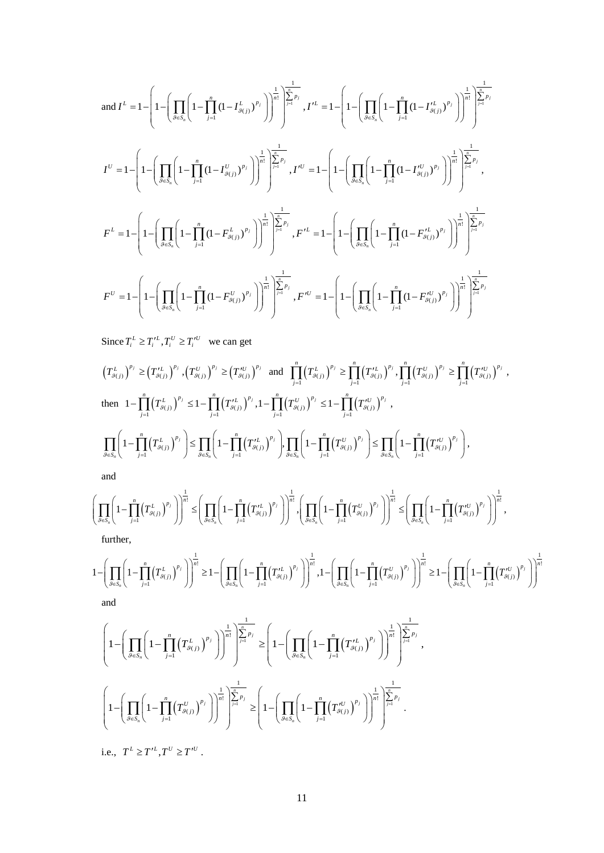$$
\text{and } I^{L} = 1 - \left( 1 - \left( \prod_{g \in S_{n}} \left( 1 - \prod_{j=1}^{n} (1 - I_{g(j)}^{L})^{p_{j}} \right) \right)^{\frac{1}{n!}} \right)^{\frac{1}{\sum_{j=1}^{n} p_{j}}}, I^{L} = 1 - \left( 1 - \left( \prod_{g \in S_{n}} \left( 1 - \prod_{j=1}^{n} (1 - I_{g(j)}^{L})^{p_{j}} \right) \right)^{\frac{1}{n!}} \right)^{\frac{1}{\sum_{j=1}^{n} p_{j}}}
$$
\n
$$
I^{U} = 1 - \left( 1 - \left( \prod_{g \in S_{n}} \left( 1 - \prod_{j=1}^{n} (1 - I_{g(j)}^{U})^{p_{j}} \right) \right)^{\frac{1}{n!}} \right)^{\frac{1}{\sum_{j=1}^{n} p_{j}}}, I^{U} = 1 - \left( 1 - \left( \prod_{g \in S_{n}} \left( 1 - \prod_{j=1}^{n} (1 - I_{g(j)}^{U})^{p_{j}} \right) \right)^{\frac{1}{n!}} \right)^{\frac{1}{\sum_{j=1}^{n} p_{j}}},
$$
\n
$$
F^{L} = 1 - \left( 1 - \left( \prod_{g \in S_{n}} \left( 1 - \prod_{j=1}^{n} (1 - F_{g(j)}^{L})^{p_{j}} \right) \right)^{\frac{1}{n!}} \right)^{\frac{1}{\sum_{j=1}^{n} p_{j}}}, F^{L} = 1 - \left( 1 - \left( \prod_{g \in S_{n}} \left( 1 - \prod_{j=1}^{n} (1 - F_{g(j)}^{L})^{p_{j}} \right) \right)^{\frac{1}{n!}} \right)^{\frac{1}{\sum_{j=1}^{n} p_{j}}}
$$
\n
$$
F^{U} = 1 - \left( 1 - \left( \prod_{g \in S_{n}} \left( 1 - \prod_{j=1}^{n} (1 - F_{g(j)}^{U})^{p_{j}} \right) \right)^{\frac{1}{n!}} \right)^{\frac{1}{\sum_{j=1}^{n} p_{j}}}, F^{L} = 1 - \left( 1 - \left( \prod_{g \in S_{n}} \left( 1 - \prod_{j=1}^{n} (1 - F_{g(j)}^{U})^{
$$

Since  $T_i^L \ge T_i^{\prime L}$ ,  $T_i^U \ge T_i^{\prime U}$  we can get

$$
\left(T_{g(j)}^{L}\right)^{p_{j}} \geq \left(T_{g(j)}^{rL}\right)^{p_{j}}, \left(T_{g(j)}^{U}\right)^{p_{j}} \geq \left(T_{g(j)}^{rU}\right)^{p_{j}} \text{ and } \prod_{j=1}^{n} \left(T_{g(j)}^{L}\right)^{p_{j}} \geq \prod_{j=1}^{n} \left(T_{g(j)}^{rL}\right)^{p_{j}}, \prod_{j=1}^{n} \left(T_{g(j)}^{U}\right)^{p_{j}} \geq \prod_{j=1}^{n} \left(T_{g(j)}^{rU}\right)^{p_{j}},
$$
\n
$$
\text{then } 1 - \prod_{j=1}^{n} \left(T_{g(j)}^{L}\right)^{p_{j}} \leq 1 - \prod_{j=1}^{n} \left(T_{g(j)}^{rL}\right)^{p_{j}}, 1 - \prod_{j=1}^{n} \left(T_{g(j)}^{U}\right)^{p_{j}} \leq 1 - \prod_{j=1}^{n} \left(T_{g(j)}^{rU}\right)^{p_{j}},
$$
\n
$$
\prod_{\beta \in S_{n}} \left(1 - \prod_{j=1}^{n} \left(T_{g(j)}^{L}\right)^{p_{j}}\right) \leq \prod_{\beta \in S_{n}} \left(1 - \prod_{j=1}^{n} \left(T_{g(j)}^{rL}\right)^{p_{j}}\right), \prod_{\beta \in S_{n}} \left(1 - \prod_{j=1}^{n} \left(T_{g(j)}^{U}\right)^{p_{j}}\right) \leq \prod_{\beta \in S_{n}} \left(1 - \prod_{j=1}^{n} \left(T_{g(j)}^{rU}\right)^{p_{j}}\right),
$$
\nand

and

$$
\left(\prod_{\mathcal{G}\in S_n}\left(1-\prod_{j=1}^n\left(T^L_{\mathcal{G}(j)}\right)^{p_j}\right)\right)^{\frac{1}{n!}}\leq\left(\prod_{\mathcal{G}\in S_n}\left(1-\prod_{j=1}^n\left(T'^L_{\mathcal{G}(j)}\right)^{p_j}\right)\right)^{\frac{1}{n!}},\left(\prod_{\mathcal{G}\in S_n}\left(1-\prod_{j=1}^n\left(T^U_{\mathcal{G}(j)}\right)^{p_j}\right)\right)^{\frac{1}{n!}}\leq\left(\prod_{\mathcal{G}\in S_n}\left(1-\prod_{j=1}^n\left(T'^U_{\mathcal{G}(j)}\right)^{p_j}\right)\right)^{\frac{1}{n!}},
$$
 further,

$$
1 - \left(\prod_{\beta \in S_n} \left(1 - \prod_{j=1}^n \left(T_{\beta(j)}^L\right)^{p_j}\right)\right)^{\frac{1}{n!}} \ge 1 - \left(\prod_{\beta \in S_n} \left(1 - \prod_{j=1}^n \left(T_{\beta(j)}^L\right)^{p_j}\right)\right)^{\frac{1}{n!}}, 1 - \left(\prod_{\beta \in S_n} \left(1 - \prod_{j=1}^n \left(T_{\beta(j)}^U\right)^{p_j}\right)\right)^{\frac{1}{n!}} \ge 1 - \left(\prod_{\beta \in S_n} \left(1 - \prod_{j=1}^n \left(T_{\beta(j)}^U\right)^{p_j}\right)\right)^{\frac{1}{n!}}
$$
  
and

$$
\left(1 - \left(\prod_{\mathcal{G}\in S_n} \left(1 - \prod_{j=1}^n (T_{\mathcal{G}(j)}^L)^{p_j}\right)\right)^{\frac{1}{n!}}\right)^{\frac{1}{n!}} \ge \left(1 - \left(\prod_{\mathcal{G}\in S_n} \left(1 - \prod_{j=1}^n (T_{\mathcal{G}(j)}^{\prime L})^{p_j}\right)\right)^{\frac{1}{n!}}\right)^{\frac{1}{n!}} \ge \left(1 - \left(\prod_{\mathcal{G}\in S_n} \left(1 - \prod_{j=1}^n (T_{\mathcal{G}(j)}^{\prime L})^{p_j}\right)\right)^{\frac{1}{n!}}\right)^{\frac{1}{n!}}.
$$

i.e.,  $T^L \ge T'^L, T^U \ge T'^U$ .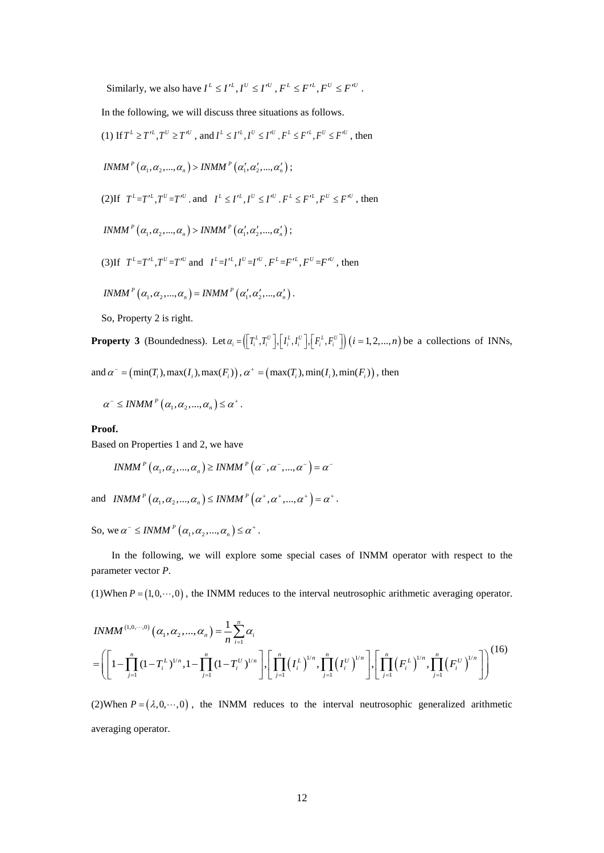Similarly, we also have  $I^L \leq I'^L$ ,  $I^U \leq I'^U$ ,  $F^L \leq F'^L$ ,  $F^U \leq F'^U$ .

In the following, we will discuss three situations as follows.

 $(1)$  If  $T^L \ge T'^L$ ,  $T^U \ge T'^U$ , and  $I^L \le I'^L$ ,  $I^U \le I'^U$ ,  $F^L \le F'^L$ ,  $F^U \le F'^U$ , then  $INMM^P\left( {\alpha _1 ,\alpha _2 ,...,\alpha _n } \right) > INMM^P\left( {\alpha '_1 ,\alpha '_2 ,...,\alpha '_n } \right);$ 

(2) If 
$$
T^L = T'^L
$$
,  $T^U = T'^U$ , and  $I^L \leq I'^L$ ,  $I^U \leq I'^U$ ,  $F^L \leq F'^L$ ,  $F^U \leq F'^U$ , then

 $\textit{INMM} \text{ }^{P}\left(\alpha_{_{1}}, \alpha_{_{2}}, ..., \alpha_{_{n}}\right)$  >  $\textit{INMM} \text{ }^{P}\left(\alpha_{_{1}}^{\prime}, \alpha_{_{2}}^{\prime}, ..., \alpha_{_{n}}^{\prime}\right);$ 

(3) If 
$$
T^L = T'^L
$$
,  $T^U = T'^U$  and  $I^L = I'^L$ ,  $I^U = I'^U$ ,  $F^L = F'^L$ ,  $F^U = F'^U$ , then

$$
INMMP (\alpha_1, \alpha_2, ..., \alpha_n) = INMMP (\alpha'_1, \alpha'_2, ..., \alpha'_n).
$$

So, Property 2 is right.

**Property 3** (Boundedness). Let  $\alpha_i = (\lfloor T_i^L, T_i^U \rfloor, \lfloor I_i^L, I_i^U \rfloor, \lfloor F_i^L, F_i^U \rfloor)$   $(i = 1, 2, ..., n)$  be a collections of INNs,

and  $\alpha^- = (\min(T_i), \max(I_i), \max(F_i))$ ,  $\alpha^+ = (\max(T_i), \min(I_i), \min(F_i))$ , then

$$
\alpha^{-} \leq INMM^{P}\left(\alpha_{1}, \alpha_{2}, ..., \alpha_{n}\right) \leq \alpha^{+}.
$$

**Proof.**

Based on Properties 1 and 2, we have

$$
INMM^{P}\left(\alpha_{1},\alpha_{2},...,\alpha_{n}\right) \geq INMM^{P}\left(\alpha^{-},\alpha^{-},...,\alpha^{-}\right) = \alpha^{-}
$$

and  $\textit{INMM}^P(\alpha_1, \alpha_2, ..., \alpha_n) \leq \textit{INMM}^P(\alpha^*, \alpha^*, ..., \alpha^*) = \alpha^*.$ 

So, we  $\alpha^- \leq INMM^P(\alpha_1, \alpha_2, ..., \alpha_n) \leq \alpha^+$ .

In the following, we will explore some special cases of INMM operator with respect to the parameter vector *P*.

(1)When  $P = (1, 0, \dots, 0)$ , the INMM reduces to the interval neutrosophic arithmetic averaging operator.

$$
INMM^{(1,0,\cdots,0)}(\alpha_1,\alpha_2,\ldots,\alpha_n) = \frac{1}{n} \sum_{i=1}^n \alpha_i
$$
  
=  $\left[ \left[ 1 - \prod_{j=1}^n (1 - T_i^L)^{1/n}, 1 - \prod_{j=1}^n (1 - T_i^U)^{1/n} \right], \left[ \prod_{j=1}^n (I_i^L)^{1/n}, \prod_{j=1}^n (I_i^U)^{1/n} \right], \left[ \prod_{j=1}^n (F_i^L)^{1/n}, \prod_{j=1}^n (F_i^U)^{1/n} \right] \right)^{(16)}$ 

(2)When  $P = (\lambda, 0, \dots, 0)$ , the INMM reduces to the interval neutrosophic generalized arithmetic averaging operator.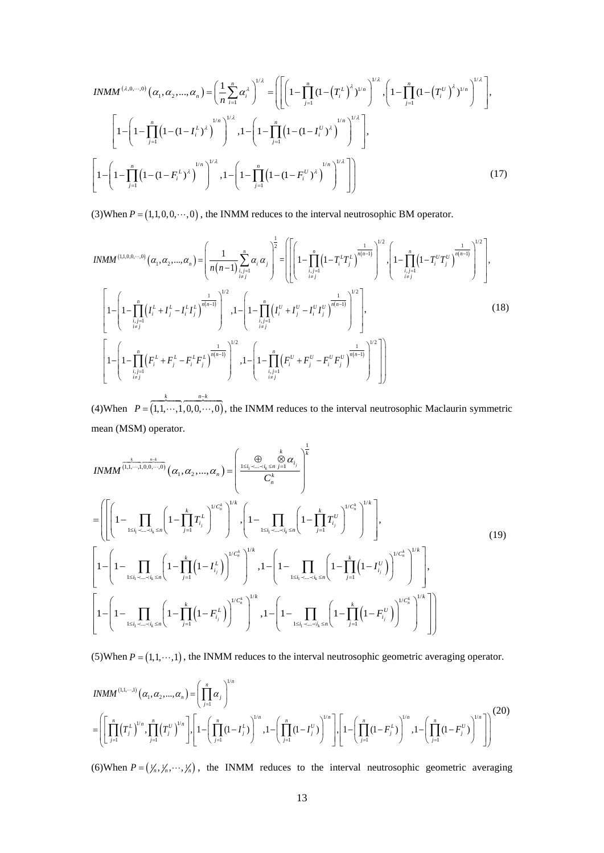$$
INMM^{(\lambda,0,\cdots,0)}(\alpha_1,\alpha_2,\ldots,\alpha_n) = \left(\frac{1}{n}\sum_{i=1}^n \alpha_i^{\lambda}\right)^{1/\lambda} = \left(\left[\left(1-\prod_{j=1}^n \left(1-\left(T_i^L\right)^{\lambda}\right)^{1/n}\right)^{1/\lambda}, \left(1-\prod_{j=1}^n \left(1-\left(T_i^U\right)^{\lambda}\right)^{1/n}\right)^{1/\lambda}\right],
$$
\n
$$
\left[1-\left(1-\prod_{j=1}^n \left(1-(1-I_i^L)^{\lambda}\right)^{1/n}\right)^{1/\lambda}, 1-\left(1-\prod_{j=1}^n \left(1-(1-I_i^U)^{\lambda}\right)^{1/n}\right)^{1/\lambda}\right],
$$
\n
$$
\left[1-\left(1-\prod_{j=1}^n \left(1-(1-F_i^L)^{\lambda}\right)^{1/n}\right)^{1/\lambda}, 1-\left(1-\prod_{j=1}^n \left(1-(1-F_i^U)^{\lambda}\right)^{1/n}\right)^{1/\lambda}\right]\right],
$$
\n(17)

(3)When  $P = (1,1,0,0,\dots,0)$ , the INMM reduces to the interval neutrosophic BM operator.

$$
INMM^{(1,1,0,0,\cdots,0)}(\alpha_1, \alpha_2, \ldots, \alpha_n) = \left(\frac{1}{n(n-1)} \sum_{\substack{i,j=1 \ i \neq j}}^n \alpha_i \alpha_j\right)^{\frac{1}{2}} = \left[\left[\left(1 - \prod_{\substack{i,j=1 \ i \neq j}}^n \left(1 - T_i^L T_j^L\right)^{\frac{1}{n(n-1)}}\right)^{1/2}, \left(1 - \prod_{\substack{i,j=1 \ i \neq j}}^n \left(1 - T_i^U T_j^U\right)^{\frac{1}{n(n-1)}}\right)^{1/2}\right],
$$
\n
$$
\left[1 - \left(1 - \prod_{\substack{i,j=1 \ i \neq j}}^n \left(I_i^L + I_j^L - I_i^L I_j^L\right)^{\frac{1}{n(n-1)}}\right)^{1/2}, 1 - \left(1 - \prod_{\substack{i,j=1 \ i \neq j}}^n \left(I_i^U + I_j^U - I_i^U I_j^U\right)^{\frac{1}{n(n-1)}}\right)^{1/2}\right],
$$
\n
$$
\left[1 - \left(1 - \prod_{\substack{i,j=1 \ i \neq j}}^n \left(F_i^L + F_j^L - F_i^L F_j^L\right)^{\frac{1}{n(n-1)}}\right)^{1/2}, 1 - \left(1 - \prod_{\substack{i,j=1 \ i \neq j}}^n \left(F_i^U + F_j^U - F_i^U F_j^U\right)^{\frac{1}{n(n-1)}}\right)^{1/2}\right]\right]
$$
\n(18)

(4)When  $P = (1,1, \dots,1,0,0, \dots,0)$ *k nk P* − =  $\begin{array}{ccc} k & n-k \end{array}$  $..., 1, 0, 0, ..., 0$ , the INMM reduces to the interval neutrosophic Maclaurin symmetric mean (MSM) operator.

$$
INMM^{\frac{k}{(1,1,\cdots,1,0,0,\cdots,0)}}(\alpha_1, \alpha_2, \ldots, \alpha_n) = \left(\frac{\bigoplus_{1 \le i_1 < \ldots < i_k \le n} \bigotimes_{j=1}^{k} \alpha_i}{C_n^k}\right)^{\frac{1}{k}}
$$
\n
$$
= \left(\left[\left(1 - \prod_{1 \le i_1 < \ldots < i_k \le n} \left(1 - \prod_{j=1}^k T_{i_j}^L\right)^{1/C_n^k}\right)^{1/k}, \left(1 - \prod_{1 \le i_1 < \ldots < i_k \le n} \left(1 - \prod_{j=1}^k T_{i_j}^U\right)^{1/C_n^k}\right)^{1/k}\right],
$$
\n
$$
\left[1 - \left(1 - \prod_{1 \le i_1 < \ldots < i_k \le n} \left(1 - \prod_{j=1}^k \left(1 - I_{i_j}^L\right)\right)^{1/C_n^k}\right)^{1/k}, 1 - \left(1 - \prod_{1 \le i_1 < \ldots < i_k \le n} \left(1 - \prod_{j=1}^k \left(1 - I_{i_j}^U\right)\right)^{1/C_n^k}\right)^{1/k}\right],
$$
\n
$$
\left[1 - \left(1 - \prod_{1 \le i_1 < \ldots < i_k \le n} \left(1 - \prod_{j=1}^k \left(1 - F_{i_j}^L\right)\right)^{1/C_n^k}\right)^{1/k}, 1 - \left(1 - \prod_{1 \le i_1 < \ldots < i_k \le n} \left(1 - \prod_{j=1}^k \left(1 - F_{i_j}^U\right)\right)^{1/C_n^k}\right)^{1/k}\right]
$$
\n
$$
\left[1 - \left(1 - \prod_{1 \le i_1 < \ldots < i_k \le n} \left(1 - \prod_{j=1}^k \left(1 - F_{i_j}^L\right)\right)^{1/C_n^k}\right)^{1/k}, 1 - \left(1 - \prod_{1 \le i_1 < \ldots < i_k \le n} \left(1 - \prod_{j=1}^k \left(1 - F_{i_j}^U\right)\right)^{1/C_n^k}\right)^{1/k}\right]
$$
\n
$$
\left[1
$$

(5)When  $P = (1,1,\dots,1)$ , the INMM reduces to the interval neutrosophic geometric averaging operator.

$$
INMM^{(1,1,\cdots,1)}(\alpha_1,\alpha_2,\ldots,\alpha_n) = \left(\prod_{j=1}^n \alpha_j\right)^{1/n}
$$
  
= 
$$
\left(\left[\prod_{j=1}^n (T_j^L)^{1/n}, \prod_{j=1}^n (T_j^U)^{1/n}\right], \left[1 - \left(\prod_{j=1}^n (1 - I_j^L)\right)^{1/n}, 1 - \left(\prod_{j=1}^n (1 - I_j^U)\right)^{1/n}\right], \left[1 - \left(\prod_{j=1}^n (1 - F_j^L)\right)^{1/n}, 1 - \left(\prod_{j=1}^n (1 - F_j^U)\right)^{1/n}\right]\right)
$$
(20)

(6)When  $P = (\frac{1}{n}, \frac{1}{n}, \dots, \frac{1}{n})$ , the INMM reduces to the interval neutrosophic geometric averaging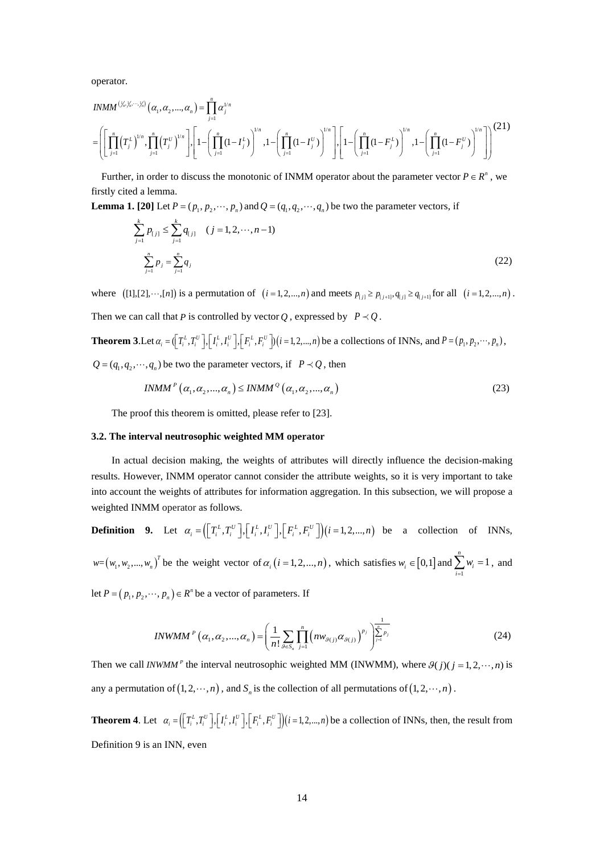operator.

$$
INMM^{(\frac{V_n}{N_n},\cdots,\frac{V_n}{N})}(\alpha_1,\alpha_2,\ldots,\alpha_n) = \prod_{j=1}^n \alpha_j^{1/n}
$$
\n
$$
= \left[ \prod_{j=1}^n (T_j^L)^{1/n}, \prod_{j=1}^n (T_j^U)^{1/n} \right] \left[ 1 - \left( \prod_{j=1}^n (1 - I_j^L) \right)^{1/n}, 1 - \left( \prod_{j=1}^n (1 - I_j^U) \right)^{1/n} \right] \left[ 1 - \left( \prod_{j=1}^n (1 - F_j^L) \right)^{1/n}, 1 - \left( \prod_{j=1}^n (1 - F_j^U) \right)^{1/n} \right] \right]^{(21)}
$$

Further, in order to discuss the monotonic of INMM operator about the parameter vector  $P \in R^n$ , we firstly cited a lemma.

**Lemma 1. [20]** Let  $P = (p_1, p_2, \dots, p_n)$  and  $Q = (q_1, q_2, \dots, q_n)$  be two the parameter vectors, if

$$
\sum_{j=1}^{k} p_{[j]} \le \sum_{j=1}^{k} q_{[j]} \quad (j = 1, 2, \cdots, n-1)
$$
\n
$$
\sum_{j=1}^{n} p_j = \sum_{j=1}^{n} q_j \tag{22}
$$

where  $([1], [2], \dots, [n])$  is a permutation of  $(i = 1, 2, ..., n)$  and meets  $p_{[j]} \ge p_{[j+1]}, q_{[j]} \ge q_{[j+1]}$  for all  $(i = 1, 2, ..., n)$ . Then we can call that *P* is controlled by vector *Q*, expressed by  $P \prec Q$ .

**Theorem 3**. Let  $\alpha_i = (\binom{T_i^L, T_i^U}{I_i^L, I_i^U}, \binom{I^L, I^U_i}{I_i^L, I_i^U}, \binom{I^L, I^U_i}{I_i^L, I_i^U}, \binom{I^L, I^U_i}{I_i^L, I_i^U}, \binom{I^L, I^U_i}{I_i^L, I_i^U}, \binom{I^L, I^U_i}{I_i^L, I_i^U}, \binom{I^L, I^U_i}{I_i^L, I_i^U}, \binom{I^L, I^U_i}{I_i^L, I_i^U}, \binom{I^L, I^U_i}{I_i$  $Q = (q_1, q_2, \dots, q_n)$  be two the parameter vectors, if  $P \prec Q$ , then

$$
INMMp (\alpha_1, \alpha_2, ..., \alpha_n) \leq INMMQ (\alpha_1, \alpha_2, ..., \alpha_n)
$$
\n(23)

The proof this theorem is omitted, please refer to [23].

#### **3.2. The interval neutrosophic weighted MM operator**

In actual decision making, the weights of attributes will directly influence the decision-making results. However, INMM operator cannot consider the attribute weights, so it is very important to take into account the weights of attributes for information aggregation. In this subsection, we will propose a weighted INMM operator as follows.

**Definition 9.** Let 
$$
\alpha_i = (\left[T_i^L, T_i^U\right], \left[T_i^L, I_i^U\right], \left[F_i^L, F_i^U\right]) (i = 1, 2, ..., n)
$$
 be a collection of INNs,  

$$
w = (w_1, w_2, ..., w_n)^T
$$
 be the weight vector of  $\alpha_i$  ( $i = 1, 2, ..., n$ ), which satisfies  $w_i \in [0, 1]$  and  $\sum_{i=1}^n w_i = 1$ , and

let  $P = ( p_1, p_2, \dots, p_n ) \in R^n$  be a vector of parameters. If

*INWMM*<sup>*P*</sup> (
$$
\alpha_1, \alpha_2, ..., \alpha_n
$$
) =  $\left(\frac{1}{n!} \sum_{\beta \in S_n} \prod_{j=1}^n \left(nw_{\beta(j)}\alpha_{\beta(j)}\right)^{p_j} \right)^{\frac{1}{\sum_{j=1}^n p_j}}$  (24)

Then we call *INWMM*<sup>*P*</sup> the interval neutrosophic weighted MM (INWMM), where  $\mathcal{G}(j)(j = 1, 2, \dots, n)$  is any a permutation of  $(1, 2, \dots, n)$ , and  $S_n$  is the collection of all permutations of  $(1, 2, \dots, n)$ .

**Theorem 4.** Let  $\alpha_i = (\lfloor T_i^L, T_i^U \rfloor, \lfloor I_i^L, I_i^U \rfloor, \lfloor F_i^L, F_i^U \rfloor)(i=1, 2, ..., n)$  be a collection of INNs, then, the result from Definition 9 is an INN, even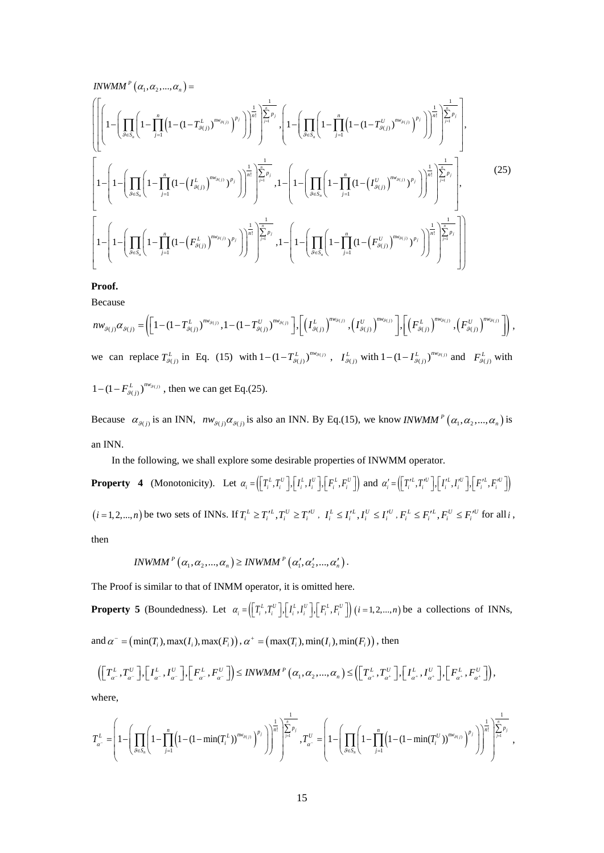$$
INWMM^{P}(\alpha_{1}, \alpha_{2}, ..., \alpha_{n}) = \left[ \left[ \left( 1 - \prod_{j=1}^{n} \left( 1 - \prod_{j=1}^{n} \left( 1 - (1 - T_{g(j)}^{L})^{m_{g(j)}} \right)^{p_{j}} \right) \right)^{\frac{1}{n!}} \right] \sum_{j=1}^{\frac{1}{n}} p_{j}, \left( 1 - \left( \prod_{j\in S_{n}} \left( 1 - \prod_{j=1}^{n} \left( 1 - (1 - T_{g(j)}^{U})^{m_{g(j)}} \right)^{p_{j}} \right) \right)^{\frac{1}{n!}} \right)^{\frac{1}{n!}} \sum_{j=1}^{\frac{1}{n}} p_{j}, \left( 1 - \left( \prod_{j\in S_{n}} \left( 1 - \prod_{j=1}^{n} \left( 1 - (1 - T_{g(j)}^{U})^{m_{g(j)}} \right)^{p_{j}} \right) \right)^{\frac{1}{n!}} \right)^{\frac{1}{n!}} \right]
$$
\n
$$
\left[ 1 - \left( 1 - \left( \prod_{g \in S_{n}} \left( 1 - \prod_{j=1}^{n} \left( 1 - \left( T_{g(j)}^{L} \right)^{m_{g(j)}} \right)^{p_{j}} \right) \right)^{\frac{1}{n!}} \right)^{\frac{1}{n!}} \right] \sum_{j=1}^{\frac{1}{n}} p_{j}, \left( 1 - \left( \prod_{g \in S_{n}} \left( 1 - \prod_{j=1}^{n} \left( 1 - \left( T_{g(j)}^{U} \right)^{m_{g(j)}} \right)^{p_{j}} \right) \right)^{\frac{1}{n!}} \right)^{\frac{1}{n!}} \right]
$$
\n
$$
\left[ 1 - \left( 1 - \left( \prod_{g \in S_{n}} \left( 1 - \prod_{j=1}^{n} \left( 1 - \left( F_{g(j)}^{L} \right)^{m_{g(j)}} \right)^{p_{j}} \right) \right)^{\frac{1}{n!}} \right)^{\frac{1}{n!}} \right] \sum_{j=1}^{\frac{1}{n}} p_{j}, \left( 1 - \left( \prod_{g \in S_{n}} \left( 1 - \prod_{j=1}^{n} \left( 1 - \left( F_{g(j)}^{U} \right)^{m_{g(j)}} \right)^{p_{j}} \
$$

**Proof.**

Because

$$
nw_{g(j)}\alpha_{g(j)} = \left( \left[ 1 - (1 - T_{g(j)}^L)^{nw_{g(j)}} , 1 - (1 - T_{g(j)}^U)^{nw_{g(j)}} \right], \left[ \left( T_{g(j)}^L \right)^{nw_{g(j)}} , \left( T_{g(j)}^U \right)^{nw_{g(j)}} \right], \left[ \left( F_{g(j)}^L \right)^{nw_{g(j)}} , \left( F_{g(j)}^U \right)^{nw_{g(j)}} \right],
$$
  
\nwe can replace  $T_{g(j)}^L$  in Eq. (15) with  $1 - (1 - T_{g(j)}^L)^{nw_{g(j)}}$ ,  $T_{g(j)}^L$  with  $1 - (1 - T_{g(j)}^L)^{nw_{g(j)}}$  and  $F_{g(j)}^L$  with  $1 - (1 - F_{g(j)}^L)^{nw_{g(j)}}$ , then we can get Eq.(25).

Because  $\alpha_{\beta(j)}$  is an INN,  $nw_{\beta(j)}\alpha_{\beta(j)}$  is also an INN. By Eq.(15), we know *INWMM*<sup>*P*</sup> ( $\alpha_1, \alpha_2, ..., \alpha_n$ ) is an INN.

In the following, we shall explore some desirable properties of INWMM operator.

**Property 4** (Monotonicity). Let  $\alpha_i = (\lfloor T_i^L, T_i^U \rfloor, \lfloor I_i^L, I_i^U \rfloor, \lfloor F_i^L, F_i^U \rfloor)$  and  $\alpha'_i = (\lfloor T_i^L, T_i^U \rfloor, \lfloor I_i^L, I_i^U \rfloor, \lfloor F_i^L, F_i^U \rfloor)$  $(i=1,2,...,n)$  be two sets of INNs. If  $T_i^L \ge T_i'^L, T_i^U \ge T_i'^U$ ,  $I_i^L \le I_i'^L, I_i^U \le I_i'^U, F_i^L \le F_i'^L, F_i^U \le F_i'^U$  for all i, then

$$
INWMM^{P}\left(\alpha_{1},\alpha_{2},...,\alpha_{n}\right) \geq INWMM^{P}\left(\alpha_{1}',\alpha_{2}',...,\alpha_{n}'\right).
$$

The Proof is similar to that of INMM operator, it is omitted here.

**Property 5** (Boundedness). Let  $\alpha_i = (\lfloor T_i^L, T_i^U \rfloor, \lfloor I_i^L, I_i^U \rfloor, \lfloor F_i^L, F_i^U \rfloor)$   $(i = 1, 2, ..., n)$  be a collections of INNs, and  $\alpha^{\dagger} = (\min(T) \cdot \max(L) \cdot \max(F)) \cdot \alpha^{\dagger} = (\max(T) \cdot \min(L) \cdot \min(F))$ , then

and 
$$
\alpha = (\min(\mathbf{r}_i), \max(\mathbf{r}_i), \max(\mathbf{r}_i))
$$
,  $\alpha = (\max(\mathbf{r}_i), \min(\mathbf{r}_i), \min(\mathbf{r}_i))$ , then

$$
\left(\left[T_{\alpha}^{\perp},T_{\alpha}^{\perp}\right],\left[I_{\alpha}^{\perp},I_{\alpha}^{\perp}\right],\left[F_{\alpha}^{\perp},F_{\alpha}^{\perp}\right]\right)\leq INWMM^{p}\left(\alpha_{1},\alpha_{2},...,\alpha_{n}\right)\leq\left(\left[T_{\alpha^{+}}^{\perp},T_{\alpha^{+}}^{\perp}\right],\left[T_{\alpha^{+}}^{\perp},I_{\alpha^{+}}^{\perp}\right],\left[F_{\alpha^{+}}^{\perp},F_{\alpha^{+}}^{\perp}\right]\right),
$$

where,

$$
T_{a^-}^L = \left(1 - \left(\prod_{\theta \in S_n} \left(1 - \prod_{j=1}^n \left(1 - (1 - \min(T_i^L))^{m_{\theta(j)}}\right)^{p_j}\right)\right)^{\frac{1}{n!}}\right)^{\frac{1}{n!}} \sum_{j=1}^{\frac{1}{n-p}} I_{\theta(j)}^T \left(1 - \left(\prod_{\theta \in S_n} \left(1 - \prod_{j=1}^n \left(1 - (1 - \min(T_i^U))^{m_{\theta(j)}}\right)^{p_j}\right)\right)^{\frac{1}{n!}}\right)^{\frac{1}{n!}} \sum_{j=1}^{\frac{1}{n-p}} I_{\theta(j)}^T \left(1 - (1 - \min(T_i^U))^{m_{\theta(j)}}\right)^{\frac{1}{n!}} \sum_{j=1}^{\frac{1}{n-p}} I_{\theta(j)}^T \left(1 - (1 - \min(T_i^U))^{m_{\theta(j)}}\right)^{\frac{1}{n!}} \sum_{j=1}^{\frac{1}{n-p}} I_{\theta(j)}^T \left(1 - (1 - \min(T_i^U))^{m_{\theta(j)}}\right)^{\frac{1}{n!}} \sum_{j=1}^{\frac{1}{n-p}} I_{\theta(j)}^T \left(1 - (1 - \min(T_i^U))^{m_{\theta(j)}}\right)^{\frac{1}{n!}} \sum_{j=1}^{\frac{1}{n-p}} I_{\theta(j)}^T \left(1 - (1 - \min(T_i^U))^{m_{\theta(j)}}\right)^{\frac{1}{n!}} \sum_{j=1}^{\frac{1}{n-p}} I_{\theta(j)}^T \left(1 - (1 - \min(T_i^U))^{m_{\theta(j)}}\right)^{\frac{1}{n!}} \sum_{j=1}^{\frac{1}{n-p}} I_{\theta(j)}^T \left(1 - (1 - \min(T_i^U))^{m_{\theta(j)}}\right)^{\frac{1}{n!}} \sum_{j=1}^{\frac{1}{n-p}} I_{\theta(j)}^T \left(1 - (1 - \min(T_i^U))^{m_{\theta(j)}}\right)^{\frac{1}{n!}} \sum_{j=1}^{\frac{1}{n-p}} I_{\theta(j)}^T \left(1 - (1 - \min(T_i^U))^{m_{\theta(j)}}\right)^{\frac{1}{n!}} \sum_{j=1}^{\frac{1}{n-p}} I_{\theta(j)}^T \left(1 - (1 - \min(T_i^U))^{m_{\theta(j)}}\right
$$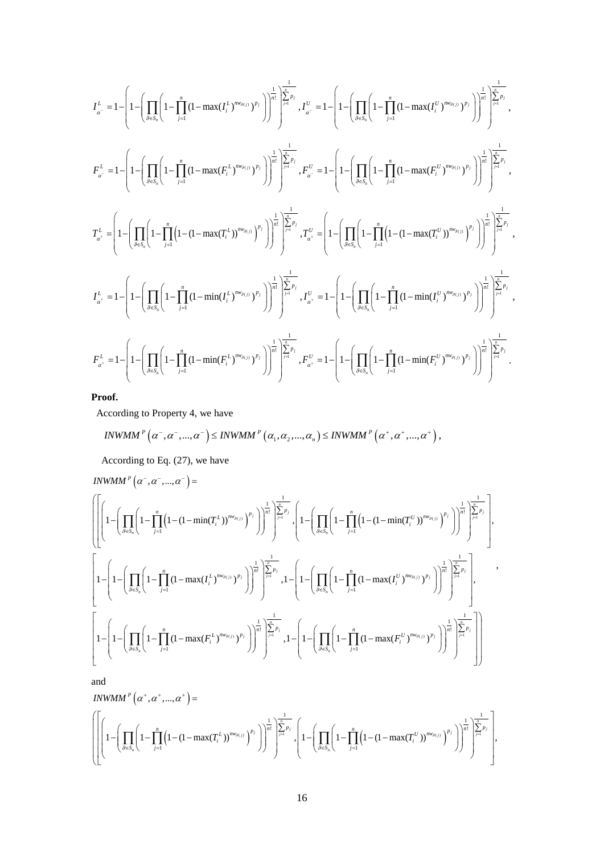$$
\begin{split} I_{\alpha^-}^L=&1-\Bigg[1-\Bigg(\prod_{\beta\in S_e}\Bigg(1-\prod_{j=1}^n\big(1-\max(I_j^{L})^{m_{g_{(j)}}})^{p_j}\Bigg)\Bigg)^{\frac{1}{n!}}\Bigg)^{\sum\limits_{j=1}^n p_j},\\ I_{\alpha^-}^L=&1-\Bigg(1-\Bigg(\prod_{\beta\in S_e}\Bigg(1-\prod_{j=1}^n\big(1-\max(I_j^{L})^{m_{g_{(j)}}})^{p_j}\Bigg)\Bigg)^{\frac{1}{n!}}\Bigg)^{\sum\limits_{j=1}^n p_j},\\ I_{\alpha^-}^L=&1-\Bigg(1-\Bigg(\prod_{\beta\in S_e}\Bigg(1-\prod_{j=1}^n\big(1-\max(I_j^{L})^{m_{g_{(j)}}})^{p_j}\Bigg)\Bigg)^{\frac{1}{n!}}\Bigg)^{\sum\limits_{j=1}^n p_j},\\ I_{\alpha^+}^L=&\Bigg(1-\Bigg(\prod_{\beta\in S_e}\Bigg(1-\prod_{j=1}^n\big(1-\max(I_j^{L})^{m_{g_{(j)}}})^{p_j}\Bigg)\Bigg)^{\frac{1}{n!}}\Bigg)^{\sum\limits_{j=1}^n p_j},\\ I_{\alpha^+}^L=&\Bigg(1-\Bigg(\prod_{\beta\in S_e}\Bigg(1-\prod_{j=1}^n\big(1-\big(1-\max(I_j^{L})^{m_{g_{(j)}}})^{p_j}\big)\Bigg)^{\sum\limits_{j=1}^n}\Bigg)^{\sum\limits_{j=1}^n p_j},\\ I_{\alpha^+}^L=&1-\Bigg(1-\Bigg(\prod_{\beta\in S_e}\Bigg(1-\prod_{j=1}^n\big(1-\min(I_j^{L})^{m_{g_{(j)}}})^{p_j}\Bigg)\Bigg)^{\sum\limits_{j=1}^n}\Bigg)^{\sum\limits_{j=1}^n p_j},\\ I_{\alpha^+}^L=&1-\Bigg(1-\Bigg(\prod_{\beta\in S_e}\Bigg(1-\prod_{j=1}^n\big(1-\min(I_j^{L})^{m_{g_{(j)}}})^{p_j}\Bigg)\Bigg)^{\sum\limits_{j=1}^n}\Bigg)^{\sum\limits_{j=1}^n p_j},\\ I_{\alpha^+}^L=&1-\Bigg(1-\Bigg(\prod_{\beta\in S_e}\Bigg(1-\prod_{j=1}^n\big(1-\min(I_j^{L})^{m
$$

**Proof.**

According to Property 4, we have

$$
INWMM^{P}\left(\alpha^{-},\alpha^{-},...,\alpha^{-}\right)\leq INWMM^{P}\left(\alpha_{1},\alpha_{2},...,\alpha_{n}\right)\leq INWMM^{P}\left(\alpha^{+},\alpha^{+},...,\alpha^{+}\right),
$$

According to Eq. (27), we have

$$
INWMM^{P}(\alpha^{-},\alpha^{-},...,\alpha^{-}) = \left( \left[ \left( 1 - \left( \prod_{g \in S_{n}} \left( 1 - \prod_{j=1}^{n} \left( 1 - (1 - \min(T_{i}^{L})^{m_{g(j)}})^{p_{j}} \right) \right)^{\frac{1}{n!}} \right) \right]_{j=1}^{\frac{1}{n!}} \right]_{j=1}^{\frac{1}{n!}} \cdot \left( 1 - \left( \prod_{g \in S_{n}} \left( 1 - \prod_{j=1}^{n} \left( 1 - (1 - \min(T_{i}^{U}))^{m_{g(j)}} \right)^{p_{j}} \right) \right)^{\frac{1}{n!}} \right) \left[ \sum_{j=1}^{\frac{1}{n}} \sum_{j=1}^{n} \left( 1 - \left( \prod_{g \in S_{n}} \left( 1 - \prod_{j=1}^{n} \left( 1 - \min(T_{i}^{U})^{m_{g(j)}} \right)^{p_{j}} \right) \right)^{\frac{1}{n!}} \right) \right]_{j=1}^{\frac{1}{n!}} \cdot \left[ \left( 1 - \left( \prod_{g \in S_{n}} \left( 1 - \prod_{j=1}^{n} \left( 1 - \max(T_{i}^{L})^{m_{g(j)}} \right)^{p_{j}} \right) \right)^{\frac{1}{n!}} \right) \left[ \sum_{g \in S_{n}} \left( 1 - \prod_{j=1}^{n} \left( 1 - \max(T_{i}^{U})^{m_{g(j)}} \right)^{p_{j}} \right) \right)^{\frac{1}{n!}} \right] \left[ \sum_{g \in S_{n}} \left( 1 - \prod_{j=1}^{n} \left( 1 - \max(T_{i}^{U})^{m_{g(j)}} \right)^{p_{j}} \right) \right)^{\frac{1}{n!}} \cdot \left[ \left( 1 - \left( \prod_{g \in S_{n}} \left( 1 - \prod_{j=1}^{n} \left( 1 - \max(T_{i}^{U})^{m_{g(j)}} \right)^{p_{j}} \right) \right) \right)^{\frac{1}{n!}} \right] \left[ \sum_{g \in S_{n}} \left( 1 - \prod_{j=1}^{n} \left( 1 - \max(T_{i}^{U})^{m_{g(j)}} \right)^{p_{j}} \right) \right] \right] \right] \right)
$$

and

$$
INWMM^{P}(\alpha^{+}, \alpha^{+}, ..., \alpha^{+}) = \left( \left[ \left( 1 - \left( \prod_{j=1}^{n} \left( 1 - (1 - \max(T_{i}^{L}))^{m \nu_{g(j)}} \right)^{p_{j}} \right) \right)^{\frac{1}{n!}} \right]_{j=1}^{\frac{1}{n}} \right) \right) \left( \left[ 1 - \left( \prod_{j=1}^{n} \left( 1 - \prod_{j=1}^{n} \left( 1 - (1 - \max(T_{i}^{U}))^{m \nu_{g(j)}} \right)^{p_{j}} \right) \right)^{\frac{1}{n!}} \right)^{\frac{1}{n!}} \right]_{j=1}^{\frac{1}{n}} \right)
$$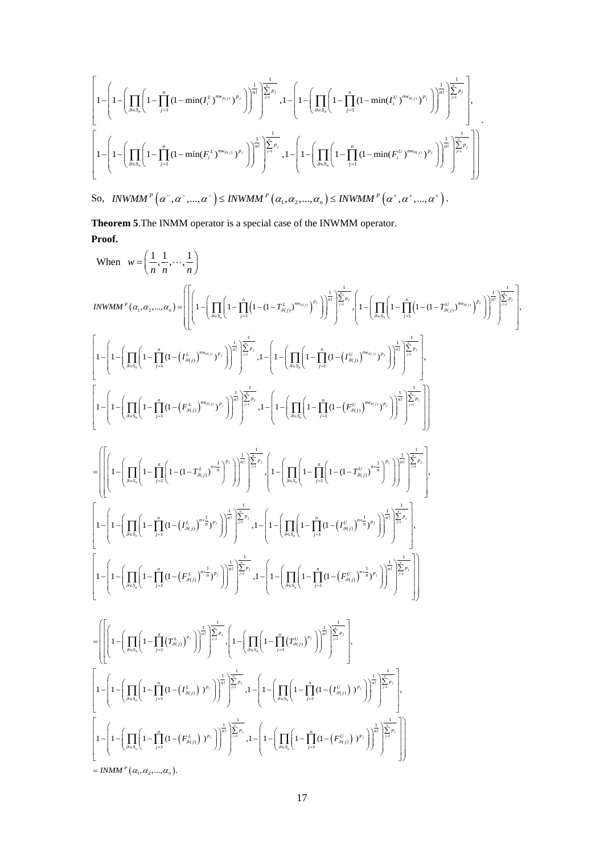$$
\left[1-\left(1-\left(\prod_{g\in S_n}\left(1-\prod_{j=1}^n\left(1-\min(I_i^L)^{m\vee_{g(j)}})^{p_j}\right)\right)^{\frac{1}{n!}}\right)^{\frac{1}{\left[\sum_{j=1}^n p_j\right]}},1-\left(1-\left(\prod_{g\in S_n}\left(1-\prod_{j=1}^n\left(1-\min(I_i^U)^{m\vee_{g(j)}})^{p_j}\right)\right)^{\frac{1}{n!}}\right)^{\frac{1}{\left[\sum_{j=1}^n p_j\right]}},1-\left(1-\left(\prod_{g\in S_n}\left(1-\prod_{j=1}^n\left(1-\min(I_i^U)^{m\vee_{g(j)}})^{p_j}\right)\right)^{\frac{1}{n!}}\right)^{\frac{1}{\left[\sum_{j=1}^n p_j\right]}},1-\left(1-\left(\prod_{g\in S_n}\left(1-\prod_{j=1}^n\left(1-\min(I_i^U)^{m\vee_{g(j)}})^{p_j}\right)\right)^{\frac{1}{n!}}\right)^{\frac{1}{\left[\sum_{j=1}^n p_j\right]}},1-\left(1-\left(\prod_{g\in S_n}\left(1-\prod_{j=1}^n\left(1-\min(I_i^U)^{m\vee_{g(j)}})^{p_j}\right)\right)^{\frac{1}{n!}}\right)^{\frac{1}{\left[\sum_{j=1}^n p_j\right]}},1-\left(1-\left(\prod_{g\in S_n}\left(1-\prod_{j=1}^n\left(1-\min(I_i^U)^{m\vee_{g(j)}})^{p_j}\right)\right)^{\frac{1}{n!}}\right)^{\frac{1}{\left[\sum_{j=1}^n p_j\right]}},1-\left(1-\left(\prod_{g\in S_n}\left(1-\prod_{j=1}^n\left(1-\min(I_i^U)^{m\vee_{g(j)}})^{p_j}\right)\right)^{\frac{1}{n!}}\right)^{\frac{1}{\left[\sum_{j=1}^n p_j\right]}},1-\left(1-\left(\prod_{g\in S_n}\left(1-\prod_{j=1}^n\left(1-\min(I_i^U)^{m\vee_{g(j)}})^{p_j}\right)\right)^{\frac{1}{n!}}\right)^{\frac{1}{\left[\sum_{j=1}^n p_j\right]}},1-\left(1-\left(\prod_{g\in S_n}\left(1-\prod_{j=1}^n\left(1-\min(I_i^
$$

**Theorem 5**.The INMM operator is a special case of the INWMM operator. **Proof.**

When 
$$
w = \left(\frac{1}{n}, \frac{1}{n}, \ldots, \frac{1}{n}\right)
$$
  
\n
$$
INWMM^{n}(a_{i}, a_{1}, \ldots, a_{n}) = \left[\left[\left(1 - \left(\prod_{k=1}^{n} \left(1 - \prod_{j=1}^{n} \left(1 - \left(1 - T_{a_{i},j}^{k}\right)^{w_{i},j_{i}}\right)^{n}\right)\right)^{\frac{1}{n}}\right] \sum_{j=1}^{n} \cdots \left(1 - \left(\prod_{k=1}^{n} \left(1 - \prod_{j=1}^{n} \left(1 - \prod_{j=1}^{n} \left(1 - \prod_{j=1}^{n} \left(1 - \prod_{j=1}^{n} \left(1 - \prod_{j=1}^{n} \left(1 - \prod_{j=1}^{n} \left(1 - \prod_{j=1}^{n} \left(1 - \prod_{j=1}^{n} \left(1 - \prod_{j=1}^{n} \left(1 - \prod_{j=1}^{n} \left(1 - \prod_{j=1}^{n} \left(1 - \prod_{j=1}^{n} \left(1 - \prod_{j=1}^{n} \left(1 - \prod_{j=1}^{n} \left(1 - \prod_{j=1}^{n} \left(1 - \prod_{j=1}^{n} \left(1 - \prod_{j=1}^{n} \left(1 - \prod_{j=1}^{n} \left(1 - \prod_{j=1}^{n} \left(1 - \prod_{j=1}^{n} \left(1 - \prod_{j=1}^{n} \left(1 - \prod_{j=1}^{n} \left(1 - \prod_{j=1}^{n} \left(1 - \prod_{j=1}^{n} \left(1 - \prod_{j=1}^{n} \left(1 - \prod_{j=1}^{n} \left(1 - \prod_{j=1}^{n} \left(1 - \prod_{j=1}^{n} \left(1 - \prod_{j=1}^{n} \left(1 - \prod_{j=1}^{n} \left(1 - \prod_{j=1}^{n} \left(1 - \prod_{j=1}^{n} \left(1 - \prod_{j=1}^{n} \left(1 - \prod_{j=1}^{n} \left(1 - \prod_{j=1}^{n} \left(1 - \prod_{j=1}^{n} \left(1 - \prod_{j=1}^{n} \left(1 - \prod_{j=1}^{n} \left(1 - \prod_{j
$$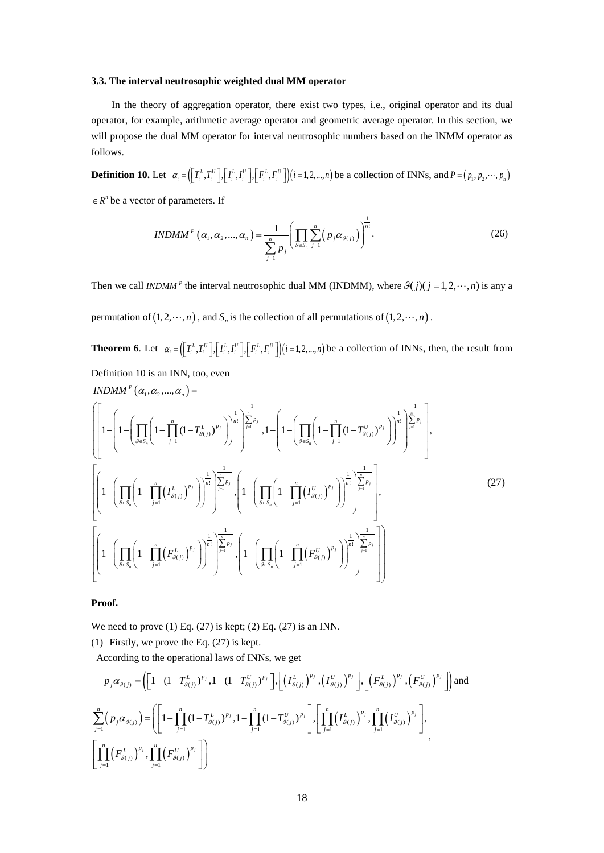#### **3.3. The interval neutrosophic weighted dual MM operator**

In the theory of aggregation operator, there exist two types, i.e., original operator and its dual operator, for example, arithmetic average operator and geometric average operator. In this section, we will propose the dual MM operator for interval neutrosophic numbers based on the INMM operator as follows.

**Definition 10.** Let  $\alpha_i = (\lfloor T_i^L, T_i^U \rfloor, \lfloor I_i^L, I_i^U \rfloor, \lfloor F_i^L, F_i^U \rfloor) (i = 1, 2, ..., n)$  be a collection of INNs, and  $P = (p_1, p_2, ..., p_n)$ 

 $P \in R^n$  be a vector of parameters. If

$$
INDMM^{P}(\alpha_{1}, \alpha_{2}, ..., \alpha_{n}) = \frac{1}{\sum_{j=1}^{n} p_{j}} \left( \prod_{\mathcal{S} \in S_{n}} \sum_{j=1}^{n} \left( p_{j} \alpha_{\mathcal{S}(j)} \right) \right)^{\frac{1}{n!}}.
$$
 (26)

Then we call *INDMM*<sup>*P*</sup> the interval neutrosophic dual MM (INDMM), where  $\theta(j)(j = 1, 2, \dots, n)$  is any a permutation of  $(1, 2, \dots, n)$ , and  $S_n$  is the collection of all permutations of  $(1, 2, \dots, n)$ .

**Theorem 6**. Let  $\alpha_i = (\prod_i^L T_i^L, T_i^U], [\prod_i^L, I_i^U], [\prod_i^L, F_i^U]]$  *i* = 1,2,...,*n*) be a collection of INNs, then, the result from Definition 10 is an INN, too, even

$$
INDMM^{P}(a_{1}, a_{2},..., a_{n}) = \left( \left[ 1 - \left( \prod_{\beta \in S_{n}} \left( 1 - \prod_{j=1}^{n} (1 - T^{L}_{\beta(j)})^{p_{j}} \right) \right)^{\frac{1}{n!}} \right]_{j=1}^{\frac{1}{n-p_{j}}} , 1 - \left( 1 - \left( \prod_{\beta \in S_{n}} \left( 1 - \prod_{j=1}^{n} (1 - T^{U}_{\beta(j)})^{p_{j}} \right) \right)^{\frac{1}{n!}} \right)^{\frac{1}{n-p_{j}}} \right) \right) \right) \left( \sum_{j=1}^{n-p_{j}} \left( 1 - \left( \prod_{\beta \in S_{n}} \left( 1 - \prod_{j=1}^{n} (T^{U}_{\beta(j)})^{p_{j}} \right) \right)^{\frac{1}{n!}} \right)^{\frac{1}{n-p_{j}}} \right) \right)
$$
\n
$$
\left[ \left( 1 - \left( \prod_{\beta \in S_{n}} \left( 1 - \prod_{j=1}^{n} (T^{L}_{\beta(j)})^{p_{j}} \right) \right)^{\frac{1}{n!}} \right)^{\frac{1}{n-p_{j}}} , 1 - \left( \prod_{\beta \in S_{n}} \left( 1 - \prod_{j=1}^{n} (T^{U}_{\beta(j)})^{p_{j}} \right) \right)^{\frac{1}{n!}} \right)^{\frac{1}{n-p_{j}}} \right], \tag{27}
$$

**Proof.**

We need to prove  $(1)$  Eq.  $(27)$  is kept;  $(2)$  Eq.  $(27)$  is an INN.

(1) Firstly, we prove the Eq. (27) is kept.

According to the operational laws of INNs, we get

$$
p_{j}\alpha_{g(j)} = \left( \left[ 1 - (1 - T_{g(j)}^{L})^{p_{j}}, 1 - (1 - T_{g(j)}^{U})^{p_{j}} \right], \left[ \left( I_{g(j)}^{L} \right)^{p_{j}}, \left( I_{g(j)}^{U} \right)^{p_{j}} \right], \left[ \left( F_{g(j)}^{L} \right)^{p_{j}}, \left( F_{g(j)}^{U} \right)^{p_{j}} \right] \right) \text{and}
$$
  

$$
\sum_{j=1}^{n} \left( p_{j}\alpha_{g(j)} \right) = \left( \left[ 1 - \prod_{j=1}^{n} \left( 1 - T_{g(j)}^{L} \right)^{p_{j}}, 1 - \prod_{j=1}^{n} \left( 1 - T_{g(j)}^{U} \right)^{p_{j}} \right], \left[ \prod_{j=1}^{n} \left( I_{g(j)}^{L} \right)^{p_{j}}, \prod_{j=1}^{n} \left( I_{g(j)}^{U} \right)^{p_{j}} \right],
$$
  

$$
\left[ \prod_{j=1}^{n} \left( F_{g(j)}^{L} \right)^{p_{j}}, \prod_{j=1}^{n} \left( F_{g(j)}^{U} \right)^{p_{j}} \right] \right)
$$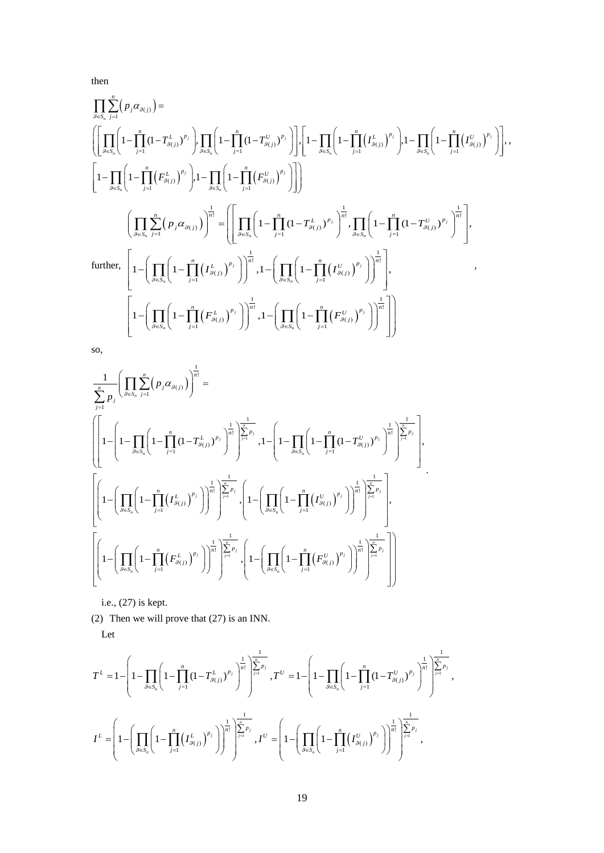then

$$
\prod_{\beta \in S_n} \sum_{j=1}^n (p_j \alpha_{g(j)}) =
$$
\n
$$
\left( \left[ \prod_{\beta \in S_n} \left( 1 - \prod_{j=1}^n (1 - T_{g(j)}^{L})^{p_j} \right), \prod_{\beta \in S_n} \left( 1 - \prod_{j=1}^n (1 - T_{g(j)}^{U})^{p_j} \right) \right], \left[ 1 - \prod_{\beta \in S_n} \left( 1 - \prod_{j=1}^n (T_{g(j)}^{L})^{p_j} \right), 1 - \prod_{\beta \in S_n} \left( 1 - \prod_{j=1}^n (F_{g(j)}^{U})^{p_j} \right) \right],
$$
\n
$$
\left[ 1 - \prod_{\beta \in S_n} \left( 1 - \prod_{j=1}^n (F_{g(j)}^{L})^{p_j} \right), 1 - \prod_{\beta \in S_n} \left( 1 - \prod_{j=1}^n (F_{g(j)}^{U})^{p_j} \right) \right] \right)
$$
\n
$$
\left( \prod_{\beta \in S_n} \sum_{j=1}^n (p_j \alpha_{g(j)}) \right)^{\frac{1}{n!}} = \left( \left[ \prod_{\beta \in S_n} \left( 1 - \prod_{j=1}^n (1 - T_{g(j)}^{L})^{p_j} \right)^{\frac{1}{n!}}, \prod_{\beta \in S_n} \left( 1 - \prod_{j=1}^n (1 - T_{g(j)}^{U})^{p_j} \right)^{\frac{1}{n!}} \right],
$$
\n
$$
\text{further, } \left[ 1 - \left( \prod_{\beta \in S_n} \left( 1 - \prod_{j=1}^n (T_{g(j)}^{L})^{p_j} \right) \right)^{\frac{1}{n!}}, 1 - \left( \prod_{\beta \in S_n} \left( 1 - \prod_{j=1}^n (T_{g(j)}^{U})^{p_j} \right) \right)^{\frac{1}{n!}} \right],
$$
\n
$$
\left[ 1 - \left( \prod_{\beta \in S_n} \left( 1 - \prod_{j=1}^n (F_{g(j)}^{L})^{p_j} \right) \right)^{\frac{1}{n!}}, 1 - \left( \prod_{\beta \in S_n} \left( 1 - \prod_{j=1}^n (F_{g(j)}^{U})^{p_j} \right) \right)^{\frac{1}{n!
$$

so,

$$
\label{eqn:20} \begin{split} &\frac{1}{\sum_{j=1}^{n}p_{j}}\Bigg(\prod_{\beta\in S_{n}}\sum_{j=1}^{n}\Big(P_{j}\alpha_{g(j)}\Big)\Bigg)^{\frac{1}{n!}}=\\ &\left(\left[1-\left(1-\prod_{\beta\in S_{n}}\left(1-\prod_{j=1}^{n}\Big(I-\textstyle\prod_{j=1}^{n}\big(I-\textstyle\prod_{j=1}^{n}\big(I-\textstyle\prod_{j=1}^{n}\big(I-\prod_{j=1}^{n}\big(I-\textstyle\prod_{j=1}^{n}\big(I-\textstyle\prod_{j=1}^{n}\big(I-\textstyle\prod_{j=1}^{n}\big(I-\textstyle\prod_{j=1}^{n}\big(I-\textstyle\prod_{j=1}^{n}\big(I-\textstyle\prod_{j=1}^{n}\big(I-\textstyle\prod_{j=1}^{n}\big(I-\textstyle\prod_{j=1}^{n}\big(I-\textstyle\prod_{j=1}^{n}\big(I-\textstyle\prod_{j=1}^{n}\big(I-\textstyle\prod_{j=1}^{n}\big(I-\textstyle\prod_{j=1}^{n}\big(I-\textstyle\prod_{j=1}^{n}\big(I-\textstyle\prod_{j=1}^{n}\big(I-\textstyle\prod_{j=1}^{n}\big(I-\textstyle\prod_{j=1}^{n}\big(I-\textstyle\prod_{j=1}^{n}\big(I-\textstyle\prod_{j=1}^{n}\big(I-\textstyle\prod_{j=1}^{n}\big(I-\textstyle\prod_{j=1}^{n}\big(I-\textstyle\prod_{j=1}^{n}\big(I-\textstyle\prod_{j=1}^{n}\big(I-\textstyle\prod_{j=1}^{n}\big(I-\textstyle\prod_{j=1}^{n}\big(I-\textstyle\prod_{j=1}^{n}\big(I-\textstyle\prod_{j=1}^{n}\big(I-\textstyle\prod_{j=1}^{n}\big(I-\textstyle\prod_{j=1}^{n}\big(I-\textstyle\prod_{j=1}^{n}\big(I-\textstyle\prod_{j=1}^{n}\big(I-\textstyle\prod_{j=1}^{n}\big(I-\textstyle\prod_{j=1}^{n}\big(I-\textstyle\prod_{j=1}^{n}\big(I-\textstyle\prod_{j=1}^{n}\big(I-\textstyle\prod_{j=1}^{n}\big(I-\textstyle\prod_{j=1}^{n}\big(I-\textstyle\prod_{j=1}^{n}\big(I-\textstyle\prod_{j=1}^{n}\big(I-\textstyle\prod_{j=1}^{
$$

i.e., (27) is kept.

(2) Then we will prove that (27) is an INN.

Let

$$
\label{eq:2} T^L = 1 - \left(1 - \prod_{\theta \in S_n} \left(1 - \prod_{j=1}^n \left(1 - T^L_{\theta(j)}\right)^{p_j}\right)^{\frac{1}{n!}}\right)^{\frac{1}{\sum_{j=1}^n p_j}}, \\ T^U = 1 - \left(1 - \prod_{\theta \in S_n} \left(1 - \prod_{j=1}^n \left(1 - T^L_{\theta(j)}\right)^{p_j}\right)^{\frac{1}{n!}}\right)^{\frac{1}{\sum_{j=1}^n p_j}}, \\ I^L = \left(1 - \left(\prod_{\theta \in S_n} \left(1 - \prod_{j=1}^n \left(I^L_{\theta(j)}\right)^{p_j}\right)^{\frac{1}{n!}}\right)^{\frac{1}{\sum_{j=1}^n p_j}}, \\ I^U = \left(1 - \left(\prod_{\theta \in S_n} \left(1 - \prod_{j=1}^n \left(I^U_{\theta(j)}\right)^{p_j}\right)^{\frac{1}{n!}}\right)^{\frac{1}{\sum_{j=1}^n p_j}}, \\ \end{array}
$$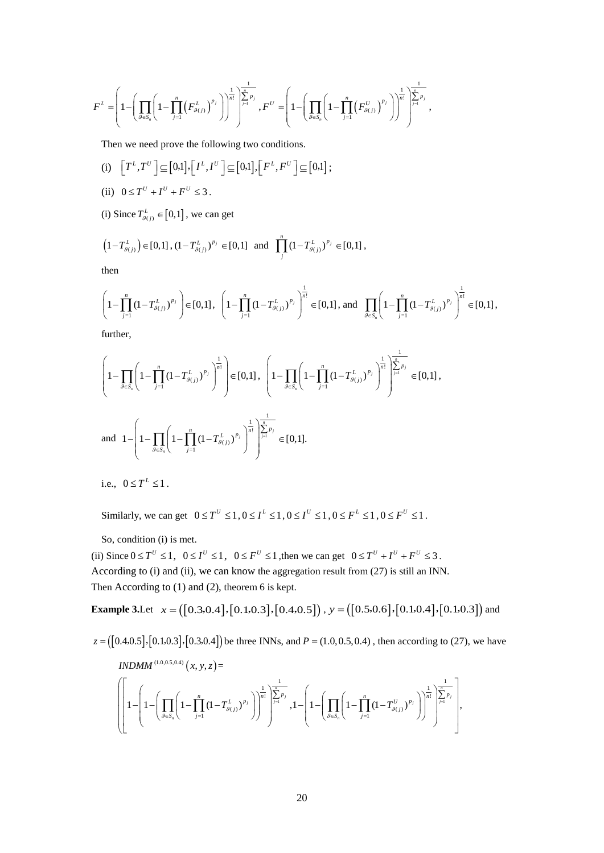$$
F^{L} = \left(1 - \left(\prod_{\vartheta \in S_{n}}\left(1 - \prod_{j=1}^{n}\left(F_{\vartheta(j)}^{L}\right)^{p_{j}}\right)\right)^{\frac{1}{n!}}\right)^{\frac{1}{n!}}\right)^{\frac{1}{n!}} , F^{U} = \left(1 - \left(\prod_{\vartheta \in S_{n}}\left(1 - \prod_{j=1}^{n}\left(F_{\vartheta(j)}^{U}\right)^{p_{j}}\right)\right)^{\frac{1}{n!}}\right)^{\frac{1}{n!}}.
$$

Then we need prove the following two conditions.

(i) 
$$
\left[T^L, T^U\right] \subseteq [0,1], \left[I^L, I^U\right] \subseteq [0,1], \left[F^L, F^U\right] \subseteq [0,1]
$$
;

(ii) 
$$
0 \leq T^U + I^U + F^U \leq 3.
$$

(i) Since  $T_{g(j)}^L \in [0,1]$ , we can get

$$
\left(1 - T_{g_{(j)}}^L\right) \in [0,1], \left(1 - T_{g_{(j)}}^L\right)^{p_j} \in [0,1] \text{ and } \prod_{j}^{n} \left(1 - T_{g_{(j)}}^L\right)^{p_j} \in [0,1],
$$

then

$$
\left(1-\prod_{j=1}^{n}\left(1-T_{g(j)}^{L}\right)^{p_{j}}\right)\in[0,1],\ \left(1-\prod_{j=1}^{n}\left(1-T_{g(j)}^{L}\right)^{p_{j}}\right)^{\frac{1}{n!}}\in[0,1],\text{ and }\prod_{g\in S_{n}}\left(1-\prod_{j=1}^{n}\left(1-T_{g(j)}^{L}\right)^{p_{j}}\right)^{\frac{1}{n!}}\in[0,1],
$$

further,

$$
\left(1 - \prod_{\beta \in S_n} \left(1 - \prod_{j=1}^n (1 - T_{\beta(j)}^L)^{p_j}\right)^{\frac{1}{n!}}\right) \in [0, 1], \left(1 - \prod_{\beta \in S_n} \left(1 - \prod_{j=1}^n (1 - T_{\beta(j)}^L)^{p_j}\right)^{\frac{1}{n!}}\right)^{\frac{1}{\sum_{j=1}^n p_j}} \in [0, 1],
$$
  
and 
$$
1 - \left(1 - \prod_{\beta \in S_n} \left(1 - \prod_{j=1}^n (1 - T_{\beta(j)}^L)^{p_j}\right)^{\frac{1}{n!}}\right)^{\frac{1}{\sum_{j=1}^n p_j}} \in [0, 1].
$$

i.e.,  $0 \le T^L \le 1$ .

Similarly, we can get  $0 \le T^U \le 1, 0 \le I^L \le 1, 0 \le I^U \le 1, 0 \le F^L \le 1, 0 \le F^U \le 1$ .

So, condition (i) is met.

(ii) Since  $0 \le T^U \le 1$ ,  $0 \le I^U \le 1$ ,  $0 \le F^U \le 1$ , then we can get  $0 \le T^U + I^U + F^U \le 3$ . According to (i) and (ii), we can know the aggregation result from (27) is still an INN. Then According to (1) and (2), theorem 6 is kept.

**Example 3.Let**  $x = ([0.30.4], [0.1, 0.3], [0.4, 0.5])$ ,  $y = ([0.5, 0.6], [0.1, 0.4], [0.1, 0.3])$  and

$$
z = ([0.4, 0.5], [0.1, 0.3], [0.3, 0.4])
$$
 be three INNs, and  $P = (1.0, 0.5, 0.4)$ , then according to (27), we have  
*INDMM*<sup>(1.0, 0.5, 0.4)</sup> (*x*, *y*, *z*) =

$$
\left[\left[1-\left(1-\left(\prod_{\mathcal{G}\in S_n}\left(1-\prod_{j=1}^n\left(1-T^L_{\mathcal{G}(j)}\right)^{p_j}\right)\right)^{\frac{1}{n!}}\right]^{\frac{1}{n!}}\right]^{\frac{1}{p}}_{\mathcal{F}} , 1-\left(1-\left(\prod_{\mathcal{G}\in S_n}\left(1-\prod_{j=1}^n\left(1-T^U_{\mathcal{G}(j)}\right)^{p_j}\right)\right)^{\frac{1}{n!}}\right]^{\frac{1}{n!}}_{\mathcal{F}}\right]^{\frac{1}{n!}} ,
$$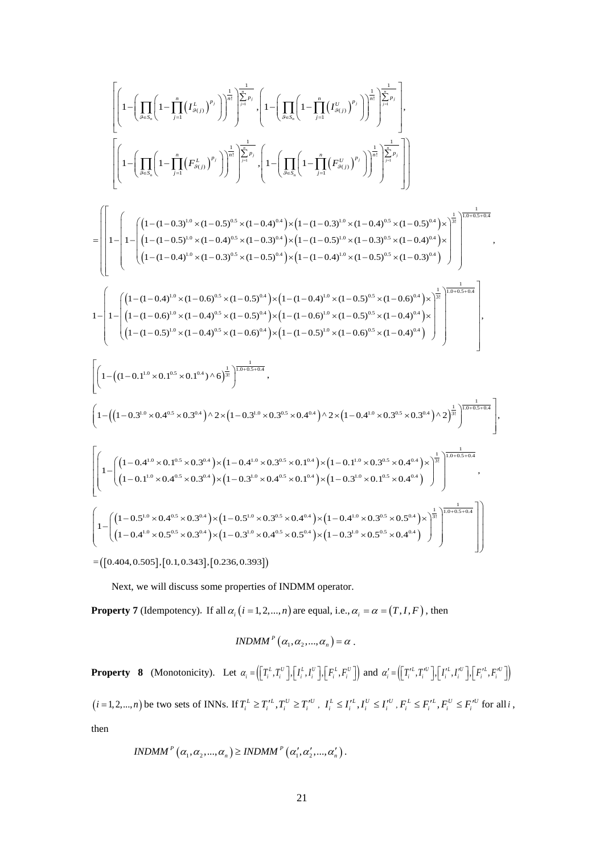$$
\left[\left(1-\left(\prod_{\beta=5}^{n}\left(1-\prod_{j=1}^{n}(I_{\beta_{(j)}}^{L})^{p_{j}}\right)\right)^{\frac{1}{n!}}\right)^{\frac{1}{n!}}\right]_{\beta=0}^{\frac{1}{n!}}\cdot\left(1-\left(\prod_{\beta\in S_{\alpha}}\left(1-\prod_{j=1}^{n}(I_{\beta_{(j)}}^{L})^{p_{j}}\right)\right)^{\frac{1}{n!}}\right)^{\frac{1}{n!}}\cdot\left(1-\left(\prod_{\beta\in S_{\alpha}}\left(1-\prod_{j=1}^{n}(I_{\beta_{(j)}}^{U})^{p_{j}}\right)\right)^{\frac{1}{n!}}\right)^{\frac{1}{n!}}\cdot\left(1-\left(\prod_{\beta\in S_{\alpha}}\left(1-\prod_{j=1}^{n}(I_{\beta_{(j)}}^{U})^{p_{j}}\right)\right)^{\frac{1}{n!}}\right)^{\frac{1}{n!}}\cdot\left(1-\left(\prod_{\beta\in S_{\alpha}}\left(1-\prod_{j=1}^{n}(I_{\beta_{(j)}}^{U})^{p_{j}}\right)\right)^{\frac{1}{n!}}\cdot\left(\sum_{\beta=0}^{n}\left(1-\prod_{j=1}^{n}(I_{\beta_{(j)}}^{U})^{p_{j}}\right)\right)^{\frac{1}{n!}}\cdot\left(\sum_{\beta=0}^{n}\left(1-\left(\frac{1}{n}(I_{\beta_{(j)}}^{U_{\beta_{(j)}}^{U_{\beta}})(I_{\beta_{(j)}}^{U_{\beta_{(j)}}^{U_{\beta_{(j)}}^{U_{\beta_{(j)}}^{U_{\beta_{(j)}}^{U_{\beta_{(j)}}^{U_{\beta_{(j)}}^{U_{\beta_{(j)}}^{U_{\beta_{(j)}}^{U_{\beta_{(j)}}^{U_{\beta_{(j)}}^{U_{\beta_{(j)}}^{U_{\beta_{(j)}}^{U_{\beta_{(j)}}^{U_{\beta_{(j)}}^{U_{\beta_{(j)}}^{U_{\beta_{(j)}}^{U_{\beta_{(j)}}^{U_{\beta_{(j)}}^{U_{\beta_{(j)}}^{U_{\beta_{(j)}}^{U_{\beta_{(j)}}^{U_{\beta_{(j)}}^{U_{\beta_{(j)}}^{U_{\beta_{(j)}}^{U_{\beta_{(j)}}^{U_{\beta_{(j)}}^{U_{\beta_{(j)}}^{U_{\beta_{(j)}}^{U_{\beta_{(j)}}^{U_{\beta_{(j
$$

 $=[ [ 0.404, 0.505 ], [ 0.1, 0.343 ], [ 0.236, 0.393 ] ]$ 

Next, we will discuss some properties of INDMM operator.

**Property 7** (Idempotency). If all  $\alpha_i$  (*i* = 1, 2, ..., *n*) are equal, i.e.,  $\alpha_i = \alpha = (T, I, F)$ , then

$$
INDMM^P(\alpha_1, \alpha_2, ..., \alpha_n) = \alpha.
$$

**Property 8** (Monotonicity). Let  $\alpha_i = (\lfloor T_i^L, T_i^U \rfloor, \lfloor I_i^L, I_i^U \rfloor, \lfloor F_i^L, F_i^U \rfloor)$  and  $\alpha'_i = (\lfloor T_i^L, T_i^U \rfloor, \lfloor I_i^L, I_i^U \rfloor, \lfloor F_i^L, F_i^U \rfloor)$  $(i=1,2,...,n)$  be two sets of INNs. If  $T_i^L \ge T_i'^L, T_i^U \ge T_i'^U$ ,  $I_i^L \le I_i'^L, I_i^U \le I_i'^U, F_i^L \le F_i'^L, F_i^U \le F_i'^U$  for all i, then

$$
INDMMP (\alpha_1, \alpha_2, ..., \alpha_n) \geq INDMMP (\alpha'_1, \alpha'_2, ..., \alpha'_n).
$$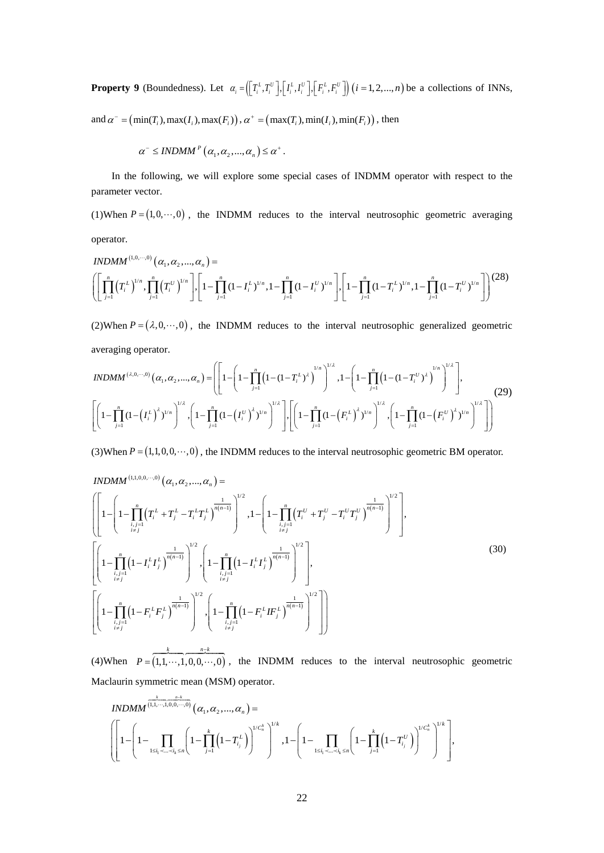**Property 9** (Boundedness). Let  $\alpha_i = (\lfloor T_i^L, T_i^U \rfloor, \lfloor I_i^L, I_i^U \rfloor, \lfloor F_i^L, F_i^U \rfloor)$   $(i = 1, 2, ..., n)$  be a collections of INNs,

and  $\alpha^{\text{-}} = (\min(T_i), \max(I_i), \max(F_i))$ ,  $\alpha^+ = (\max(T_i), \min(I_i), \min(F_i))$ , then

$$
\alpha^{-} \leq INDMM^{P}\left(\alpha_{1}, \alpha_{2}, ..., \alpha_{n}\right) \leq \alpha^{+}.
$$

In the following, we will explore some special cases of INDMM operator with respect to the parameter vector.

(1)When  $P = (1, 0, \dots, 0)$ , the INDMM reduces to the interval neutrosophic geometric averaging operator.

$$
INDMM^{(1,0,\cdots,0)}(\alpha_1,\alpha_2,\ldots,\alpha_n) = \left( \left[ \prod_{j=1}^n (T_i^L)^{1/n}, \prod_{j=1}^n (T_j^U)^{1/n} \right], \left[ 1 - \prod_{j=1}^n (1 - I_i^L)^{1/n}, 1 - \prod_{j=1}^n (1 - I_i^U)^{1/n} \right], \left[ 1 - \prod_{j=1}^n (1 - T_i^L)^{1/n}, 1 - \prod_{j=1}^n (1 - T_i^U)^{1/n} \right] \right)^{(28)}
$$

(2)When  $P = (\lambda, 0, \dots, 0)$ , the INDMM reduces to the interval neutrosophic generalized geometric averaging operator.

$$
INDMM^{(\lambda,0,\cdots,0)}(\alpha_1,\alpha_2,\ldots,\alpha_n) = \left( \left[ 1 - \left( 1 - \prod_{j=1}^n \left( 1 - (1 - T_i^L)^{\lambda} \right)^{1/n} \right)^{1/\lambda}, 1 - \left( 1 - \prod_{j=1}^n \left( 1 - (1 - T_i^U)^{\lambda} \right)^{1/n} \right)^{1/\lambda} \right],
$$
\n
$$
\left[ \left( 1 - \prod_{j=1}^n \left( 1 - \left( I_i^L \right)^{\lambda} \right)^{1/n} \right)^{1/\lambda}, \left( 1 - \prod_{j=1}^n \left( 1 - \left( I_i^U \right)^{\lambda} \right)^{1/n} \right)^{1/\lambda} \right] \right] \left[ \left( 1 - \prod_{j=1}^n \left( 1 - \left( F_i^L \right)^{\lambda} \right)^{1/n} \right)^{1/\lambda}, \left( 1 - \prod_{j=1}^n \left( 1 - \left( F_i^U \right)^{\lambda} \right)^{1/n} \right)^{1/\lambda} \right] \right]
$$
\n
$$
(29)
$$

(3)When  $P = (1,1,0,0,\dots,0)$ , the INDMM reduces to the interval neutrosophic geometric BM operator.

$$
INDMM^{(1,1,0,0,\cdots,0)}(\alpha_1, \alpha_2, \ldots, \alpha_n) = \left[ \left[ 1 - \left( 1 - \prod_{\substack{i,j=1 \\ i \neq j}}^n \left( T_i^L + T_j^L - T_i^L T_j^L \right)^{\frac{1}{n(n-1)}} \right)^{1/2} , 1 - \left( 1 - \prod_{\substack{i,j=1 \\ i \neq j}}^n \left( T_i^U + T_j^U - T_i^U T_j^U \right)^{\frac{1}{n(n-1)}} \right)^{1/2} \right],
$$
\n
$$
\left[ \left( 1 - \prod_{\substack{i,j=1 \\ i \neq j}}^n \left( 1 - I_i^L I_j^L \right)^{\frac{1}{n(n-1)}} \right)^{1/2} , \left( 1 - \prod_{\substack{i,j=1 \\ i \neq j}}^n \left( 1 - I_i^L I_j^L \right)^{\frac{1}{n(n-1)}} \right)^{1/2} \right],
$$
\n
$$
\left[ \left( 1 - \prod_{\substack{i,j=1 \\ i \neq j}}^n \left( 1 - F_i^L F_j^L \right)^{\frac{1}{n(n-1)}} \right)^{1/2} , \left( 1 - \prod_{\substack{i,j=1 \\ i \neq j}}^n \left( 1 - F_i^L I F_j^L \right)^{\frac{1}{n(n-1)}} \right)^{1/2} \right] \right]
$$
\n(30)

(4)When  $P = (1, 1, \dots, 1, 0, 0, \dots, 0)$  $k \t n-k$ *P* − =  $\begin{array}{ccc} k & n-k \end{array}$  $..., 1, 0, 0, ..., 0)$ , the INDMM reduces to the interval neutrosophic geometric Maclaurin symmetric mean (MSM) operator.

$$
INDMM^{\frac{k}{(1,1,\cdots,1,0,0,\cdots,0)}}(\alpha_1,\alpha_2,...,\alpha_n) = \left[1 - \prod_{1 \leq i_1 < ... < i_k \leq n} \left(1 - \prod_{j=1}^k \left(1 - T_{i_j}^L\right)\right)^{1/C_n^k}\right)^{1/k}, 1 - \left(1 - \prod_{1 \leq i_1 < ... < i_k \leq n} \left(1 - \prod_{j=1}^k \left(1 - T_{i_j}^U\right)\right)^{1/C_n^k}\right)^{1/k}\right],
$$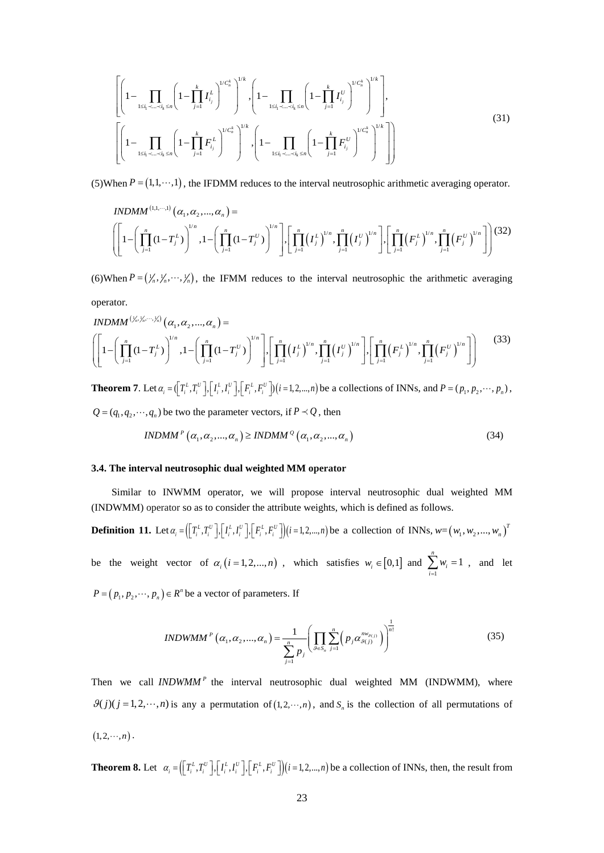$$
\left[ \left( 1 - \prod_{1 \le i_1 < \ldots < i_k \le n} \left( 1 - \prod_{j=1}^k I_{i_j}^L \right)^{1/C_n^k} \right)^{1/k}, \left( 1 - \prod_{1 \le i_1 < \ldots < i_k \le n} \left( 1 - \prod_{j=1}^k I_{i_j}^U \right)^{1/k} \right)^{1/k}, \left( 1 - \prod_{1 \le i_1 < \ldots < i_k \le n} \left( 1 - \prod_{j=1}^k I_{i_j}^U \right)^{1/k} \right)^{1/k}, \left( 1 - \prod_{1 \le i_1 < \ldots < i_k \le n} \left( 1 - \prod_{j=1}^k F_{i_j}^U \right)^{1/k} \right)^{1/k} \right] \right)
$$
\n(31)

(5)When  $P = (1, 1, \dots, 1)$ , the IFDMM reduces to the interval neutrosophic arithmetic averaging operator.

$$
INDMM^{(1,1,\cdots,1)}(\alpha_1,\alpha_2,...,\alpha_n) = \left[1-\left(\prod_{j=1}^n(1-T_j^L)\right)^{1/n},1-\left(\prod_{j=1}^n(1-T_j^U)\right)^{1/n}\right],\left[\prod_{j=1}^n\left(I_j^L\right)^{1/n},\prod_{j=1}^n\left(I_j^U\right)^{1/n}\right],\left[\prod_{j=1}^n\left(F_j^L\right)^{1/n},\prod_{j=1}^n\left(F_j^U\right)^{1/n}\right]\right] (32)
$$

(6)When  $P = (\frac{1}{n}, \frac{1}{n}, \dots, \frac{1}{n})$ , the IFMM reduces to the interval neutrosophic the arithmetic averaging operator.

$$
INDMM^{(\frac{V_n, V_n, \dots, V_n)}{2}}(\alpha_1, \alpha_2, \dots, \alpha_n) = \left[1 - \left(\prod_{j=1}^n (1 - T_j^U)\right)^{1/n}, 1 - \left(\prod_{j=1}^n (1 - T_j^U)\right)^{1/n}\right], \left[\prod_{j=1}^n (I_j^U)^{1/n}, \prod_{j=1}^n (I_j^U)^{1/n}\right], \left[\prod_{j=1}^n (F_j^U)^{1/n}, \prod_{j=1}^n (F_j^U)^{1/n}\right]\right]
$$
(33)

**Theorem 7.** Let  $\alpha_i = (\prod_i^L, T_i^U], [\prod_i^L, I_i^U], [\prod_i^L, F_i^U]$   $(i = 1, 2, ..., n)$  be a collections of INNs, and  $P = (p_1, p_2, \dots, p_n)$ ,  $Q = (q_1, q_2, \dots, q_n)$  be two the parameter vectors, if  $P \prec Q$ , then

$$
INDMM^{P}(\alpha_{1}, \alpha_{2}, ..., \alpha_{n}) \geq INDMM^{Q}(\alpha_{1}, \alpha_{2}, ..., \alpha_{n})
$$
\n(34)

#### **3.4. The interval neutrosophic dual weighted MM operator**

Similar to INWMM operator, we will propose interval neutrosophic dual weighted MM (INDWMM) operator so as to consider the attribute weights, which is defined as follows.

**Definition 11.** Let  $\alpha_i = (\left[T_i^L, T_i^U\right], \left[I_i^L, I_i^U\right], \left[F_i^L, F_i^U\right])(i=1, 2, ..., n)$  be a collection of INNs,  $w = (w_1, w_2, ..., w_n)^T$ be the weight vector of  $\alpha_i$  (*i* = 1, 2, ..., *n*), which satisfies  $w_i \in [0,1]$  and  $\sum_{i=1}^{n}$  $\sum_{i=1}^{n} w_i = 1$  $\sum_{i=1}^{\infty}$ <sup>*v*</sup><sub>i</sub> *w*  $\sum_{i=1}^{\infty} w_i = 1$ , and let

 $P = ( p_1, p_2, \dots, p_n ) \in R^n$  be a vector of parameters. If

$$
INDWMM^{P}(\alpha_{1}, \alpha_{2}, ..., \alpha_{n}) = \frac{1}{\sum_{j=1}^{n} p_{j}} \left( \prod_{\mathcal{G} \in S_{n}} \sum_{j=1}^{n} \left( p_{j} \alpha_{\mathcal{G}(j)}^{n w_{\mathcal{G}(j)}} \right) \right)^{\frac{1}{n!}}
$$
(35)

Then we call  $INDWMM^P$  the interval neutrosophic dual weighted MM (INDWMM), where  $\mathcal{G}(j)(j=1,2,\dots,n)$  is any a permutation of  $(1,2,\dots,n)$ , and  $S_n$  is the collection of all permutations of  $(1, 2, \dots, n)$ .

**Theorem 8.** Let  $\alpha_i = (\lfloor T_i^L, T_i^U \rfloor, \lfloor I_i^L, I_i^U \rfloor, \lfloor F_i^L, F_i^U \rfloor)(i=1, 2, ..., n)$  be a collection of INNs, then, the result from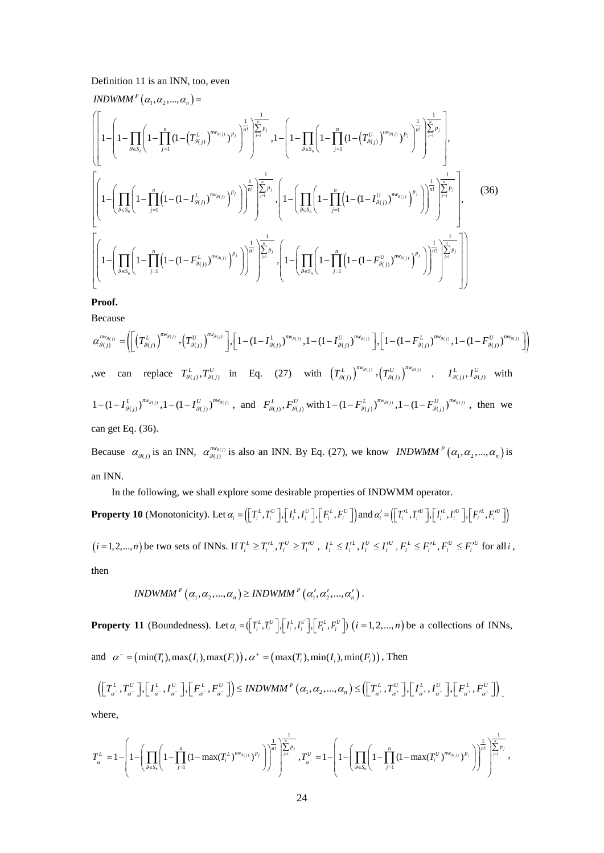### Definition 11 is an INN, too, even

$$
INDWMM^{P}(\alpha_{1}, \alpha_{2}, ..., \alpha_{n}) = \left( \left[ 1 - \prod_{j=1}^{n} \left( 1 - \prod_{j=1}^{n} (1 - (T_{g(j)}^{L}))^{m_{g(j)}} \right)^{p_{j}} \right)^{\frac{1}{n!}} \right]_{j=1}^{\frac{1}{n-p_{j}}} , 1 - \left[ 1 - \prod_{j=1}^{n} \left( 1 - \prod_{j=1}^{n} (1 - (T_{g(j)}^{U}))^{m_{g(j)}} \right)^{p_{j}} \right)^{\frac{1}{n!}} \right]_{j=1}^{\frac{1}{n-p_{j}}} ,
$$
\n
$$
\left[ \left( 1 - \left( \prod_{g \in S_{n}} \left( 1 - \prod_{j=1}^{n} \left( 1 - (1 - I_{g(j)}^{L}))^{m_{g(j)}} \right)^{p_{j}} \right) \right)^{\frac{1}{n!}} \right]_{j=1}^{\frac{1}{n-p_{j}}} , \left( 1 - \left( \prod_{g \in S_{n}} \left( 1 - \prod_{j=1}^{n} \left( 1 - (1 - I_{g(j)}^{U}))^{m_{g(j)}} \right)^{p_{j}} \right) \right)^{\frac{1}{n!}} \right) \right]_{j=1}^{\frac{1}{n-p_{j}}} ,
$$
\n
$$
\left[ \left( 1 - \left( \prod_{g \in S_{n}} \left( 1 - \prod_{j=1}^{n} \left( 1 - (1 - F_{g(j)}^{L}))^{m_{g(j)}} \right)^{p_{j}} \right) \right)^{\frac{1}{n!}} \right]_{j=1}^{\frac{1}{n-p_{j}}} , \left( 1 - \left( \prod_{g \in S_{n}} \left( 1 - \prod_{j=1}^{n} \left( 1 - (1 - F_{g(j)}^{U}))^{m_{g(j)}} \right)^{p_{j}} \right) \right)^{\frac{1}{n!}} \right) \right]_{j=1}^{\frac{1}{n-p_{j}}} ,
$$
\n
$$
\left[ \left( 1 - \left( \prod_{g \in S_{n}} \left( 1 - \prod_{j=1}^{n} \left( 1 - (1 - F_{g(j)}^{L}))^{m_{g(j)}} \right)^{p_{j}} \right) \right)^{\frac{1}{n!}} \right] \right]_{j=1}^{\frac{1}{n-p_{j}}} ,
$$
\n $$ 

### **Proof.**

Because

$$
\alpha_{g(j)}^{mv_{g(j)}} = \left( \left[ \left( T_{g(j)}^{L} \right)^{mv_{g(j)}} , \left( T_{g(j)}^{U} \right)^{mv_{g(j)}} \right], \left[ 1 - (1 - I_{g(j)}^{L})^{mv_{g(j)}} , 1 - (1 - I_{g(j)}^{U})^{mv_{g(j)}} \right], \left[ 1 - (1 - F_{g(j)}^{L})^{mv_{g(j)}} , 1 - (1 - F_{g(j)}^{U})^{mv_{g(j)}} \right] \right)
$$
\n, we can replace  $T_{g(j)}^{L}, T_{g(j)}^{U}$  in Eq. (27) with  $\left( T_{g(j)}^{L} \right)^{mv_{g(j)}} , \left( T_{g(j)}^{U} \right)^{mv_{g(j)}} , \quad I_{g(j)}^{L}, I_{g(j)}^{U}$  with

\n
$$
1 - (1 - I_{g(j)}^{L})^{mv_{g(j)}} , 1 - (1 - I_{g(j)}^{U})^{mv_{g(j)}} , \text{ and } F_{g(j)}^{L}, F_{g(j)}^{U}, \text{ with } 1 - (1 - F_{g(j)}^{L})^{mv_{g(j)}} , 1 - (1 - F_{g(j)}^{U})^{mv_{g(j)}} , \text{ then we can get Eq. (36).
$$

Because  $\alpha_{\beta(j)}$  is an INN,  $\alpha_{\beta(j)}^{m_{\beta(j)}}$  is also an INN. By Eq. (27), we know *INDWMM*<sup>*P*</sup> ( $\alpha_1, \alpha_2, ..., \alpha_n$ ) is an INN.

In the following, we shall explore some desirable properties of INDWMM operator.

**Property 10** (Monotonicity). Let  $\alpha_i = (\lfloor T_i^L, T_i^U \rfloor, \lfloor I_i^L, I_i^U \rfloor, \lfloor F_i^L, F_i^U \rfloor)$  and  $\alpha'_i = (\lfloor T_i^{\prime L}, T_i^{\prime U} \rfloor, \lfloor I_i^{\prime L}, I_i^{\prime U} \rfloor, \lfloor F_i^{\prime L}, F_i^{\prime U} \rfloor)$  $(i=1,2,...,n)$  be two sets of INNs. If  $T_i^L \ge T_i'^L, T_i^U \ge T_i'^U$ ,  $I_i^L \le I_i'^L, I_i^U \le I_i'^U, F_i^L \le F_i'^L, F_i^U \le F_i'^U$  for all i, then

$$
INDWMM^{P}(\alpha_{1}, \alpha_{2}, ..., \alpha_{n}) \geq INDWMM^{P}(\alpha_{1}', \alpha_{2}', ..., \alpha_{n}') .
$$

**Property 11** (Boundedness). Let  $\alpha_i = (\binom{T_i^L, T_i^U}{T_i^L, T_i^U}, \binom{I^L, I^U_i}{T_i^L, T_i^U})$   $(i = 1, 2, ..., n)$  be a collections of INNs,

and  $\alpha^{\text{-}} = (\min(T_i), \max(T_i), \max(F_i))$ ,  $\alpha^+ = (\max(T_i), \min(T_i), \min(F_i))$ , Then

$$
\left(\left[\begin{matrix}T_{\alpha}^L, T_{\alpha}^U\end{matrix}\right], \left[\begin{matrix}I_{\alpha^-}^L, I_{\alpha^-}^U\end{matrix}\right], \left[\begin{matrix}F_{\alpha^-}^L, F_{\alpha^-}^U\end{matrix}\right]\right) \leq INDWMM^P\left(\alpha_1, \alpha_2, ..., \alpha_n\right) \leq \left(\left[\begin{matrix}T_{\alpha^+}^L, T_{\alpha^+}^U\end{matrix}\right], \left[\begin{matrix}I_{\alpha^+}^L, I_{\alpha^+}^U\end{matrix}\right], \left[\begin{matrix}F_{\alpha^+}^L, F_{\alpha^+}^U\end{matrix}\right]\right).
$$

where,

$$
T_{a^-}^L = 1 - \left(1 - \left(\prod_{\vartheta \in S_n} \left(1 - \prod_{j=1}^n (1 - \max(T_i^L)^{n w_{\vartheta(j)}})^{p_j}\right)\right)^{\frac{1}{n!}}\right)^{\frac{1}{n!}} \cdot \sum_{j=1}^{\frac{1}{2}} p_j, T_{a^-}^U = 1 - \left(1 - \left(\prod_{\vartheta \in S_n} \left(1 - \prod_{j=1}^n (1 - \max(T_i^U)^{n w_{\vartheta(j)}})^{p_j}\right)\right)^{\frac{1}{n!}}\right)^{\frac{1}{n!}} \cdot \sum_{j=1}^{\frac{1}{2}} p_j,
$$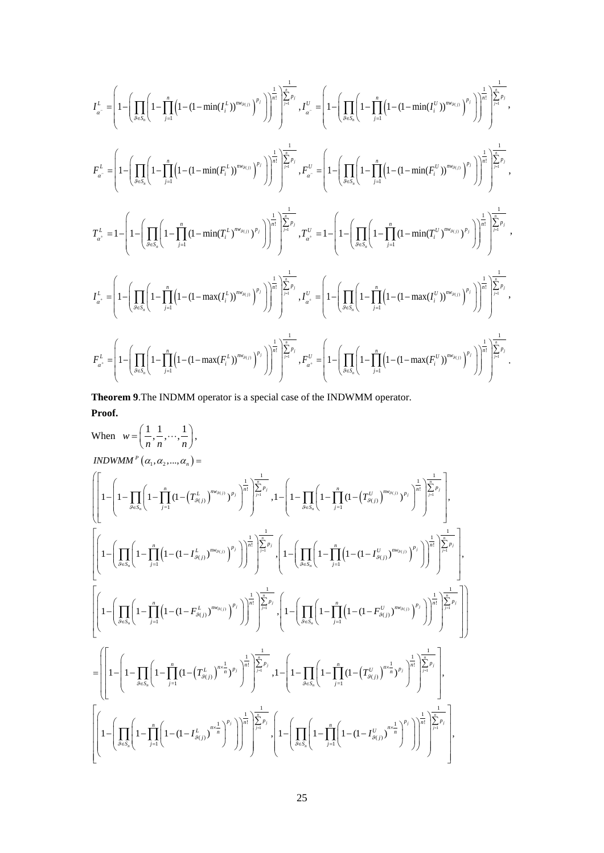$$
\begin{split} I_{a^-}^L=&\left(1-\left(\prod_{\theta\in S_a}\left(1-\prod_{j=1}^n\left(1-(1-\min(I_j^L))^{m_{g_{(j)}}}\right)^{p_j}\right)\right)^{\frac{1}{n!}}\right)^{\frac{1}{2n-p}}_{j} , \ I_{a^-}^U=\left(1-\left(\prod_{\theta\in S_a}\left(1-\prod_{j=1}^n\left(1-(1-\min(I_j^U))^{m_{g_{(j)}}}\right)^{p_j}\right)\right)^{\frac{1}{n!}}\right)^{\frac{1}{2n-p}}_{j} , \\ I_{a^-}^L=&\left(1-\left(\prod_{\theta\in S_a}\left(1-\prod_{j=1}^n\left(1-(1-\min(I_j^L))^{m_{g_{(j)}}}\right)^{p_j}\right)\right)^{\frac{1}{n!}}\right)^{\frac{1}{2n-p}}_{j} , \ I_{a^-}^U=&\left(1-\left(\prod_{\theta\in S_a}\left(1-\prod_{j=1}^n\left(1-(1-\min(I_j^U))^{m_{g_{(j)}}}\right)^{p_j}\right)\right)^{\frac{1}{n!}}\right)^{\frac{1}{2n-p}}_{j} , \\ I_{a^+}^L=&1-\left(1-\left(\prod_{\theta\in S_a}\left(1-\prod_{j=1}^n\left(1-\min(I_j^L)^{m_{g_{(j)}}}\right)^{p_j}\right)\right)^{\frac{1}{n!}}\right)^{\frac{1}{2n-p}}_{j} , \ I_{a^+}^U=&1-\left(1-\left(\prod_{\theta\in S_a}\left(1-\prod_{j=1}^n\left(1-\min(I_j^U)^{m_{g_{(j)}}}\right)^{p_j}\right)\right)^{\frac{1}{n!}}\right)^{\frac{1}{2n-p}}_{j} , \end{split}
$$
  
\n
$$
I_{a^+}^L=&\left(1-\left(\prod_{\theta\in S_a}\left(1-\prod_{j=1}^n\left(1-(1-\max(I_j^L))^{m_{g_{(j)}}}\right)^{p_j}\right)\right)^{\frac{1}{n!}}\right)^{\frac{1}{2n-p}}_{j} , \ I_{a^+}^U=&\left(1-\left(\prod_{\theta\in S_a}\left(1-\prod_{j=1}^n\left(1-(1-\max(I_j^U))^{m_{g_{(j)}}}\right)^{p_j}\right)\right)^{\frac{1}{n!}}\right)^{\frac{1}{2n-p}},
$$

**Theorem 9**.The INDMM operator is a special case of the INDWMM operator. **Proof.**

When 
$$
w = \left(\frac{1}{n}, \frac{1}{n}, \dots, \frac{1}{n}\right)
$$
,  
\n
$$
INDWMM^P(\alpha_1, \alpha_2, \dots, \alpha_n) =
$$
\n
$$
\left[\left[1 - \left(1 - \prod_{\delta \in S_n} \left(1 - \prod_{j=1}^n (1 - (T_{\beta(j)}^L)^{m_{\beta(j)}})^{p_j}\right)^{\frac{1}{n!}}\right)^{\frac{1}{p_n}}\right]^{\frac{1}{p_n}}_{\beta} \right], 1 - \left(1 - \prod_{\delta \in S_n} \left(1 - \prod_{j=1}^n (1 - (T_{\beta(j)}^{U_{\delta(j)}})^{p_j})^{\frac{1}{p_l}}\right)^{\frac{1}{p_n}}\right]^{\frac{1}{p_n}}_{\beta}.
$$
\n
$$
\left[\left[1 - \left(\prod_{\delta \in S_n} \left(1 - \prod_{j=1}^n (1 - (1 - I_{\beta(j)}^L)^{m_{\beta(j)}})^{p_j}\right)\right)^{\frac{1}{n!}}\right]^{\frac{1}{p_n}}_{\beta} \right]^{\frac{1}{p_n}}, 1 - \left(\prod_{\delta \in S_n} \left(1 - \prod_{j=1}^n (1 - (1 - I_{\beta(j)}^{U_{\delta(j)}})^{m_{\beta(j)}})^{p_j}\right)\right)^{\frac{1}{n!}}\right]^{\frac{1}{p_n}}.
$$
\n
$$
\left[\left[1 - \left(\prod_{\delta \in S_n} \left(1 - \prod_{j=1}^n (1 - (1 - F_{\beta(j)}^L)^{m_{\beta(j)}})^{p_j}\right)\right)^{\frac{1}{n!}}\right]^{\frac{1}{p_n}}_{\beta} \right], 1 - \left(\prod_{\delta \in S_n} \left(1 - \prod_{j=1}^n (1 - (1 - F_{\beta(j)}^{U_{\delta(j)}})^{m_{\beta(j)}})^{p_j}\right)\right)^{\frac{1}{n!}}\right]^{\frac{1}{p_n}}.
$$
\n
$$
= \left[\left[1 - \left(1 - \prod_{\delta \in S_n} \left(1 - \prod_{j=1}^n (1 - (T_{\beta(j)}^L)^{m_{\delta(j)}})^{p_j}\right)^{\frac{1}{n!}}\right]^{\frac{1}{p_n}}_{\beta} , 1 - \left(1 - \prod_{\delta \in S_n} \left(1 - \prod_{j
$$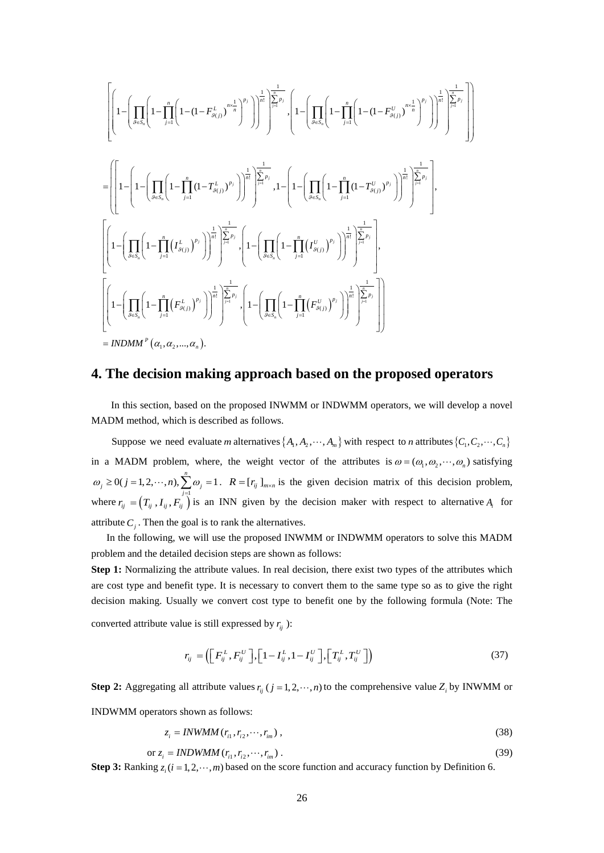$$
\left[\left(1-\left(\prod_{g\in S_n}\left(1-\prod_{j=1}^n\left(1-(1-F_{g_{(j)}}^{L})^{p_j}\right)^{\frac{1}{n!}}\right)^{\frac{1}{p_j}}\right)^{\frac{1}{n!}}\right]_{j=1}^{\frac{n}{p_j}}\right],\left(1-\left(\prod_{g\in S_n}\left(1-\prod_{j=1}^n\left(1-(1-F_{g_{(j)}}^{U})^{p_j}\right)^{\frac{1}{n!}}\right)^{\frac{1}{n!}}\right)^{\frac{1}{n!}}\right)\right]^{\frac{1}{n!}}\right]^{\frac{1}{n!}}\right]^{\frac{1}{n!}}.
$$
\n
$$
=\left(\left[1-\left(1-\left(\prod_{g\in S_n}\left(1-\prod_{j=1}^n\left(1-\prod_{j=1}^n(1-F_{g_{(j)}}^{L})^{p_j}\right)^{\frac{1}{n!}}\right)^{\frac{1}{n!}}\right)^{\frac{1}{n!}}\right)^{\frac{1}{n!}}\right]^{\frac{1}{n!}}\right)^{\frac{1}{n!}}.
$$
\n
$$
\left[\left(1-\left(\prod_{g\in S_n}\left(1-\prod_{j=1}^n\left(I_{g_{(j)}}^{L}\right)^{p_j}\right)^{\frac{1}{n!}}\right)^{\frac{1}{n!}}\right)^{\frac{1}{n!}}\right]^{\frac{1}{n!}}\right]^{\frac{1}{n!}}.
$$
\n
$$
\left[\left(1-\left(\prod_{g\in S_n}\left(1-\prod_{j=1}^n\left(I_{g_{(j)}}^{L}\right)^{p_j}\right)^{\frac{1}{n!}}\right)^{\frac{1}{n!}}\right)^{\frac{1}{n!}}.\left(1-\left(\prod_{g\in S_n}\left(1-\prod_{j=1}^n\left(I_{g_{(j)}}^{U}\right)^{p_j}\right)^{\frac{1}{n!}}\right)^{\frac{1}{n!}}\right)^{\frac{1}{n!}}.\right]^{\frac{1}{n!}}.
$$
\n
$$
\left[\left(1-\left(\prod_{g\in S_n}\left(1-\prod_{j=1}^n\left(F_{g_{(j)}}^{L}\right)^{p_j}\right)\right)^{\frac{1}{n!}}\right)^{\frac{1}{n!}}.\left(1-\left(\prod_{g\in S_n}\left(1-\prod_{j=1}^n\left(F_{g_{(j)}}^{U}\right)^{p_j
$$

## **4. The decision making approach based on the proposed operators**

In this section, based on the proposed INWMM or INDWMM operators, we will develop a novel MADM method, which is described as follows.

Suppose we need evaluate *m* alternatives  $\{A_1, A_2, \dots, A_m\}$  with respect to *n* attributes  $\{C_1, C_2, \dots, C_n\}$ in a MADM problem, where, the weight vector of the attributes is  $\omega = (\omega_1, \omega_2, \dots, \omega_n)$  satisfying where  $r_{ij} = (T_{ij}, I_{ij}, F_{ij})$  is an INN given by the decision maker with respect to alternative  $A_i$  for  $0(j = 1, 2, \dots, n), \sum_{i=1}^{n} \omega_i = 1$  $\omega_j \ge 0$  ( $j = 1, 2, \dots, n$ ),  $\sum \omega_j = 1$ .  $R = [r_{ij}]_{m \times n}$  is the given decision matrix of this decision problem, attribute  $C_i$ . Then the goal is to rank the alternatives.

In the following, we will use the proposed INWMM or INDWMM operators to solve this MADM problem and the detailed decision steps are shown as follows:

**Step 1:** Normalizing the attribute values. In real decision, there exist two types of the attributes which are cost type and benefit type. It is necessary to convert them to the same type so as to give the right decision making. Usually we convert cost type to benefit one by the following formula (Note: The converted attribute value is still expressed by  $r_{ij}$  ):

$$
r_{ij} = \left( \left[ F_{ij}^L, F_{ij}^U \right], \left[ 1 - I_{ij}^L, 1 - I_{ij}^U \right], \left[ T_{ij}^L, T_{ij}^U \right] \right) \tag{37}
$$

**Step 2:** Aggregating all attribute values  $r_{ii}$  ( $j = 1, 2, \dots, n$ ) to the comprehensive value  $Z_i$  by INWMM or INDWMM operators shown as follows:

$$
z_i = INWMM(r_{i1}, r_{i2}, \cdots, r_{in}),
$$
\n
$$
(38)
$$

$$
\text{or } z_i = \text{INDWMM}(r_{i1}, r_{i2}, \cdots, r_{im}).
$$
\n
$$
(39)
$$

**Step 3:** Ranking  $z_i$  ( $i = 1, 2, \dots, m$ ) based on the score function and accuracy function by Definition 6.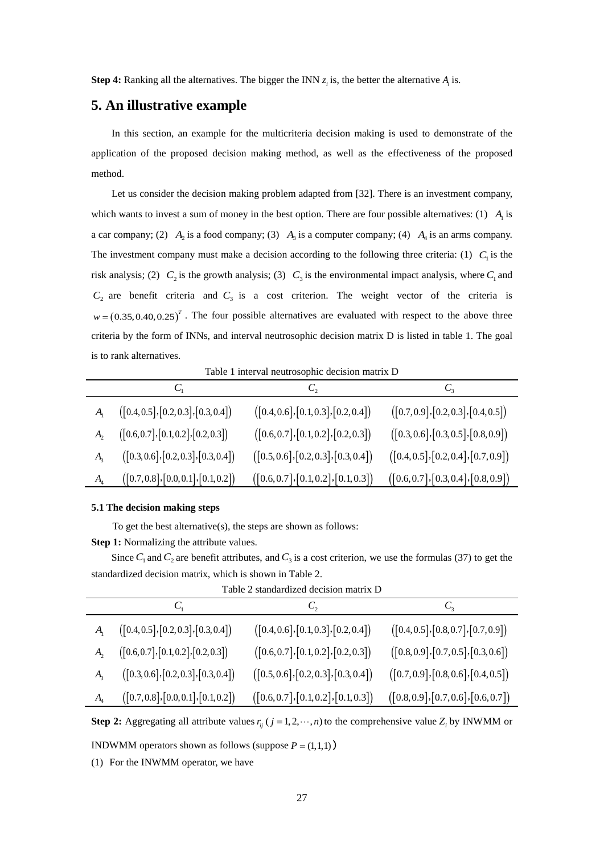**Step 4:** Ranking all the alternatives. The bigger the INN  $z_i$  is, the better the alternative  $A_i$  is.

# **5. An illustrative example**

In this section, an example for the multicriteria decision making is used to demonstrate of the application of the proposed decision making method, as well as the effectiveness of the proposed method.

Let us consider the decision making problem adapted from [32]. There is an investment company, which wants to invest a sum of money in the best option. There are four possible alternatives: (1)  $A<sub>1</sub>$  is a car company; (2)  $A_2$  is a food company; (3)  $A_3$  is a computer company; (4)  $A_4$  is an arms company. The investment company must make a decision according to the following three criteria: (1)  $C_1$  is the risk analysis; (2)  $C_2$  is the growth analysis; (3)  $C_3$  is the environmental impact analysis, where  $C_1$  and  $C_2$  are benefit criteria and  $C_3$  is a cost criterion. The weight vector of the criteria is  $w = (0.35,0.40,0.25)^T$ . The four possible alternatives are evaluated with respect to the above three criteria by the form of INNs, and interval neutrosophic decision matrix D is listed in table 1. The goal is to rank alternatives.

Table 1 interval neutrosophic decision matrix D

|                            |                                      | $C_{2}$                              | $C_{3}$                              |
|----------------------------|--------------------------------------|--------------------------------------|--------------------------------------|
|                            | ([0.4, 0.5], [0.2, 0.3], [0.3, 0.4]) | ([0.4, 0.6], [0.1, 0.3], [0.2, 0.4]) | ([0.7, 0.9], [0.2, 0.3], [0.4, 0.5]) |
|                            | ([0.6, 0.7], [0.1, 0.2], [0.2, 0.3]) | ([0.6, 0.7], [0.1, 0.2], [0.2, 0.3]) | ([0.3, 0.6], [0.3, 0.5], [0.8, 0.9]) |
|                            | ([0.3, 0.6], [0.2, 0.3], [0.3, 0.4]) | ([0.5, 0.6], [0.2, 0.3], [0.3, 0.4]) | ([0.4, 0.5], [0.2, 0.4], [0.7, 0.9]) |
| $A_{\scriptscriptstyle 4}$ | ([0.7, 0.8], [0.0, 0.1], [0.1, 0.2]) | ([0.6, 0.7], [0.1, 0.2], [0.1, 0.3]) | ([0.6, 0.7], [0.3, 0.4], [0.8, 0.9]) |

#### **5.1 The decision making steps**

To get the best alternative(s), the steps are shown as follows:

**Step 1:** Normalizing the attribute values.

Since  $C_1$  and  $C_2$  are benefit attributes, and  $C_3$  is a cost criterion, we use the formulas (37) to get the standardized decision matrix, which is shown in Table 2.

| танне 2 манианиясы иссымнынан 12 |                                      |                                      |                                      |
|----------------------------------|--------------------------------------|--------------------------------------|--------------------------------------|
|                                  | U,                                   |                                      |                                      |
| $A_{\rm i}$                      | ([0.4, 0.5], [0.2, 0.3], [0.3, 0.4]) | ([0.4, 0.6], [0.1, 0.3], [0.2, 0.4]) | ([0.4, 0.5], [0.8, 0.7], [0.7, 0.9]) |
| $A_{2}$                          | ([0.6, 0.7], [0.1, 0.2], [0.2, 0.3]) | ([0.6, 0.7], [0.1, 0.2], [0.2, 0.3]) | ([0.8, 0.9], [0.7, 0.5], [0.3, 0.6]) |
| $A_{3}$                          | ([0.3, 0.6], [0.2, 0.3], [0.3, 0.4]) | ([0.5, 0.6], [0.2, 0.3], [0.3, 0.4]) | ([0.7, 0.9], [0.8, 0.6], [0.4, 0.5]) |
| $A_{\scriptscriptstyle 4}$       | ([0.7, 0.8], [0.0, 0.1], [0.1, 0.2]) | ([0.6, 0.7], [0.1, 0.2], [0.1, 0.3]) | ([0.8, 0.9], [0.7, 0.6], [0.6, 0.7]) |

Table 2 standardized decision matrix D

**Step 2:** Aggregating all attribute values  $r_{ij}$  ( $j = 1, 2, \dots, n$ ) to the comprehensive value  $Z_i$  by INWMM or

**INDWMM** operators shown as follows (suppose  $P = (1,1,1)$ )

(1) For the INWMM operator, we have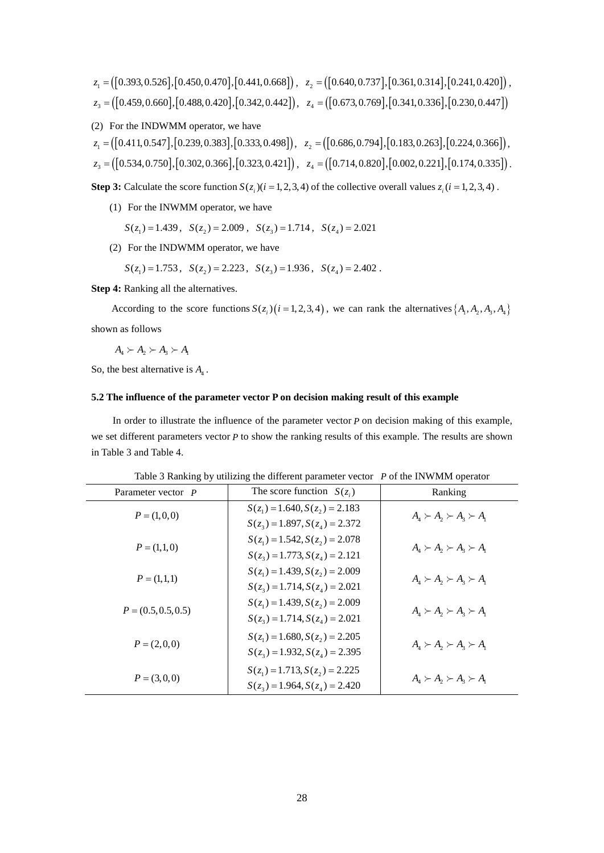$$
z_1 = ([0.393, 0.526], [0.450, 0.470], [0.441, 0.668]), \ z_2 = ([0.640, 0.737], [0.361, 0.314], [0.241, 0.420]),
$$
  

$$
z_3 = ([0.459, 0.660], [0.488, 0.420], [0.342, 0.442]), \ z_4 = ([0.673, 0.769], [0.341, 0.336], [0.230, 0.447])
$$

(2) For the INDWMM operator, we have

$$
z_1 = ([0.411, 0.547], [0.239, 0.383], [0.333, 0.498]), \quad z_2 = ([0.686, 0.794], [0.183, 0.263], [0.224, 0.366]),
$$

$$
z_3 = ([0.534, 0.750], [0.302, 0.366], [0.323, 0.421]), \quad z_4 = ([0.714, 0.820], [0.002, 0.221], [0.174, 0.335]).
$$

**Step 3:** Calculate the score function  $S(z_i)(i = 1, 2, 3, 4)$  of the collective overall values  $z_i(i = 1, 2, 3, 4)$ .

- (1) For the INWMM operator, we have
	- $S(z_1) = 1.439$ ,  $S(z_2) = 2.009$ ,  $S(z_3) = 1.714$ ,  $S(z_4) = 2.021$
- (2) For the INDWMM operator, we have

 $S(z_1) = 1.753$ ,  $S(z_2) = 2.223$ ,  $S(z_3) = 1.936$ ,  $S(z_4) = 2.402$ .

**Step 4:** Ranking all the alternatives.

According to the score functions  $S(z_i)$  ( $i = 1, 2, 3, 4$ ), we can rank the alternatives { $A_1, A_2, A_3, A_4$ } shown as follows

$$
A_4 \succ A_2 \succ A_3 \succ A_1
$$

So, the best alternative is  $A_4$ .

#### **5.2 The influence of the parameter vector P on decision making result of this example**

In order to illustrate the influence of the parameter vector *P* on decision making of this example, we set different parameters vector *P* to show the ranking results of this example. The results are shown in Table 3 and Table 4.

| Parameter vector P    | The score function $S(z_i)$                                          | Ranking                                                                                                                                     |
|-----------------------|----------------------------------------------------------------------|---------------------------------------------------------------------------------------------------------------------------------------------|
| $P = (1,0,0)$         | $S(z_1) = 1.640, S(z_2) = 2.183$<br>$S(z_3) = 1.897, S(z_4) = 2.372$ | $A_4 \succ A_2 \succ A_3 \succ A_1$                                                                                                         |
|                       | $S(z_1) = 1.542, S(z_2) = 2.078$                                     |                                                                                                                                             |
| $P = (1,1,0)$         | $S(z_3) = 1.773, S(z_4) = 2.121$                                     | $A_{\scriptscriptstyle\Lambda} \succ A_{\scriptscriptstyle\lambda} \succ A_{\scriptscriptstyle\lambda} \succ A_{\scriptscriptstyle\Lambda}$ |
| $P = (1,1,1)$         | $S(z_1) = 1.439, S(z_2) = 2.009$                                     | $A_{\scriptscriptstyle{A}}\succ A_{\scriptscriptstyle{2}}\succ A_{\scriptscriptstyle{3}}\succ A_{\scriptscriptstyle{1}}$                    |
|                       | $S(z_3) = 1.714, S(z_4) = 2.021$<br>$S(z_1) = 1.439, S(z_2) = 2.009$ |                                                                                                                                             |
| $P = (0.5, 0.5, 0.5)$ | $S(z_3) = 1.714, S(z_4) = 2.021$                                     | $A_{4} \succ A_{2} \succ A_{3} \succ A_{1}$                                                                                                 |
| $P = (2,0,0)$         | $S(z_1) = 1.680, S(z_2) = 2.205$                                     | $A_{\scriptscriptstyle\Lambda} \succ A_{\scriptscriptstyle\lambda} \succ A_{\scriptscriptstyle\lambda} \succ A_{\scriptscriptstyle\Lambda}$ |
|                       | $S(z_3) = 1.932, S(z_4) = 2.395$                                     |                                                                                                                                             |
| $P = (3,0,0)$         | $S(z_1) = 1.713, S(z_2) = 2.225$                                     | $A_{\scriptscriptstyle\Lambda} \succ A_{\scriptscriptstyle\lambda} \succ A_{\scriptscriptstyle\lambda} \succ A_{\scriptscriptstyle\Lambda}$ |
|                       | $S(z_3) = 1.964, S(z_4) = 2.420$                                     |                                                                                                                                             |

Table 3 Ranking by utilizing the different parameter vector *P* of the INWMM operator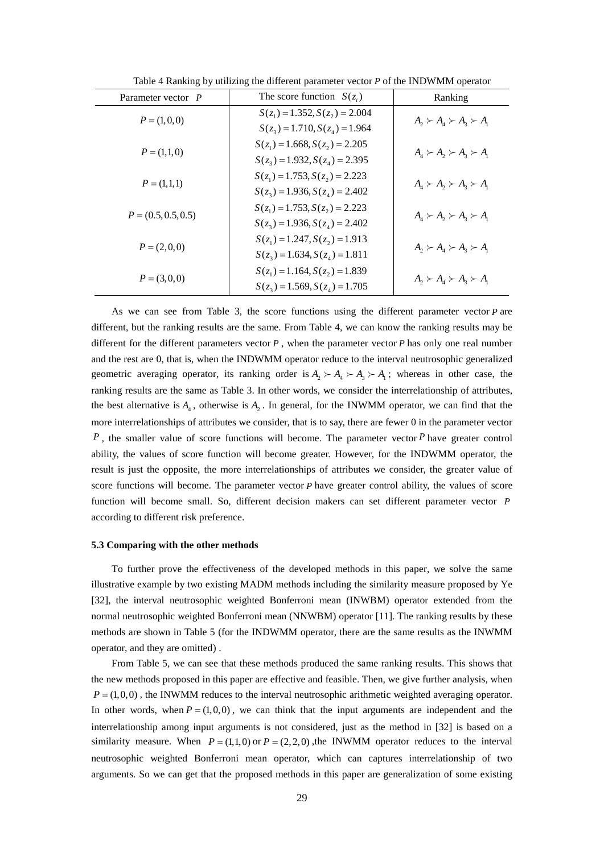| Parameter vector P    | The score function $S(z_i)$      | Ranking                                                                                                                  |
|-----------------------|----------------------------------|--------------------------------------------------------------------------------------------------------------------------|
| $P = (1,0,0)$         | $S(z_1) = 1.352, S(z_2) = 2.004$ | $A_2 \succ A_4 \succ A_3 \succ A_1$                                                                                      |
|                       | $S(z_3) = 1.710, S(z_4) = 1.964$ |                                                                                                                          |
| $P = (1,1,0)$         | $S(z_1) = 1.668, S(z_2) = 2.205$ |                                                                                                                          |
|                       | $S(z_3) = 1.932, S(z_4) = 2.395$ | $A_{\scriptscriptstyle{A}}\succ A_{\scriptscriptstyle{2}}\succ A_{\scriptscriptstyle{3}}\succ A_{\scriptscriptstyle{1}}$ |
|                       | $S(z_1) = 1.753, S(z_2) = 2.223$ |                                                                                                                          |
| $P = (1,1,1)$         | $S(z_3) = 1.936, S(z_4) = 2.402$ | $A_{\scriptscriptstyle{A}}\succ A_{\scriptscriptstyle{2}}\succ A_{\scriptscriptstyle{3}}\succ A_{\scriptscriptstyle{1}}$ |
|                       | $S(z_1) = 1.753, S(z_2) = 2.223$ | $A_{\scriptscriptstyle{A}}\succ A_{\scriptscriptstyle{2}}\succ A_{\scriptscriptstyle{3}}\succ A_{\scriptscriptstyle{1}}$ |
| $P = (0.5, 0.5, 0.5)$ | $S(z_3) = 1.936, S(z_4) = 2.402$ |                                                                                                                          |
|                       | $S(z_1) = 1.247, S(z_2) = 1.913$ |                                                                                                                          |
| $P = (2,0,0)$         | $S(z_3) = 1.634, S(z_4) = 1.811$ | $A_2 \succ A_4 \succ A_3 \succ A_1$                                                                                      |
|                       | $S(z_1) = 1.164, S(z_2) = 1.839$ |                                                                                                                          |
| $P = (3,0,0)$         | $S(z_3) = 1.569, S(z_4) = 1.705$ | $A_2 \succ A_4 \succ A_3 \succ A_1$                                                                                      |

Table 4 Ranking by utilizing the different parameter vector *P* of the INDWMM operator

As we can see from Table 3, the score functions using the different parameter vector *P* are different, but the ranking results are the same. From Table 4, we can know the ranking results may be different for the different parameters vector *P* , when the parameter vector *P* has only one real number and the rest are 0, that is, when the INDWMM operator reduce to the interval neutrosophic generalized geometric averaging operator, its ranking order is  $A_1 \succ A_2 \succ A_3$ , whereas in other case, the ranking results are the same as Table 3. In other words, we consider the interrelationship of attributes, the best alternative is  $A_4$ , otherwise is  $A_2$ . In general, for the INWMM operator, we can find that the more interrelationships of attributes we consider, that is to say, there are fewer 0 in the parameter vector *P*, the smaller value of score functions will become. The parameter vector *P* have greater control ability, the values of score function will become greater. However, for the INDWMM operator, the result is just the opposite, the more interrelationships of attributes we consider, the greater value of score functions will become. The parameter vector *P* have greater control ability, the values of score function will become small. So, different decision makers can set different parameter vector *P* according to different risk preference.

#### **5.3 Comparing with the other methods**

To further prove the effectiveness of the developed methods in this paper, we solve the same illustrative example by two existing MADM methods including the similarity measure proposed by Ye [32], the interval neutrosophic weighted Bonferroni mean (INWBM) operator extended from the normal neutrosophic weighted Bonferroni mean (NNWBM) operator [11]. The ranking results by these methods are shown in Table 5 (for the INDWMM operator, there are the same results as the INWMM operator, and they are omitted) .

From Table 5, we can see that these methods produced the same ranking results. This shows that the new methods proposed in this paper are effective and feasible. Then, we give further analysis, when  $P = (1,0,0)$ , the INWMM reduces to the interval neutrosophic arithmetic weighted averaging operator. In other words, when  $P = (1,0,0)$ , we can think that the input arguments are independent and the interrelationship among input arguments is not considered, just as the method in [32] is based on a similarity measure. When  $P = (1,1,0)$  or  $P = (2,2,0)$ , the INWMM operator reduces to the interval neutrosophic weighted Bonferroni mean operator, which can captures interrelationship of two arguments. So we can get that the proposed methods in this paper are generalization of some existing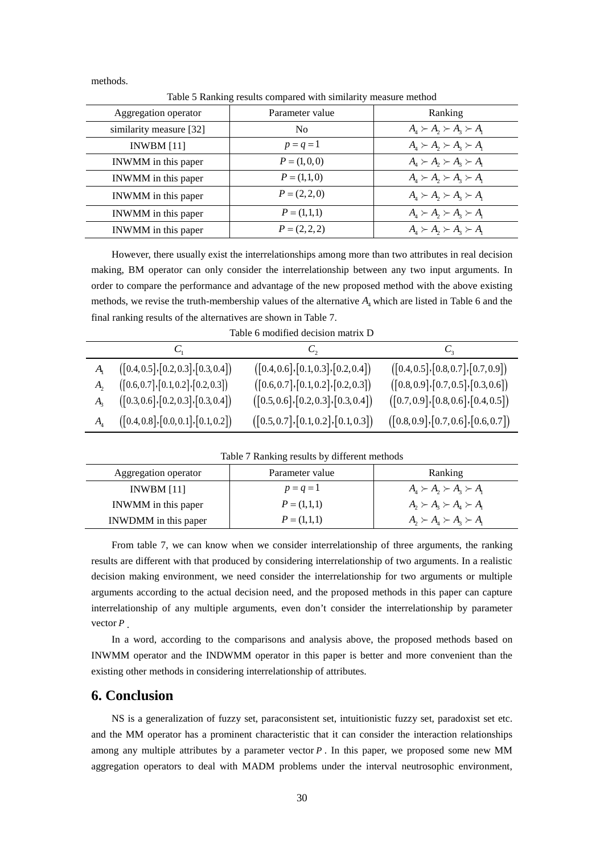methods.

Table 5 Ranking results compared with similarity measure method

| Aggregation operator    | Parameter value | Ranking                                                                                                                  |
|-------------------------|-----------------|--------------------------------------------------------------------------------------------------------------------------|
| similarity measure [32] | N <sub>0</sub>  | $A_{\scriptscriptstyle{A}}\succ A_{\scriptscriptstyle{2}}\succ A_{\scriptscriptstyle{3}}\succ A_{\scriptscriptstyle{1}}$ |
| INWBM $[11]$            | $p = q = 1$     | $A_{\scriptscriptstyle{A}}\succ A_{\scriptscriptstyle{2}}\succ A_{\scriptscriptstyle{3}}\succ A_{\scriptscriptstyle{1}}$ |
| INWMM in this paper     | $P = (1,0,0)$   | $A_{\scriptscriptstyle{A}}\succ A_{\scriptscriptstyle{2}}\succ A_{\scriptscriptstyle{3}}\succ A_{\scriptscriptstyle{1}}$ |
| INWMM in this paper     | $P = (1,1,0)$   | $A_{\scriptscriptstyle{A}}\succ A_{\scriptscriptstyle{2}}\succ A_{\scriptscriptstyle{3}}\succ A_{\scriptscriptstyle{1}}$ |
| INWMM in this paper     | $P = (2, 2, 0)$ | $A_{\scriptscriptstyle{A}}\succ A_{\scriptscriptstyle{2}}\succ A_{\scriptscriptstyle{3}}\succ A_{\scriptscriptstyle{1}}$ |
| INWMM in this paper     | $P = (1,1,1)$   | $A_{\scriptscriptstyle{A}}\succ A_{\scriptscriptstyle{2}}\succ A_{\scriptscriptstyle{3}}\succ A_{\scriptscriptstyle{1}}$ |
| INWMM in this paper     | $P = (2, 2, 2)$ | $A_4 \succ A_2 \succ A_3 \succ A_1$                                                                                      |
|                         |                 |                                                                                                                          |

However, there usually exist the interrelationships among more than two attributes in real decision making, BM operator can only consider the interrelationship between any two input arguments. In order to compare the performance and advantage of the new proposed method with the above existing methods, we revise the truth-membership values of the alternative  $A_4$  which are listed in Table 6 and the final ranking results of the alternatives are shown in Table 7.

| Table 6 modified decision matrix D |  |  |  |
|------------------------------------|--|--|--|
|                                    |  |  |  |
|                                    |  |  |  |

| $A_{1}$ $([0.4, 0.5], [0.2, 0.3], [0.3, 0.4])$ | ([0.4, 0.6], [0.1, 0.3], [0.2, 0.4]) | ([0.4, 0.5], [0.8, 0.7], [0.7, 0.9]) |
|------------------------------------------------|--------------------------------------|--------------------------------------|
| ([0.6, 0.7], [0.1, 0.2], [0.2, 0.3])           | ([0.6, 0.7], [0.1, 0.2], [0.2, 0.3]) | ([0.8, 0.9], [0.7, 0.5], [0.3, 0.6]) |
| ([0.3, 0.6], [0.2, 0.3], [0.3, 0.4])           | ([0.5, 0.6], [0.2, 0.3], [0.3, 0.4]) | ([0.7, 0.9], [0.8, 0.6], [0.4, 0.5]) |
| $A_4$ ([0.4, 0.8], [0.0, 0.1], [0.1, 0.2])     | ([0.5, 0.7], [0.1, 0.2], [0.1, 0.3]) | ([0.8, 0.9], [0.7, 0.6], [0.6, 0.7]) |

Table 7 Ranking results by different methods

| Aggregation operator | Parameter value | Ranking                             |  |
|----------------------|-----------------|-------------------------------------|--|
| INWBM $[11]$         | $p = q = 1$     | $A_4 \succ A_2 \succ A_3 \succ A_1$ |  |
| INWMM in this paper  | $P = (1,1,1)$   | $A_2 \succ A_3 \succ A_4 \succ A_1$ |  |
| INWDMM in this paper | $P = (1,1,1)$   | $A_2 \succ A_3 \succ A_3 \succ A_1$ |  |

From table 7, we can know when we consider interrelationship of three arguments, the ranking results are different with that produced by considering interrelationship of two arguments. In a realistic decision making environment, we need consider the interrelationship for two arguments or multiple arguments according to the actual decision need, and the proposed methods in this paper can capture interrelationship of any multiple arguments, even don't consider the interrelationship by parameter vector *P* .

In a word, according to the comparisons and analysis above, the proposed methods based on INWMM operator and the INDWMM operator in this paper is better and more convenient than the existing other methods in considering interrelationship of attributes.

# **6. Conclusion**

NS is a generalization of fuzzy set, paraconsistent set, intuitionistic fuzzy set, paradoxist set etc. and the MM operator has a prominent characteristic that it can consider the interaction relationships among any multiple attributes by a parameter vector *P* . In this paper, we proposed some new MM aggregation operators to deal with MADM problems under the interval neutrosophic environment,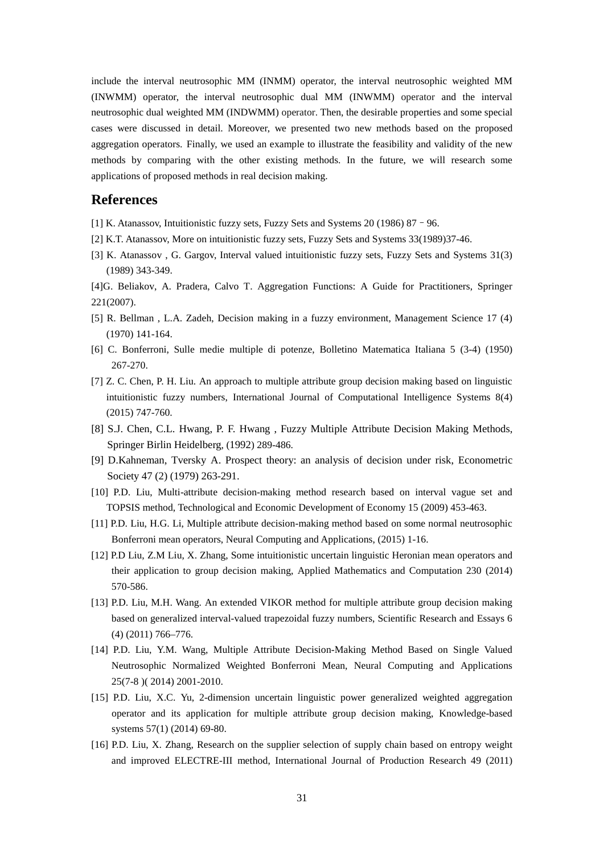include the interval neutrosophic MM (INMM) operator, the interval neutrosophic weighted MM (INWMM) operator, the interval neutrosophic dual MM (INWMM) operator and the interval neutrosophic dual weighted MM (INDWMM) operator. Then, the desirable properties and some special cases were discussed in detail. Moreover, we presented two new methods based on the proposed aggregation operators. Finally, we used an example to illustrate the feasibility and validity of the new methods by comparing with the other existing methods. In the future, we will research some applications of proposed methods in real decision making.

## **References**

- [1] K. Atanassov, Intuitionistic fuzzy sets, Fuzzy Sets and Systems 20 (1986) 87–96.
- [2] K.T. Atanassov, More on intuitionistic fuzzy sets, Fuzzy Sets and Systems 33(1989)37-46.
- [3] K. Atanassov , G. Gargov, Interval valued intuitionistic fuzzy sets, Fuzzy Sets and Systems 31(3) (1989) 343-349.
- [4]G. Beliakov, A. Pradera, Calvo T. Aggregation Functions: A Guide for Practitioners, Springer 221(2007).
- [5] R. Bellman , L.A. Zadeh, Decision making in a fuzzy environment, Management Science 17 (4) (1970) 141-164.
- [6] C. Bonferroni, Sulle medie multiple di potenze, Bolletino Matematica Italiana 5 (3-4) (1950) 267-270.
- [7] Z. C. Chen, P. H. Liu. An approach to multiple attribute group decision making based on linguistic intuitionistic fuzzy numbers, International Journal of Computational Intelligence Systems 8(4) (2015) 747-760.
- [8] S.J. Chen, C.L. Hwang, P. F. Hwang , Fuzzy Multiple Attribute Decision Making Methods, Springer Birlin Heidelberg, (1992) 289-486.
- [9] D.Kahneman, Tversky A. Prospect theory: an analysis of decision under risk, Econometric Society 47 (2) (1979) 263-291.
- [10] P.D. Liu, Multi-attribute decision-making method research based on interval vague set and TOPSIS method, Technological and Economic Development of Economy 15 (2009) 453-463.
- [11] P.D. Liu, H.G. Li, Multiple attribute decision-making method based on some normal neutrosophic Bonferroni mean operators, Neural Computing and Applications, (2015) 1-16.
- [12] P.D Liu, Z.M Liu, X. Zhang, Some intuitionistic uncertain linguistic Heronian mean operators and their application to group decision making, Applied Mathematics and Computation 230 (2014) 570-586.
- [13] P.D. Liu, M.H. Wang. An extended VIKOR method for multiple attribute group decision making based on generalized interval-valued trapezoidal fuzzy numbers, Scientific Research and Essays 6 (4) (2011) 766–776.
- [14] P.D. Liu, Y.M. Wang, Multiple Attribute Decision-Making Method Based on Single Valued Neutrosophic Normalized Weighted Bonferroni Mean, Neural Computing and Applications 25(7-8 )( 2014) 2001-2010.
- [15] P.D. Liu, X.C. Yu, 2-dimension uncertain linguistic power generalized weighted aggregation operator and its application for multiple attribute group decision making, Knowledge-based systems 57(1) (2014) 69-80.
- [16] P.D. Liu, X. Zhang, Research on the supplier selection of supply chain based on entropy weight and improved ELECTRE-III method, International Journal of Production Research 49 (2011)